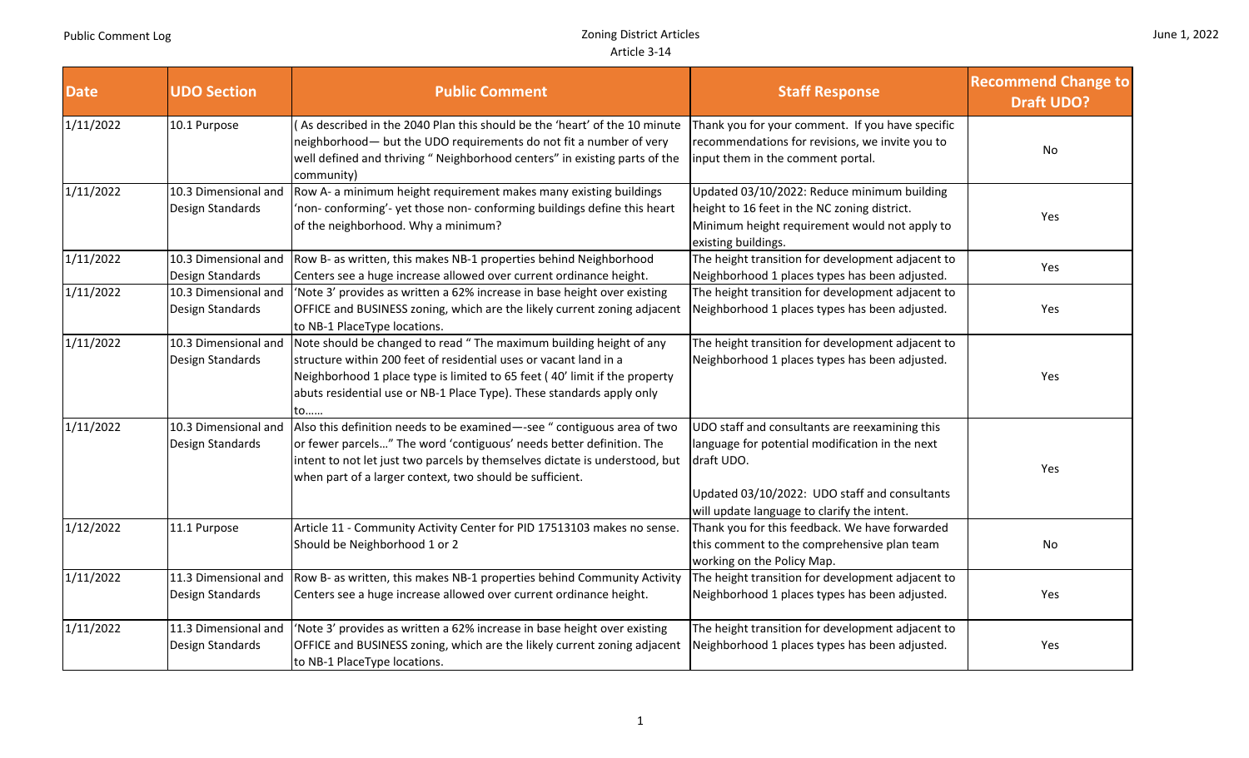| <b>Date</b> | <b>UDO Section</b>                       | <b>Public Comment</b>                                                                                                                                                                                                                                                                                | <b>Staff Response</b>                                                                                                                                                                                           | <b>Recommend Change to</b><br><b>Draft UDO?</b> |
|-------------|------------------------------------------|------------------------------------------------------------------------------------------------------------------------------------------------------------------------------------------------------------------------------------------------------------------------------------------------------|-----------------------------------------------------------------------------------------------------------------------------------------------------------------------------------------------------------------|-------------------------------------------------|
| 1/11/2022   | 10.1 Purpose                             | As described in the 2040 Plan this should be the 'heart' of the 10 minute<br>neighborhood- but the UDO requirements do not fit a number of very<br>well defined and thriving " Neighborhood centers" in existing parts of the<br>community)                                                          | Thank you for your comment. If you have specific<br>recommendations for revisions, we invite you to<br>input them in the comment portal.                                                                        | No                                              |
| 1/11/2022   | 10.3 Dimensional and<br>Design Standards | Row A- a minimum height requirement makes many existing buildings<br>'non-conforming'-yet those non-conforming buildings define this heart<br>of the neighborhood. Why a minimum?                                                                                                                    | Updated 03/10/2022: Reduce minimum building<br>height to 16 feet in the NC zoning district.<br>Minimum height requirement would not apply to<br>existing buildings.                                             | Yes                                             |
| 1/11/2022   | 10.3 Dimensional and<br>Design Standards | Row B- as written, this makes NB-1 properties behind Neighborhood<br>Centers see a huge increase allowed over current ordinance height.                                                                                                                                                              | The height transition for development adjacent to<br>Neighborhood 1 places types has been adjusted.                                                                                                             | Yes                                             |
| 1/11/2022   | 10.3 Dimensional and<br>Design Standards | 'Note 3' provides as written a 62% increase in base height over existing<br>OFFICE and BUSINESS zoning, which are the likely current zoning adjacent<br>to NB-1 PlaceType locations.                                                                                                                 | The height transition for development adjacent to<br>Neighborhood 1 places types has been adjusted.                                                                                                             | Yes                                             |
| 1/11/2022   | 10.3 Dimensional and<br>Design Standards | Note should be changed to read "The maximum building height of any<br>structure within 200 feet of residential uses or vacant land in a<br>Neighborhood 1 place type is limited to 65 feet (40' limit if the property<br>abuts residential use or NB-1 Place Type). These standards apply only<br>to | The height transition for development adjacent to<br>Neighborhood 1 places types has been adjusted.                                                                                                             | Yes                                             |
| 1/11/2022   | 10.3 Dimensional and<br>Design Standards | Also this definition needs to be examined-see " contiguous area of two<br>or fewer parcels" The word 'contiguous' needs better definition. The<br>intent to not let just two parcels by themselves dictate is understood, but<br>when part of a larger context, two should be sufficient.            | UDO staff and consultants are reexamining this<br>language for potential modification in the next<br>draft UDO.<br>Updated 03/10/2022: UDO staff and consultants<br>will update language to clarify the intent. | Yes                                             |
| 1/12/2022   | 11.1 Purpose                             | Article 11 - Community Activity Center for PID 17513103 makes no sense.<br>Should be Neighborhood 1 or 2                                                                                                                                                                                             | Thank you for this feedback. We have forwarded<br>this comment to the comprehensive plan team<br>working on the Policy Map.                                                                                     | No                                              |
| 1/11/2022   | 11.3 Dimensional and<br>Design Standards | Row B- as written, this makes NB-1 properties behind Community Activity<br>Centers see a huge increase allowed over current ordinance height.                                                                                                                                                        | The height transition for development adjacent to<br>Neighborhood 1 places types has been adjusted.                                                                                                             | Yes                                             |
| 1/11/2022   | 11.3 Dimensional and<br>Design Standards | 'Note 3' provides as written a 62% increase in base height over existing<br>OFFICE and BUSINESS zoning, which are the likely current zoning adjacent<br>to NB-1 PlaceType locations.                                                                                                                 | The height transition for development adjacent to<br>Neighborhood 1 places types has been adjusted.                                                                                                             | Yes                                             |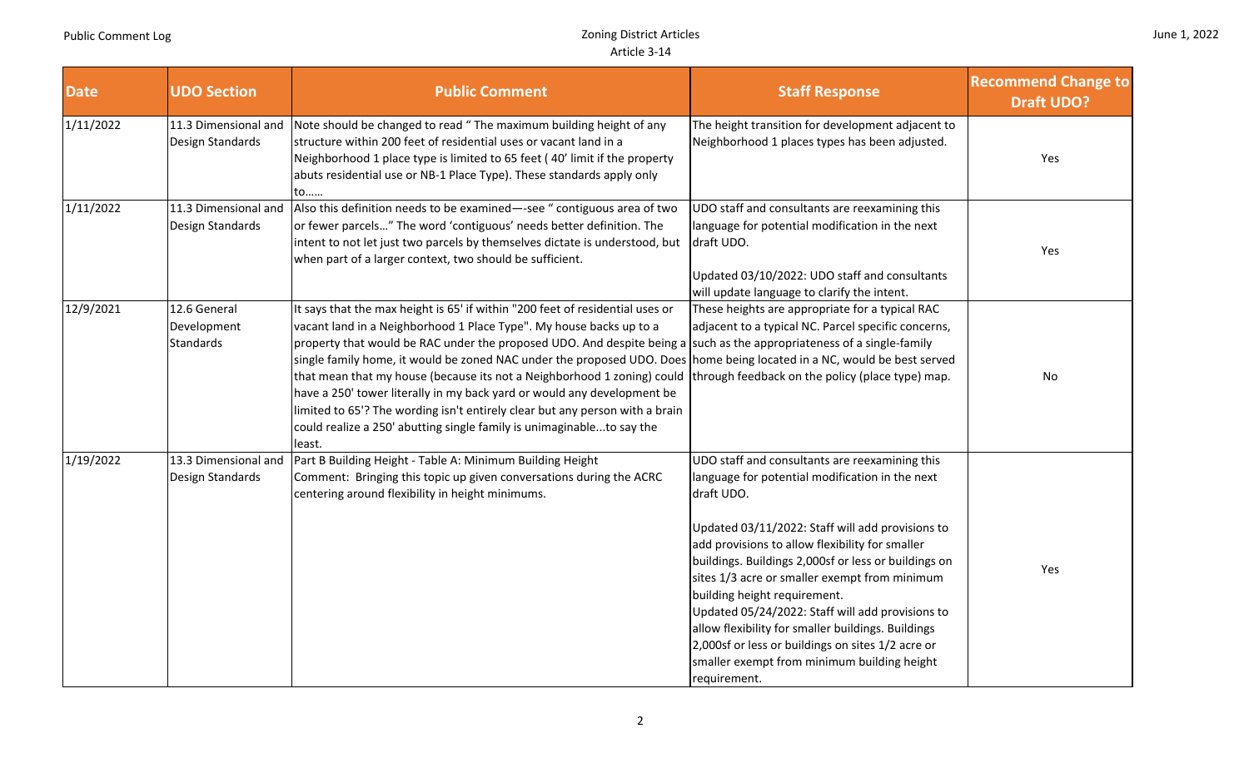|  |  | June 1, 2022 |
|--|--|--------------|
|--|--|--------------|

| <b>Date</b> | <b>UDO Section</b>                              | <b>Public Comment</b>                                                                                                                                                                                                                                                                                                                                                                                                                                                                                                                                                                                                                                                                                                             | <b>Staff Response</b>                                                                                                                                                                                                                                                                                                                                                                                                                                                                                                                                                                         | <b>Recommend Change to</b><br><b>Draft UDO?</b> |
|-------------|-------------------------------------------------|-----------------------------------------------------------------------------------------------------------------------------------------------------------------------------------------------------------------------------------------------------------------------------------------------------------------------------------------------------------------------------------------------------------------------------------------------------------------------------------------------------------------------------------------------------------------------------------------------------------------------------------------------------------------------------------------------------------------------------------|-----------------------------------------------------------------------------------------------------------------------------------------------------------------------------------------------------------------------------------------------------------------------------------------------------------------------------------------------------------------------------------------------------------------------------------------------------------------------------------------------------------------------------------------------------------------------------------------------|-------------------------------------------------|
| 1/11/2022   | 11.3 Dimensional and<br>Design Standards        | Note should be changed to read " The maximum building height of any<br>structure within 200 feet of residential uses or vacant land in a<br>Neighborhood 1 place type is limited to 65 feet (40' limit if the property<br>abuts residential use or NB-1 Place Type). These standards apply only<br>to                                                                                                                                                                                                                                                                                                                                                                                                                             | The height transition for development adjacent to<br>Neighborhood 1 places types has been adjusted.                                                                                                                                                                                                                                                                                                                                                                                                                                                                                           | Yes                                             |
| 1/11/2022   | 11.3 Dimensional and<br>Design Standards        | Also this definition needs to be examined-see " contiguous area of two<br>or fewer parcels" The word 'contiguous' needs better definition. The<br>intent to not let just two parcels by themselves dictate is understood, but<br>when part of a larger context, two should be sufficient.                                                                                                                                                                                                                                                                                                                                                                                                                                         | UDO staff and consultants are reexamining this<br>language for potential modification in the next<br>draft UDO.<br>Updated 03/10/2022: UDO staff and consultants<br>will update language to clarify the intent.                                                                                                                                                                                                                                                                                                                                                                               | Yes                                             |
| 12/9/2021   | 12.6 General<br>Development<br><b>Standards</b> | It says that the max height is 65' if within "200 feet of residential uses or<br>vacant land in a Neighborhood 1 Place Type". My house backs up to a<br>property that would be RAC under the proposed UDO. And despite being a such as the appropriateness of a single-family<br>single family home, it would be zoned NAC under the proposed UDO. Does home being located in a NC, would be best served<br>that mean that my house (because its not a Neighborhood 1 zoning) could<br>have a 250' tower literally in my back yard or would any development be<br>limited to 65'? The wording isn't entirely clear but any person with a brain<br>could realize a 250' abutting single family is unimaginableto say the<br>least. | These heights are appropriate for a typical RAC<br>adjacent to a typical NC. Parcel specific concerns,<br>through feedback on the policy (place type) map.                                                                                                                                                                                                                                                                                                                                                                                                                                    | No                                              |
| 1/19/2022   | 13.3 Dimensional and<br>Design Standards        | Part B Building Height - Table A: Minimum Building Height<br>Comment: Bringing this topic up given conversations during the ACRC<br>centering around flexibility in height minimums.                                                                                                                                                                                                                                                                                                                                                                                                                                                                                                                                              | UDO staff and consultants are reexamining this<br>language for potential modification in the next<br>draft UDO.<br>Updated 03/11/2022: Staff will add provisions to<br>add provisions to allow flexibility for smaller<br>buildings. Buildings 2,000sf or less or buildings on<br>sites 1/3 acre or smaller exempt from minimum<br>building height requirement.<br>Updated 05/24/2022: Staff will add provisions to<br>allow flexibility for smaller buildings. Buildings<br>2,000sf or less or buildings on sites 1/2 acre or<br>smaller exempt from minimum building height<br>requirement. | Yes                                             |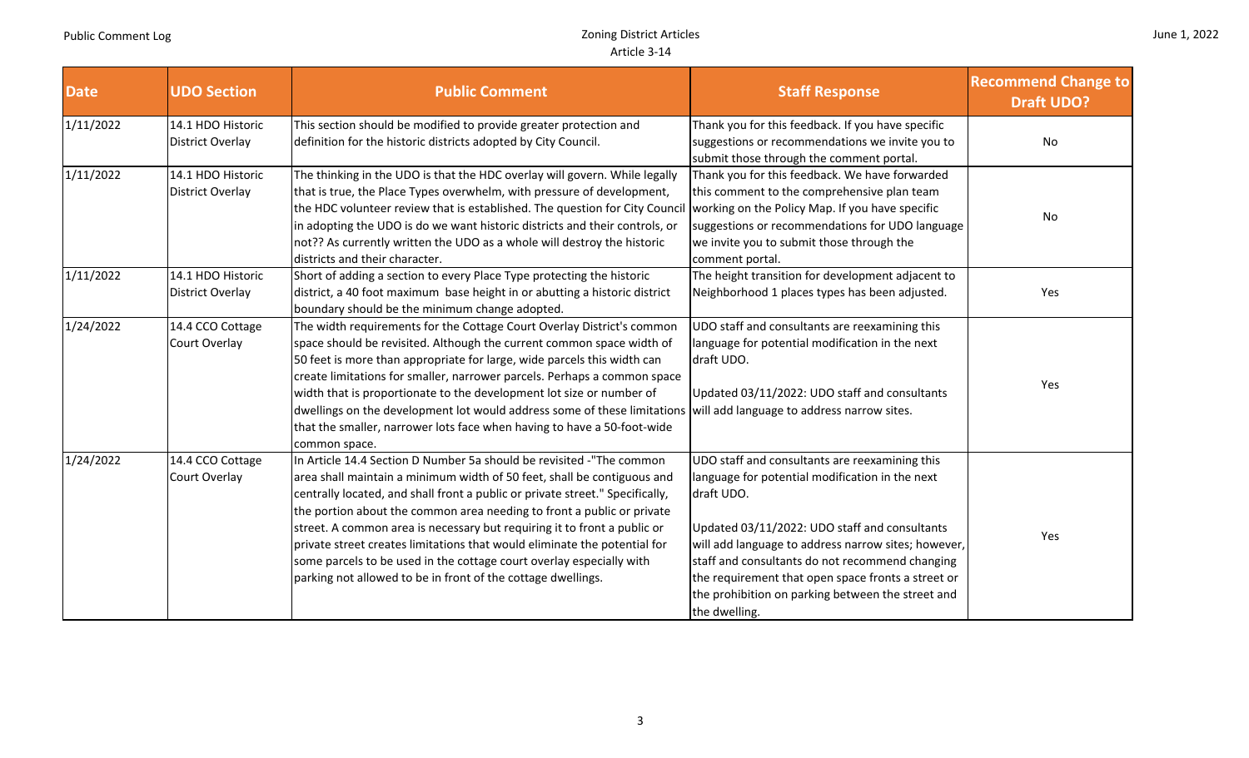| June 1, 2022 |  |  |
|--------------|--|--|
|--------------|--|--|

| <b>Date</b> | <b>UDO Section</b>                           | <b>Public Comment</b>                                                                                                                                                                                                                                                                                                                                                                                                                                                                                                                                                                                       | <b>Staff Response</b>                                                                                                                                                                                                                                                                                                                                                                                  | <b>Recommend Change to</b><br><b>Draft UDO?</b> |
|-------------|----------------------------------------------|-------------------------------------------------------------------------------------------------------------------------------------------------------------------------------------------------------------------------------------------------------------------------------------------------------------------------------------------------------------------------------------------------------------------------------------------------------------------------------------------------------------------------------------------------------------------------------------------------------------|--------------------------------------------------------------------------------------------------------------------------------------------------------------------------------------------------------------------------------------------------------------------------------------------------------------------------------------------------------------------------------------------------------|-------------------------------------------------|
| 1/11/2022   | 14.1 HDO Historic<br><b>District Overlay</b> | This section should be modified to provide greater protection and<br>definition for the historic districts adopted by City Council.                                                                                                                                                                                                                                                                                                                                                                                                                                                                         | Thank you for this feedback. If you have specific<br>suggestions or recommendations we invite you to<br>submit those through the comment portal.                                                                                                                                                                                                                                                       | No                                              |
| 1/11/2022   | 14.1 HDO Historic<br>District Overlay        | The thinking in the UDO is that the HDC overlay will govern. While legally<br>that is true, the Place Types overwhelm, with pressure of development,<br>the HDC volunteer review that is established. The question for City Council<br>in adopting the UDO is do we want historic districts and their controls, or<br>not?? As currently written the UDO as a whole will destroy the historic<br>districts and their character.                                                                                                                                                                             | Thank you for this feedback. We have forwarded<br>this comment to the comprehensive plan team<br>working on the Policy Map. If you have specific<br>suggestions or recommendations for UDO language<br>we invite you to submit those through the<br>comment portal.                                                                                                                                    | No                                              |
| 1/11/2022   | 14.1 HDO Historic<br><b>District Overlay</b> | Short of adding a section to every Place Type protecting the historic<br>district, a 40 foot maximum base height in or abutting a historic district<br>boundary should be the minimum change adopted.                                                                                                                                                                                                                                                                                                                                                                                                       | The height transition for development adjacent to<br>Neighborhood 1 places types has been adjusted.                                                                                                                                                                                                                                                                                                    | Yes                                             |
| 1/24/2022   | 14.4 CCO Cottage<br>Court Overlay            | The width requirements for the Cottage Court Overlay District's common<br>space should be revisited. Although the current common space width of<br>50 feet is more than appropriate for large, wide parcels this width can<br>create limitations for smaller, narrower parcels. Perhaps a common space<br>width that is proportionate to the development lot size or number of<br>dwellings on the development lot would address some of these limitations<br>that the smaller, narrower lots face when having to have a 50-foot-wide<br>common space.                                                      | UDO staff and consultants are reexamining this<br>language for potential modification in the next<br>draft UDO.<br>Updated 03/11/2022: UDO staff and consultants<br>will add language to address narrow sites.                                                                                                                                                                                         | Yes                                             |
| 1/24/2022   | 14.4 CCO Cottage<br>Court Overlay            | In Article 14.4 Section D Number 5a should be revisited -"The common<br>area shall maintain a minimum width of 50 feet, shall be contiguous and<br>centrally located, and shall front a public or private street." Specifically,<br>the portion about the common area needing to front a public or private<br>street. A common area is necessary but requiring it to front a public or<br>private street creates limitations that would eliminate the potential for<br>some parcels to be used in the cottage court overlay especially with<br>parking not allowed to be in front of the cottage dwellings. | UDO staff and consultants are reexamining this<br>language for potential modification in the next<br>draft UDO.<br>Updated 03/11/2022: UDO staff and consultants<br>will add language to address narrow sites; however,<br>staff and consultants do not recommend changing<br>the requirement that open space fronts a street or<br>the prohibition on parking between the street and<br>the dwelling. | Yes                                             |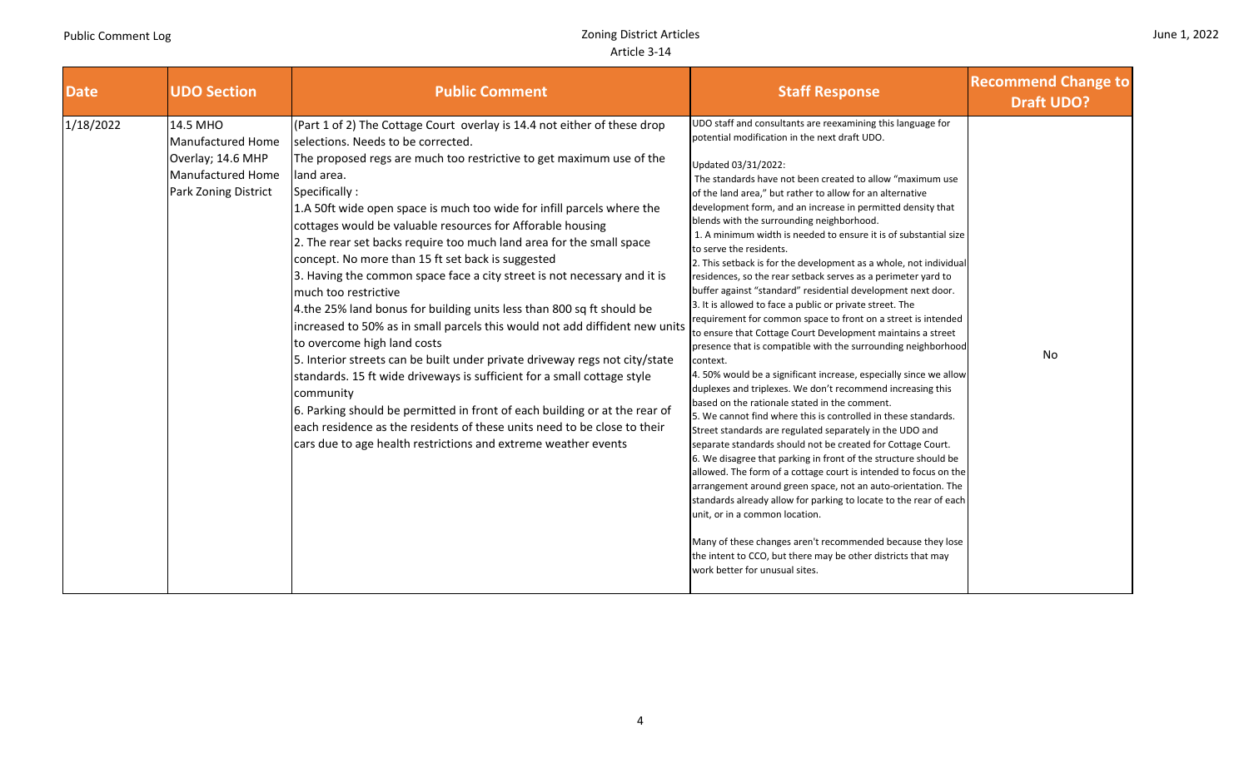## Zoning District Articles Article 3‐14

|  |  | June 1, 2022 |
|--|--|--------------|
|--|--|--------------|

| <b>Date</b> | <b>UDO Section</b>                                                                              | <b>Public Comment</b>                                                                                                                                                                                                                                                                                                                                                                                                                                                                                                                                                                                                                                                                                                                                                                                                                                                                                                                                                                                                                                                                                                                                                                    | <b>Staff Response</b>                                                                                                                                                                                                                                                                                                                                                                                                                                                                                                                                                                                                                                                                                                                                                                                                                                                                                                                                                                                                                                                                                                                                                                                                                                                                                                                                                                                                                                                                                                                                                                                                                                                                                                                                                                                                  | <b>Recommend Change to</b><br><b>Draft UDO?</b> |
|-------------|-------------------------------------------------------------------------------------------------|------------------------------------------------------------------------------------------------------------------------------------------------------------------------------------------------------------------------------------------------------------------------------------------------------------------------------------------------------------------------------------------------------------------------------------------------------------------------------------------------------------------------------------------------------------------------------------------------------------------------------------------------------------------------------------------------------------------------------------------------------------------------------------------------------------------------------------------------------------------------------------------------------------------------------------------------------------------------------------------------------------------------------------------------------------------------------------------------------------------------------------------------------------------------------------------|------------------------------------------------------------------------------------------------------------------------------------------------------------------------------------------------------------------------------------------------------------------------------------------------------------------------------------------------------------------------------------------------------------------------------------------------------------------------------------------------------------------------------------------------------------------------------------------------------------------------------------------------------------------------------------------------------------------------------------------------------------------------------------------------------------------------------------------------------------------------------------------------------------------------------------------------------------------------------------------------------------------------------------------------------------------------------------------------------------------------------------------------------------------------------------------------------------------------------------------------------------------------------------------------------------------------------------------------------------------------------------------------------------------------------------------------------------------------------------------------------------------------------------------------------------------------------------------------------------------------------------------------------------------------------------------------------------------------------------------------------------------------------------------------------------------------|-------------------------------------------------|
| 1/18/2022   | 14.5 MHO<br>Manufactured Home<br>Overlay; 14.6 MHP<br>Manufactured Home<br>Park Zoning District | (Part 1 of 2) The Cottage Court overlay is 14.4 not either of these drop<br>selections. Needs to be corrected.<br>The proposed regs are much too restrictive to get maximum use of the<br>land area.<br>Specifically:<br>1.A 50ft wide open space is much too wide for infill parcels where the<br>cottages would be valuable resources for Afforable housing<br>2. The rear set backs require too much land area for the small space<br>concept. No more than 15 ft set back is suggested<br>3. Having the common space face a city street is not necessary and it is<br>much too restrictive<br>4.the 25% land bonus for building units less than 800 sq ft should be<br>increased to 50% as in small parcels this would not add diffident new units<br>to overcome high land costs<br>5. Interior streets can be built under private driveway regs not city/state<br>standards. 15 ft wide driveways is sufficient for a small cottage style<br>community<br>6. Parking should be permitted in front of each building or at the rear of<br>each residence as the residents of these units need to be close to their<br>cars due to age health restrictions and extreme weather events | UDO staff and consultants are reexamining this language for<br>potential modification in the next draft UDO.<br>Updated 03/31/2022:<br>The standards have not been created to allow "maximum use<br>of the land area," but rather to allow for an alternative<br>development form, and an increase in permitted density that<br>blends with the surrounding neighborhood.<br>1. A minimum width is needed to ensure it is of substantial size<br>to serve the residents.<br>2. This setback is for the development as a whole, not individual<br>residences, so the rear setback serves as a perimeter yard to<br>buffer against "standard" residential development next door.<br>3. It is allowed to face a public or private street. The<br>requirement for common space to front on a street is intended<br>to ensure that Cottage Court Development maintains a street<br>presence that is compatible with the surrounding neighborhood<br>context.<br>4. 50% would be a significant increase, especially since we allow<br>duplexes and triplexes. We don't recommend increasing this<br>based on the rationale stated in the comment.<br>5. We cannot find where this is controlled in these standards.<br>Street standards are regulated separately in the UDO and<br>separate standards should not be created for Cottage Court.<br>6. We disagree that parking in front of the structure should be<br>allowed. The form of a cottage court is intended to focus on the<br>arrangement around green space, not an auto-orientation. The<br>standards already allow for parking to locate to the rear of each<br>unit, or in a common location.<br>Many of these changes aren't recommended because they lose<br>the intent to CCO, but there may be other districts that may<br>work better for unusual sites. | No                                              |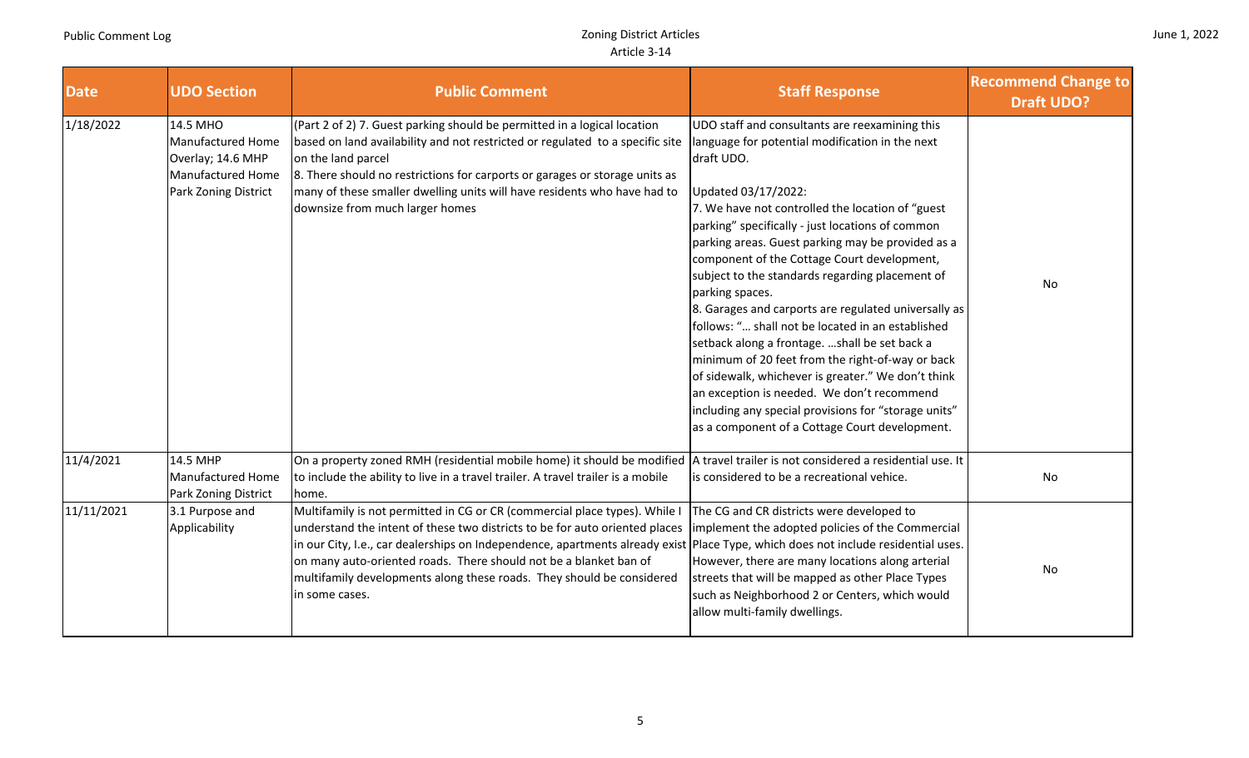m li

an T

| June 1, 2022 |  |  |
|--------------|--|--|
|--------------|--|--|

| <b>Date</b> | <b>UDO Section</b>                                                                                     | <b>Public Comment</b>                                                                                                                                                                                                                                                                                                                                                                                                                                          | <b>Staff Response</b>                                                                                                                                                                                                                                                                                                                                                                                                                                                                                                                                                                                                                                                                                                                                                                                                                                     | <b>Recommend Change to</b><br><b>Draft UDO?</b> |
|-------------|--------------------------------------------------------------------------------------------------------|----------------------------------------------------------------------------------------------------------------------------------------------------------------------------------------------------------------------------------------------------------------------------------------------------------------------------------------------------------------------------------------------------------------------------------------------------------------|-----------------------------------------------------------------------------------------------------------------------------------------------------------------------------------------------------------------------------------------------------------------------------------------------------------------------------------------------------------------------------------------------------------------------------------------------------------------------------------------------------------------------------------------------------------------------------------------------------------------------------------------------------------------------------------------------------------------------------------------------------------------------------------------------------------------------------------------------------------|-------------------------------------------------|
| 1/18/2022   | 14.5 MHO<br><b>Manufactured Home</b><br>Overlay; 14.6 MHP<br>Manufactured Home<br>Park Zoning District | (Part 2 of 2) 7. Guest parking should be permitted in a logical location<br>based on land availability and not restricted or regulated to a specific site<br>on the land parcel<br>8. There should no restrictions for carports or garages or storage units as<br>many of these smaller dwelling units will have residents who have had to<br>downsize from much larger homes                                                                                  | UDO staff and consultants are reexamining this<br>language for potential modification in the next<br>draft UDO.<br>Updated 03/17/2022:<br>7. We have not controlled the location of "guest"<br>parking" specifically - just locations of common<br>parking areas. Guest parking may be provided as a<br>component of the Cottage Court development,<br>subject to the standards regarding placement of<br>parking spaces.<br>8. Garages and carports are regulated universally as<br>follows: " shall not be located in an established<br>setback along a frontage. shall be set back a<br>minimum of 20 feet from the right-of-way or back<br>of sidewalk, whichever is greater." We don't think<br>an exception is needed. We don't recommend<br>including any special provisions for "storage units"<br>as a component of a Cottage Court development. | No                                              |
| 11/4/2021   | 14.5 MHP<br>Manufactured Home<br>Park Zoning District                                                  | On a property zoned RMH (residential mobile home) it should be modified   A travel trailer is not considered a residential use. It<br>to include the ability to live in a travel trailer. A travel trailer is a mobile<br>home.                                                                                                                                                                                                                                | is considered to be a recreational vehice.                                                                                                                                                                                                                                                                                                                                                                                                                                                                                                                                                                                                                                                                                                                                                                                                                | No                                              |
| 11/11/2021  | 3.1 Purpose and<br>Applicability                                                                       | Multifamily is not permitted in CG or CR (commercial place types). While I<br>understand the intent of these two districts to be for auto oriented places<br>in our City, I.e., car dealerships on Independence, apartments already exist Place Type, which does not include residential uses.<br>on many auto-oriented roads. There should not be a blanket ban of<br>multifamily developments along these roads. They should be considered<br>in some cases. | The CG and CR districts were developed to<br>implement the adopted policies of the Commercial<br>However, there are many locations along arterial<br>streets that will be mapped as other Place Types<br>such as Neighborhood 2 or Centers, which would<br>allow multi-family dwellings.                                                                                                                                                                                                                                                                                                                                                                                                                                                                                                                                                                  | No                                              |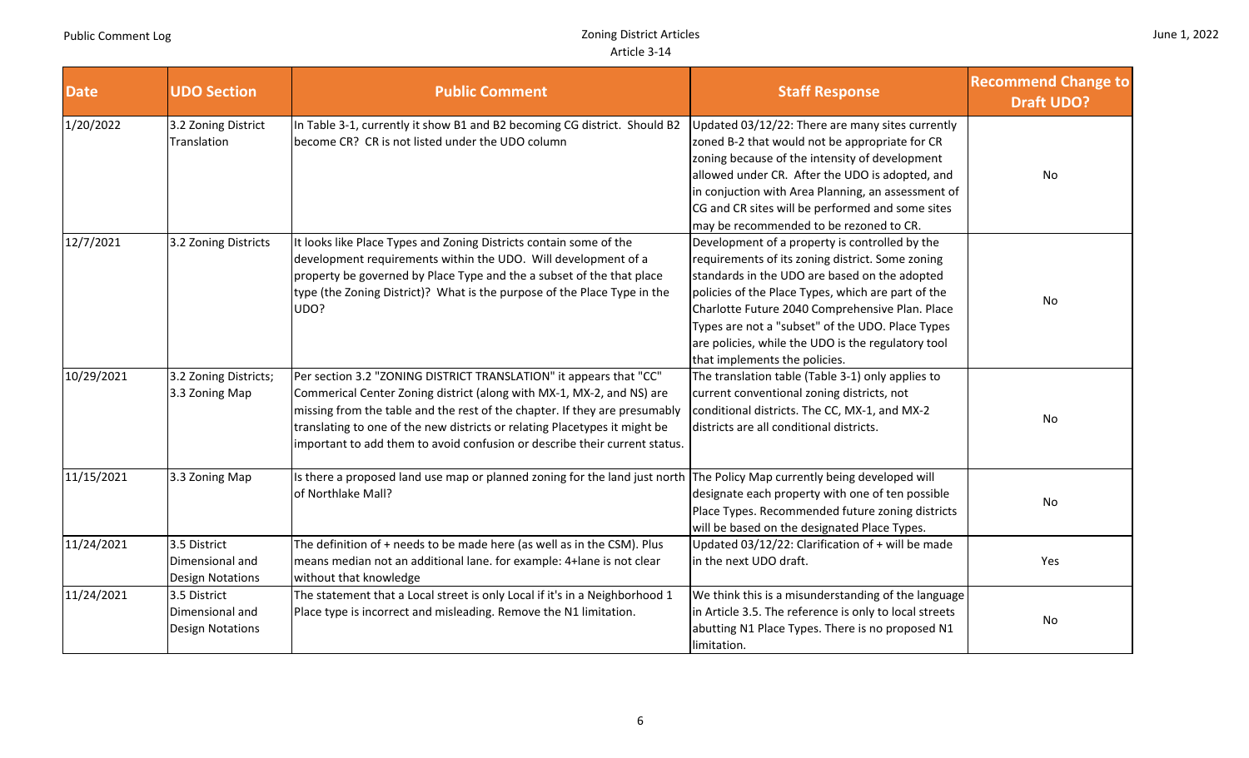n II

| June 1, 2022 |  |  |
|--------------|--|--|
|--------------|--|--|

- 11

| <b>Date</b> | <b>UDO Section</b>                                         | <b>Public Comment</b>                                                                                                                                                                                                                                                                                                                                                                 | <b>Staff Response</b>                                                                                                                                                                                                                                                                                                                                                                                   | <b>Recommend Change to</b><br><b>Draft UDO?</b> |
|-------------|------------------------------------------------------------|---------------------------------------------------------------------------------------------------------------------------------------------------------------------------------------------------------------------------------------------------------------------------------------------------------------------------------------------------------------------------------------|---------------------------------------------------------------------------------------------------------------------------------------------------------------------------------------------------------------------------------------------------------------------------------------------------------------------------------------------------------------------------------------------------------|-------------------------------------------------|
| 1/20/2022   | 3.2 Zoning District<br>Translation                         | In Table 3-1, currently it show B1 and B2 becoming CG district. Should B2<br>become CR? CR is not listed under the UDO column                                                                                                                                                                                                                                                         | Updated 03/12/22: There are many sites currently<br>zoned B-2 that would not be appropriate for CR<br>zoning because of the intensity of development<br>allowed under CR. After the UDO is adopted, and<br>in conjuction with Area Planning, an assessment of<br>CG and CR sites will be performed and some sites<br>may be recommended to be rezoned to CR.                                            | No                                              |
| 12/7/2021   | 3.2 Zoning Districts                                       | It looks like Place Types and Zoning Districts contain some of the<br>development requirements within the UDO. Will development of a<br>property be governed by Place Type and the a subset of the that place<br>type (the Zoning District)? What is the purpose of the Place Type in the<br>UDO?                                                                                     | Development of a property is controlled by the<br>requirements of its zoning district. Some zoning<br>standards in the UDO are based on the adopted<br>policies of the Place Types, which are part of the<br>Charlotte Future 2040 Comprehensive Plan. Place<br>Types are not a "subset" of the UDO. Place Types<br>are policies, while the UDO is the regulatory tool<br>that implements the policies. | No                                              |
| 10/29/2021  | 3.2 Zoning Districts;<br>3.3 Zoning Map                    | Per section 3.2 "ZONING DISTRICT TRANSLATION" it appears that "CC"<br>Commerical Center Zoning district (along with MX-1, MX-2, and NS) are<br>missing from the table and the rest of the chapter. If they are presumably<br>translating to one of the new districts or relating Placetypes it might be<br>important to add them to avoid confusion or describe their current status. | The translation table (Table 3-1) only applies to<br>current conventional zoning districts, not<br>conditional districts. The CC, MX-1, and MX-2<br>districts are all conditional districts.                                                                                                                                                                                                            | No                                              |
| 11/15/2021  | 3.3 Zoning Map                                             | Is there a proposed land use map or planned zoning for the land just north<br>of Northlake Mall?                                                                                                                                                                                                                                                                                      | The Policy Map currently being developed will<br>designate each property with one of ten possible<br>Place Types. Recommended future zoning districts<br>will be based on the designated Place Types.                                                                                                                                                                                                   | No                                              |
| 11/24/2021  | 3.5 District<br>Dimensional and<br><b>Design Notations</b> | The definition of + needs to be made here (as well as in the CSM). Plus<br>means median not an additional lane. for example: 4+ lane is not clear<br>without that knowledge                                                                                                                                                                                                           | Updated 03/12/22: Clarification of + will be made<br>in the next UDO draft.                                                                                                                                                                                                                                                                                                                             | Yes                                             |
| 11/24/2021  | 3.5 District<br>Dimensional and<br><b>Design Notations</b> | The statement that a Local street is only Local if it's in a Neighborhood 1<br>Place type is incorrect and misleading. Remove the N1 limitation.                                                                                                                                                                                                                                      | We think this is a misunderstanding of the language<br>in Article 3.5. The reference is only to local streets<br>abutting N1 Place Types. There is no proposed N1<br>limitation.                                                                                                                                                                                                                        | No                                              |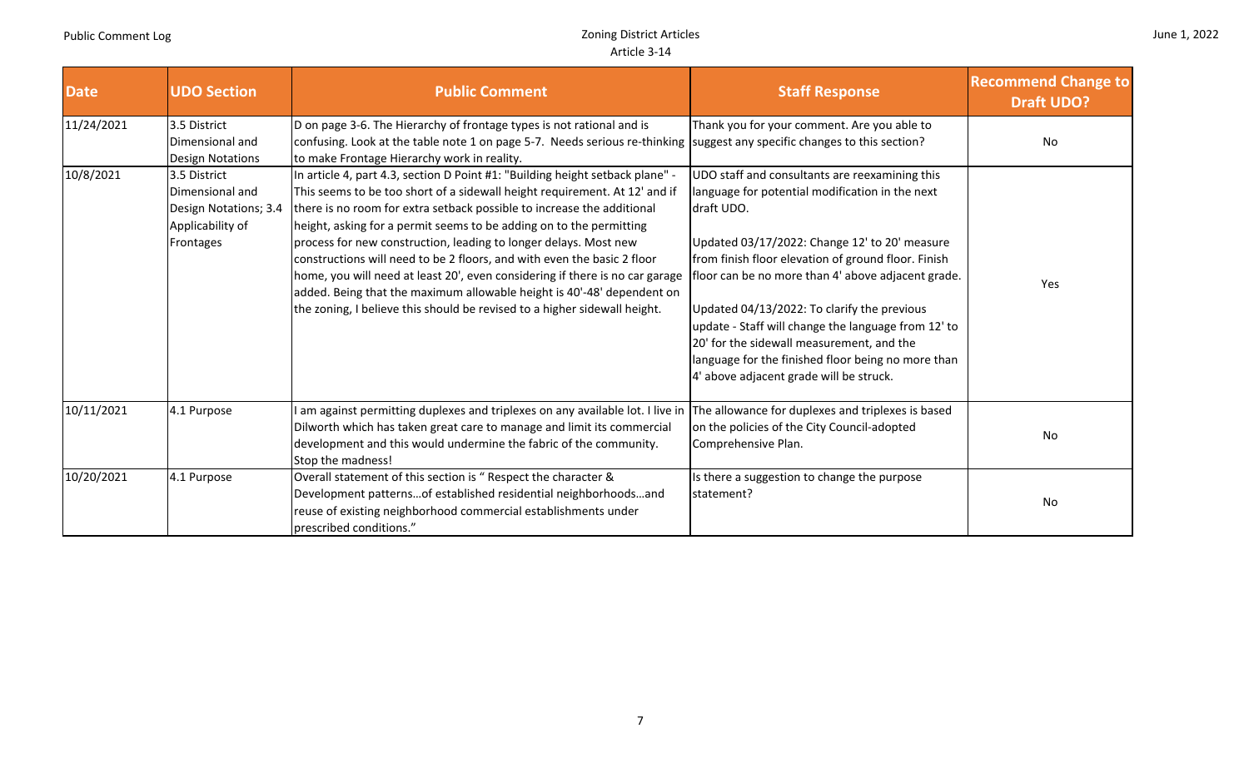П

|  |  | June 1, 2022 |
|--|--|--------------|
|--|--|--------------|

| <b>Date</b> | <b>UDO Section</b>                                                                        | <b>Public Comment</b>                                                                                                                                                                                                                                                                                                                                                                                                                                                                                                                                                                                                                                                                              | <b>Staff Response</b>                                                                                                                                                                                                                                                                                                                                                                                                                                                                                                            | <b>Recommend Change to</b><br><b>Draft UDO?</b> |
|-------------|-------------------------------------------------------------------------------------------|----------------------------------------------------------------------------------------------------------------------------------------------------------------------------------------------------------------------------------------------------------------------------------------------------------------------------------------------------------------------------------------------------------------------------------------------------------------------------------------------------------------------------------------------------------------------------------------------------------------------------------------------------------------------------------------------------|----------------------------------------------------------------------------------------------------------------------------------------------------------------------------------------------------------------------------------------------------------------------------------------------------------------------------------------------------------------------------------------------------------------------------------------------------------------------------------------------------------------------------------|-------------------------------------------------|
| 11/24/2021  | 3.5 District<br>Dimensional and<br><b>Design Notations</b>                                | D on page 3-6. The Hierarchy of frontage types is not rational and is<br>confusing. Look at the table note 1 on page 5-7. Needs serious re-thinking<br>to make Frontage Hierarchy work in reality.                                                                                                                                                                                                                                                                                                                                                                                                                                                                                                 | Thank you for your comment. Are you able to<br>suggest any specific changes to this section?                                                                                                                                                                                                                                                                                                                                                                                                                                     | No                                              |
| 10/8/2021   | 3.5 District<br>Dimensional and<br>Design Notations; 3.4<br>Applicability of<br>Frontages | In article 4, part 4.3, section D Point #1: "Building height setback plane" -<br>This seems to be too short of a sidewall height requirement. At 12' and if<br>there is no room for extra setback possible to increase the additional<br>height, asking for a permit seems to be adding on to the permitting<br>process for new construction, leading to longer delays. Most new<br>constructions will need to be 2 floors, and with even the basic 2 floor<br>home, you will need at least 20', even considering if there is no car garage<br>added. Being that the maximum allowable height is 40'-48' dependent on<br>the zoning, I believe this should be revised to a higher sidewall height. | UDO staff and consultants are reexamining this<br>language for potential modification in the next<br>draft UDO.<br>Updated 03/17/2022: Change 12' to 20' measure<br>from finish floor elevation of ground floor. Finish<br>loor can be no more than 4' above adjacent grade.<br>Updated 04/13/2022: To clarify the previous<br>update - Staff will change the language from 12' to<br>20' for the sidewall measurement, and the<br>language for the finished floor being no more than<br>4' above adjacent grade will be struck. | Yes                                             |
| 10/11/2021  | 4.1 Purpose                                                                               | I am against permitting duplexes and triplexes on any available lot. I live in<br>Dilworth which has taken great care to manage and limit its commercial<br>development and this would undermine the fabric of the community.<br>Stop the madness!                                                                                                                                                                                                                                                                                                                                                                                                                                                 | The allowance for duplexes and triplexes is based<br>on the policies of the City Council-adopted<br>Comprehensive Plan.                                                                                                                                                                                                                                                                                                                                                                                                          | No                                              |
| 10/20/2021  | 4.1 Purpose                                                                               | Overall statement of this section is " Respect the character &<br>Development patternsof established residential neighborhoodsand<br>reuse of existing neighborhood commercial establishments under<br>prescribed conditions."                                                                                                                                                                                                                                                                                                                                                                                                                                                                     | Is there a suggestion to change the purpose<br>statement?                                                                                                                                                                                                                                                                                                                                                                                                                                                                        | No                                              |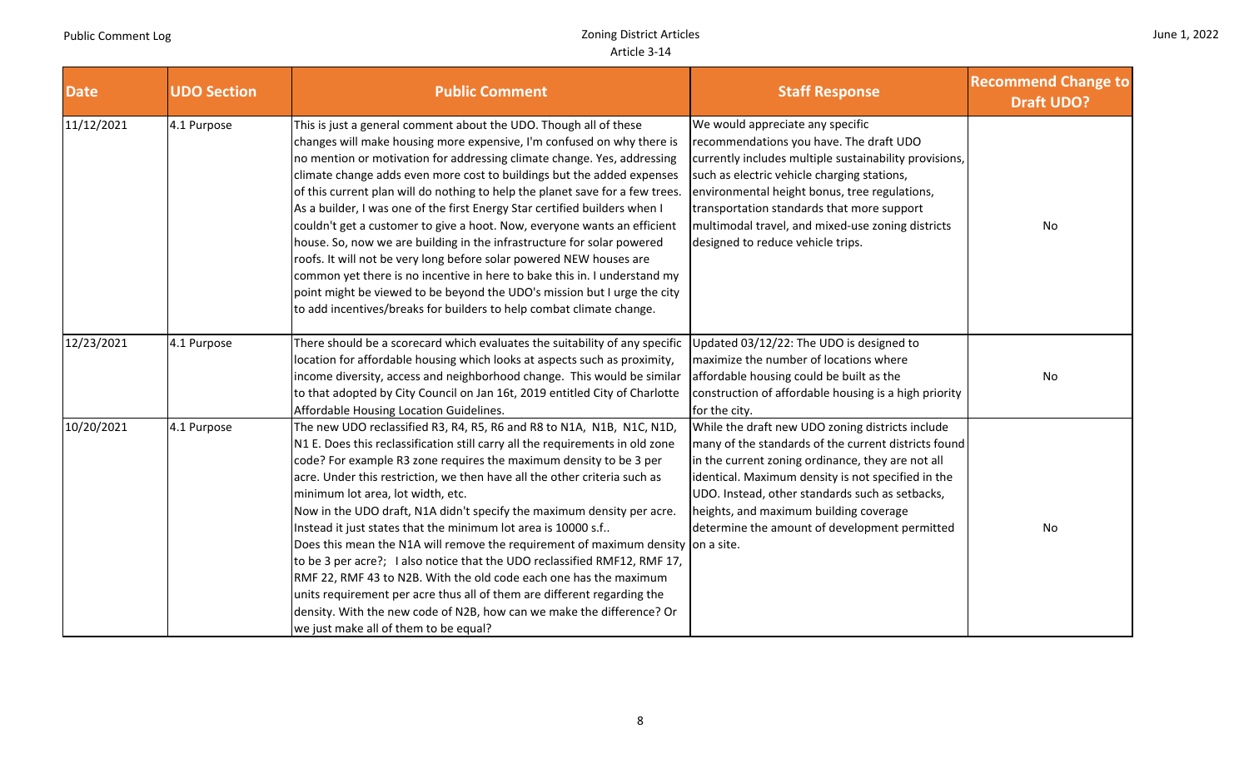|  |  | June 1, 2022 |
|--|--|--------------|
|--|--|--------------|

| <b>Date</b> | <b>UDO Section</b> | <b>Public Comment</b>                                                                                                                                                                                                                                                                                                                                                                                                                                                                                                                                                                                                                                                                                                                                                                                                                                                                                                         | <b>Staff Response</b>                                                                                                                                                                                                                                                                                                                                                         | <b>Recommend Change to</b><br><b>Draft UDO?</b> |
|-------------|--------------------|-------------------------------------------------------------------------------------------------------------------------------------------------------------------------------------------------------------------------------------------------------------------------------------------------------------------------------------------------------------------------------------------------------------------------------------------------------------------------------------------------------------------------------------------------------------------------------------------------------------------------------------------------------------------------------------------------------------------------------------------------------------------------------------------------------------------------------------------------------------------------------------------------------------------------------|-------------------------------------------------------------------------------------------------------------------------------------------------------------------------------------------------------------------------------------------------------------------------------------------------------------------------------------------------------------------------------|-------------------------------------------------|
| 11/12/2021  | 4.1 Purpose        | This is just a general comment about the UDO. Though all of these<br>changes will make housing more expensive, I'm confused on why there is<br>no mention or motivation for addressing climate change. Yes, addressing<br>climate change adds even more cost to buildings but the added expenses<br>of this current plan will do nothing to help the planet save for a few trees.<br>As a builder, I was one of the first Energy Star certified builders when I<br>couldn't get a customer to give a hoot. Now, everyone wants an efficient<br>house. So, now we are building in the infrastructure for solar powered<br>roofs. It will not be very long before solar powered NEW houses are<br>common yet there is no incentive in here to bake this in. I understand my<br>point might be viewed to be beyond the UDO's mission but I urge the city<br>to add incentives/breaks for builders to help combat climate change. | We would appreciate any specific<br>recommendations you have. The draft UDO<br>currently includes multiple sustainability provisions,<br>such as electric vehicle charging stations,<br>environmental height bonus, tree regulations,<br>transportation standards that more support<br>multimodal travel, and mixed-use zoning districts<br>designed to reduce vehicle trips. | No                                              |
| 12/23/2021  | 4.1 Purpose        | There should be a scorecard which evaluates the suitability of any specific<br>location for affordable housing which looks at aspects such as proximity,<br>income diversity, access and neighborhood change. This would be similar<br>to that adopted by City Council on Jan 16t, 2019 entitled City of Charlotte<br>Affordable Housing Location Guidelines.                                                                                                                                                                                                                                                                                                                                                                                                                                                                                                                                                                 | Updated 03/12/22: The UDO is designed to<br>maximize the number of locations where<br>affordable housing could be built as the<br>construction of affordable housing is a high priority<br>for the city.                                                                                                                                                                      | No                                              |
| 10/20/2021  | 4.1 Purpose        | The new UDO reclassified R3, R4, R5, R6 and R8 to N1A, N1B, N1C, N1D,<br>N1 E. Does this reclassification still carry all the requirements in old zone<br>code? For example R3 zone requires the maximum density to be 3 per<br>acre. Under this restriction, we then have all the other criteria such as<br>minimum lot area, lot width, etc.<br>Now in the UDO draft, N1A didn't specify the maximum density per acre.<br>Instead it just states that the minimum lot area is 10000 s.f<br>Does this mean the N1A will remove the requirement of maximum density on a site.<br>to be 3 per acre?; I also notice that the UDO reclassified RMF12, RMF 17,<br>RMF 22, RMF 43 to N2B. With the old code each one has the maximum<br>units requirement per acre thus all of them are different regarding the<br>density. With the new code of N2B, how can we make the difference? Or<br>we just make all of them to be equal?  | While the draft new UDO zoning districts include<br>many of the standards of the current districts found<br>in the current zoning ordinance, they are not all<br>identical. Maximum density is not specified in the<br>UDO. Instead, other standards such as setbacks,<br>heights, and maximum building coverage<br>determine the amount of development permitted             | No                                              |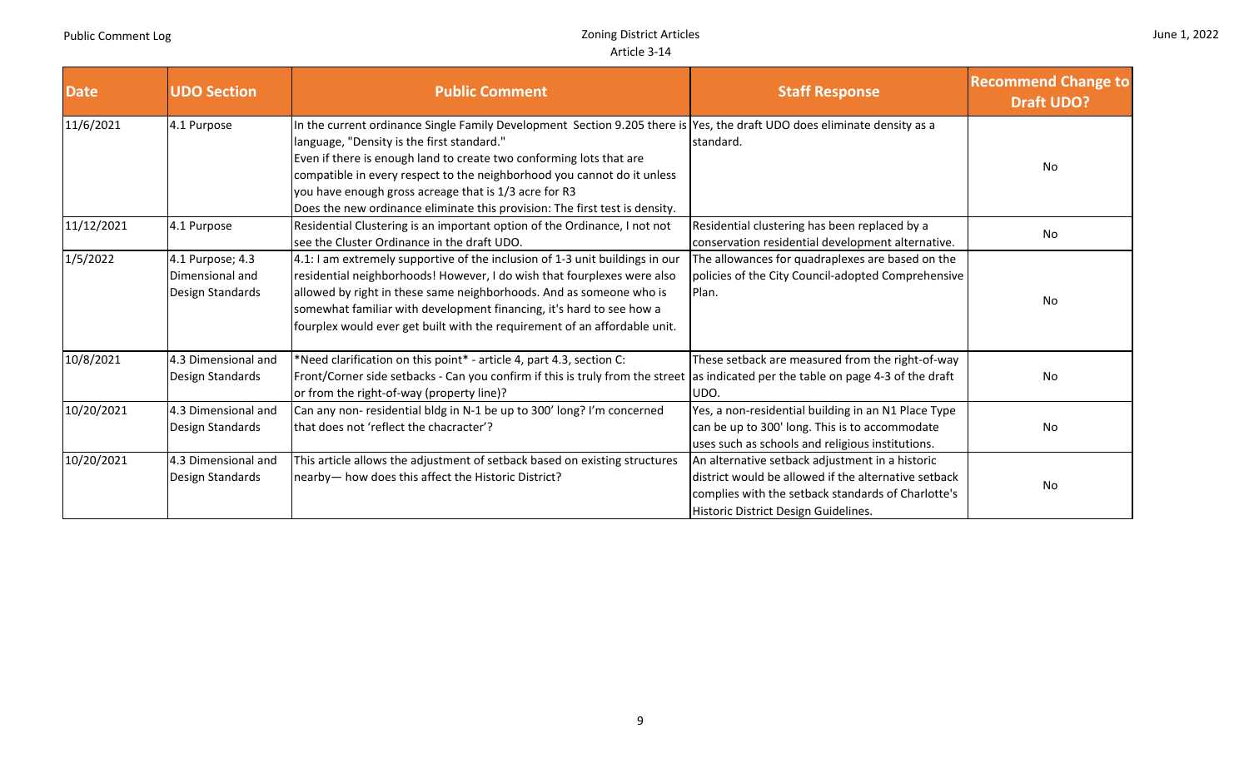|  |  | June 1, 2022 |
|--|--|--------------|
|--|--|--------------|

| <b>Date</b> | <b>UDO Section</b>                                      | <b>Public Comment</b>                                                                                                                                                                                                                                                                                                                                                                                                                                            | <b>Staff Response</b>                                                                                                                                                                                 | <b>Recommend Change to</b><br><b>Draft UDO?</b> |
|-------------|---------------------------------------------------------|------------------------------------------------------------------------------------------------------------------------------------------------------------------------------------------------------------------------------------------------------------------------------------------------------------------------------------------------------------------------------------------------------------------------------------------------------------------|-------------------------------------------------------------------------------------------------------------------------------------------------------------------------------------------------------|-------------------------------------------------|
| 11/6/2021   | 4.1 Purpose                                             | In the current ordinance Single Family Development Section 9.205 there is Yes, the draft UDO does eliminate density as a<br>language, "Density is the first standard."<br>Even if there is enough land to create two conforming lots that are<br>compatible in every respect to the neighborhood you cannot do it unless<br>you have enough gross acreage that is 1/3 acre for R3<br>Does the new ordinance eliminate this provision: The first test is density. | standard.                                                                                                                                                                                             | No                                              |
| 11/12/2021  | 4.1 Purpose                                             | Residential Clustering is an important option of the Ordinance, I not not<br>see the Cluster Ordinance in the draft UDO.                                                                                                                                                                                                                                                                                                                                         | Residential clustering has been replaced by a<br>conservation residential development alternative.                                                                                                    | No                                              |
| 1/5/2022    | 4.1 Purpose; 4.3<br>Dimensional and<br>Design Standards | 4.1: I am extremely supportive of the inclusion of 1-3 unit buildings in our<br>residential neighborhoods! However, I do wish that fourplexes were also<br>allowed by right in these same neighborhoods. And as someone who is<br>somewhat familiar with development financing, it's hard to see how a<br>fourplex would ever get built with the requirement of an affordable unit.                                                                              | The allowances for quadraplexes are based on the<br>policies of the City Council-adopted Comprehensive<br>Plan.                                                                                       | No                                              |
| 10/8/2021   | 4.3 Dimensional and<br>Design Standards                 | *Need clarification on this point* - article 4, part 4.3, section C:<br>Front/Corner side setbacks - Can you confirm if this is truly from the street as indicated per the table on page 4-3 of the draft<br>or from the right-of-way (property line)?                                                                                                                                                                                                           | These setback are measured from the right-of-way<br>UDO.                                                                                                                                              | No                                              |
| 10/20/2021  | 4.3 Dimensional and<br>Design Standards                 | Can any non-residential bldg in N-1 be up to 300' long? I'm concerned<br>that does not 'reflect the chacracter'?                                                                                                                                                                                                                                                                                                                                                 | Yes, a non-residential building in an N1 Place Type<br>can be up to 300' long. This is to accommodate<br>uses such as schools and religious institutions.                                             | No                                              |
| 10/20/2021  | 4.3 Dimensional and<br>Design Standards                 | This article allows the adjustment of setback based on existing structures<br>nearby- how does this affect the Historic District?                                                                                                                                                                                                                                                                                                                                | An alternative setback adjustment in a historic<br>district would be allowed if the alternative setback<br>complies with the setback standards of Charlotte's<br>Historic District Design Guidelines. | No                                              |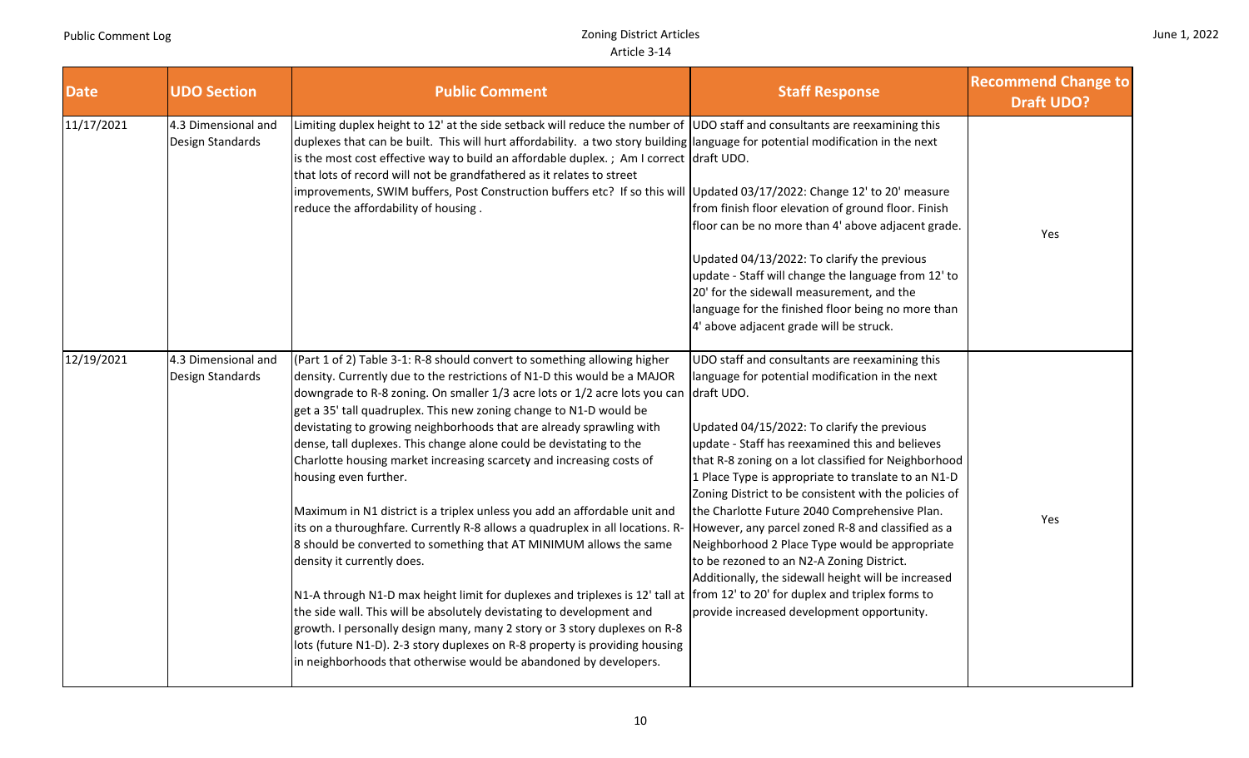| <b>Date</b> | <b>UDO Section</b>                      | <b>Public Comment</b>                                                                                                                                                                                                                                                                                                                                                                                                                                                                                                                                                                                                                                                                                                                                                                                                                                                                                                                                                                                                                                                                                                                                                                                                                                                | <b>Staff Response</b>                                                                                                                                                                                                                                                                                                                                                                                                                                                                                                                                                                                                                                                                               | <b>Recommend Change to</b><br><b>Draft UDO?</b> |
|-------------|-----------------------------------------|----------------------------------------------------------------------------------------------------------------------------------------------------------------------------------------------------------------------------------------------------------------------------------------------------------------------------------------------------------------------------------------------------------------------------------------------------------------------------------------------------------------------------------------------------------------------------------------------------------------------------------------------------------------------------------------------------------------------------------------------------------------------------------------------------------------------------------------------------------------------------------------------------------------------------------------------------------------------------------------------------------------------------------------------------------------------------------------------------------------------------------------------------------------------------------------------------------------------------------------------------------------------|-----------------------------------------------------------------------------------------------------------------------------------------------------------------------------------------------------------------------------------------------------------------------------------------------------------------------------------------------------------------------------------------------------------------------------------------------------------------------------------------------------------------------------------------------------------------------------------------------------------------------------------------------------------------------------------------------------|-------------------------------------------------|
| 11/17/2021  | 4.3 Dimensional and<br>Design Standards | Limiting duplex height to 12' at the side setback will reduce the number of $ $ UDO staff and consultants are reexamining this<br>duplexes that can be built. This will hurt affordability. a two story building language for potential modification in the next<br>is the most cost effective way to build an affordable duplex. ; Am I correct draft UDO.<br>that lots of record will not be grandfathered as it relates to street<br>improvements, SWIM buffers, Post Construction buffers etc? If so this will Updated 03/17/2022: Change 12' to 20' measure<br>reduce the affordability of housing.                                                                                                                                                                                                                                                                                                                                                                                                                                                                                                                                                                                                                                                             | from finish floor elevation of ground floor. Finish<br>floor can be no more than 4' above adjacent grade.<br>Updated 04/13/2022: To clarify the previous<br>update - Staff will change the language from 12' to<br>20' for the sidewall measurement, and the<br>language for the finished floor being no more than<br>4' above adjacent grade will be struck.                                                                                                                                                                                                                                                                                                                                       | Yes                                             |
| 12/19/2021  | 4.3 Dimensional and<br>Design Standards | (Part 1 of 2) Table 3-1: R-8 should convert to something allowing higher<br>density. Currently due to the restrictions of N1-D this would be a MAJOR<br>downgrade to R-8 zoning. On smaller 1/3 acre lots or 1/2 acre lots you can<br>get a 35' tall quadruplex. This new zoning change to N1-D would be<br>devistating to growing neighborhoods that are already sprawling with<br>dense, tall duplexes. This change alone could be devistating to the<br>Charlotte housing market increasing scarcety and increasing costs of<br>housing even further.<br>Maximum in N1 district is a triplex unless you add an affordable unit and<br>its on a thuroughfare. Currently R-8 allows a quadruplex in all locations. R-<br>8 should be converted to something that AT MINIMUM allows the same<br>density it currently does.<br>N1-A through N1-D max height limit for duplexes and triplexes is 12' tall at from 12' to 20' for duplex and triplex forms to<br>the side wall. This will be absolutely devistating to development and<br>growth. I personally design many, many 2 story or 3 story duplexes on R-8<br>lots (future N1-D). 2-3 story duplexes on R-8 property is providing housing<br>in neighborhoods that otherwise would be abandoned by developers. | UDO staff and consultants are reexamining this<br>language for potential modification in the next<br>draft UDO.<br>Updated 04/15/2022: To clarify the previous<br>update - Staff has reexamined this and believes<br>that R-8 zoning on a lot classified for Neighborhood<br>1 Place Type is appropriate to translate to an N1-D<br>Zoning District to be consistent with the policies of<br>the Charlotte Future 2040 Comprehensive Plan.<br>However, any parcel zoned R-8 and classified as a<br>Neighborhood 2 Place Type would be appropriate<br>to be rezoned to an N2-A Zoning District.<br>Additionally, the sidewall height will be increased<br>provide increased development opportunity. | Yes                                             |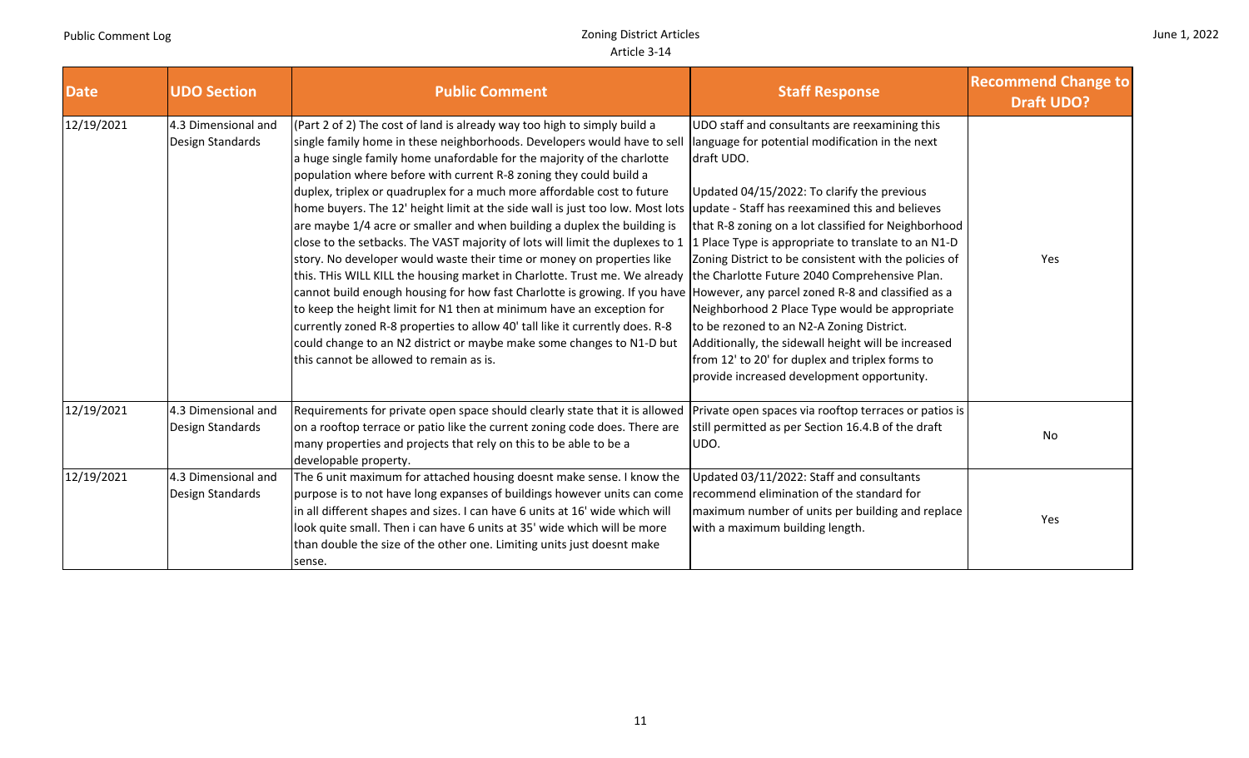and the second

|  |  | June 1, 2022 |
|--|--|--------------|
|--|--|--------------|

and the con-

| <b>Date</b> | <b>UDO Section</b>                      | <b>Public Comment</b>                                                                                                                                                                                                                                                                                                                                                                                                                                                                                                                                                                                                                                                                                                                                                                                                                                                                                                                                                                                                                                                                                                                                                                                                                             | <b>Staff Response</b>                                                                                                                                                                                                                                                                                                                                                                                                                                                                                                                                                                                                                          | <b>Recommend Change to</b><br><b>Draft UDO?</b> |
|-------------|-----------------------------------------|---------------------------------------------------------------------------------------------------------------------------------------------------------------------------------------------------------------------------------------------------------------------------------------------------------------------------------------------------------------------------------------------------------------------------------------------------------------------------------------------------------------------------------------------------------------------------------------------------------------------------------------------------------------------------------------------------------------------------------------------------------------------------------------------------------------------------------------------------------------------------------------------------------------------------------------------------------------------------------------------------------------------------------------------------------------------------------------------------------------------------------------------------------------------------------------------------------------------------------------------------|------------------------------------------------------------------------------------------------------------------------------------------------------------------------------------------------------------------------------------------------------------------------------------------------------------------------------------------------------------------------------------------------------------------------------------------------------------------------------------------------------------------------------------------------------------------------------------------------------------------------------------------------|-------------------------------------------------|
| 12/19/2021  | 4.3 Dimensional and<br>Design Standards | (Part 2 of 2) The cost of land is already way too high to simply build a<br>single family home in these neighborhoods. Developers would have to sel<br>a huge single family home unafordable for the majority of the charlotte<br>population where before with current R-8 zoning they could build a<br>duplex, triplex or quadruplex for a much more affordable cost to future<br>home buyers. The 12' height limit at the side wall is just too low. Most lots<br>are maybe 1/4 acre or smaller and when building a duplex the building is<br>close to the setbacks. The VAST majority of lots will limit the duplexes to 1<br>story. No developer would waste their time or money on properties like<br>this. THis WILL KILL the housing market in Charlotte. Trust me. We already  the Charlotte Future 2040 Comprehensive Plan.<br>cannot build enough housing for how fast Charlotte is growing. If you have However, any parcel zoned R-8 and classified as a<br>to keep the height limit for N1 then at minimum have an exception for<br>currently zoned R-8 properties to allow 40' tall like it currently does. R-8<br>could change to an N2 district or maybe make some changes to N1-D but<br>this cannot be allowed to remain as is. | UDO staff and consultants are reexamining this<br>language for potential modification in the next<br>draft UDO.<br>Updated 04/15/2022: To clarify the previous<br>update - Staff has reexamined this and believes<br>that R-8 zoning on a lot classified for Neighborhood<br>Place Type is appropriate to translate to an N1-D<br>Zoning District to be consistent with the policies of<br>Neighborhood 2 Place Type would be appropriate<br>to be rezoned to an N2-A Zoning District.<br>Additionally, the sidewall height will be increased<br>from 12' to 20' for duplex and triplex forms to<br>provide increased development opportunity. | Yes                                             |
| 12/19/2021  | 4.3 Dimensional and<br>Design Standards | Requirements for private open space should clearly state that it is allowed Private open spaces via rooftop terraces or patios is<br>on a rooftop terrace or patio like the current zoning code does. There are<br>many properties and projects that rely on this to be able to be a<br>developable property.                                                                                                                                                                                                                                                                                                                                                                                                                                                                                                                                                                                                                                                                                                                                                                                                                                                                                                                                     | still permitted as per Section 16.4.B of the draft<br>UDO.                                                                                                                                                                                                                                                                                                                                                                                                                                                                                                                                                                                     | No                                              |
| 12/19/2021  | 4.3 Dimensional and<br>Design Standards | The 6 unit maximum for attached housing doesnt make sense. I know the<br>purpose is to not have long expanses of buildings however units can come<br>in all different shapes and sizes. I can have 6 units at 16' wide which will<br>look quite small. Then i can have 6 units at 35' wide which will be more<br>than double the size of the other one. Limiting units just doesnt make<br>sense.                                                                                                                                                                                                                                                                                                                                                                                                                                                                                                                                                                                                                                                                                                                                                                                                                                                 | Updated 03/11/2022: Staff and consultants<br>recommend elimination of the standard for<br>maximum number of units per building and replace<br>with a maximum building length.                                                                                                                                                                                                                                                                                                                                                                                                                                                                  | Yes                                             |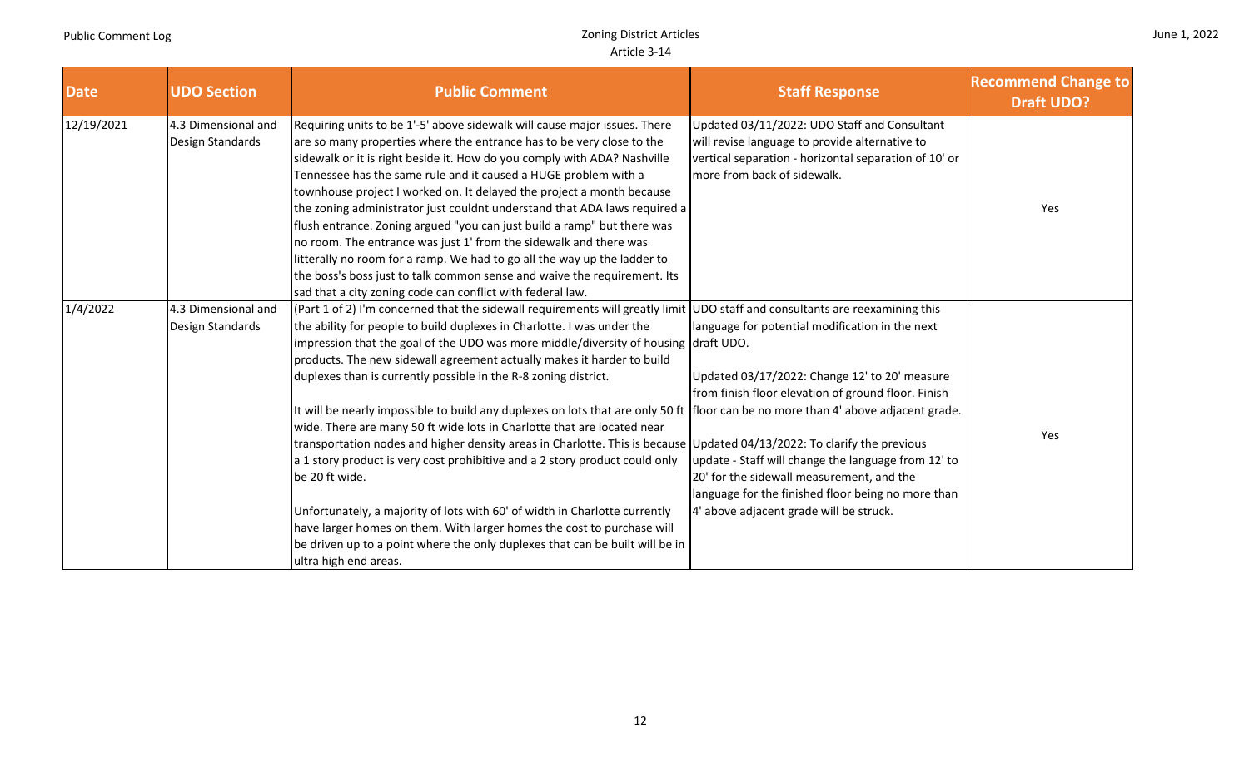|  | June 1, 2022 |
|--|--------------|
|--|--------------|

| <b>Date</b> | <b>UDO Section</b>                      | <b>Public Comment</b>                                                                                                                                                                                                                                                                                                                                                                                                                                                                                                                                                                                                                                                                                                                                                                                                                                                                                                                                                                                                                                                                                                                                       | <b>Staff Response</b>                                                                                                                                                                                                                                                                                                                                        | <b>Recommend Change to</b><br><b>Draft UDO?</b> |
|-------------|-----------------------------------------|-------------------------------------------------------------------------------------------------------------------------------------------------------------------------------------------------------------------------------------------------------------------------------------------------------------------------------------------------------------------------------------------------------------------------------------------------------------------------------------------------------------------------------------------------------------------------------------------------------------------------------------------------------------------------------------------------------------------------------------------------------------------------------------------------------------------------------------------------------------------------------------------------------------------------------------------------------------------------------------------------------------------------------------------------------------------------------------------------------------------------------------------------------------|--------------------------------------------------------------------------------------------------------------------------------------------------------------------------------------------------------------------------------------------------------------------------------------------------------------------------------------------------------------|-------------------------------------------------|
| 12/19/2021  | 4.3 Dimensional and<br>Design Standards | Requiring units to be 1'-5' above sidewalk will cause major issues. There<br>are so many properties where the entrance has to be very close to the<br>sidewalk or it is right beside it. How do you comply with ADA? Nashville<br>Tennessee has the same rule and it caused a HUGE problem with a<br>townhouse project I worked on. It delayed the project a month because<br>the zoning administrator just couldnt understand that ADA laws required a<br>flush entrance. Zoning argued "you can just build a ramp" but there was<br>no room. The entrance was just 1' from the sidewalk and there was<br>litterally no room for a ramp. We had to go all the way up the ladder to<br>the boss's boss just to talk common sense and waive the requirement. Its<br>sad that a city zoning code can conflict with federal law.                                                                                                                                                                                                                                                                                                                               | Updated 03/11/2022: UDO Staff and Consultant<br>will revise language to provide alternative to<br>vertical separation - horizontal separation of 10' or<br>more from back of sidewalk.                                                                                                                                                                       | Yes                                             |
| 1/4/2022    | 4.3 Dimensional and<br>Design Standards | (Part 1 of 2) I'm concerned that the sidewall requirements will greatly limit UDO staff and consultants are reexamining this<br>the ability for people to build duplexes in Charlotte. I was under the<br>impression that the goal of the UDO was more middle/diversity of housing $ $ draft UDO.<br>products. The new sidewall agreement actually makes it harder to build<br>duplexes than is currently possible in the R-8 zoning district.<br>It will be nearly impossible to build any duplexes on lots that are only 50 ft floor can be no more than 4' above adjacent grade.<br>wide. There are many 50 ft wide lots in Charlotte that are located near<br>transportation nodes and higher density areas in Charlotte. This is because Updated 04/13/2022: To clarify the previous<br>a 1 story product is very cost prohibitive and a 2 story product could only<br>be 20 ft wide.<br>Unfortunately, a majority of lots with 60' of width in Charlotte currently<br>have larger homes on them. With larger homes the cost to purchase will<br>be driven up to a point where the only duplexes that can be built will be in<br>ultra high end areas. | language for potential modification in the next<br>Updated 03/17/2022: Change 12' to 20' measure<br>from finish floor elevation of ground floor. Finish<br>update - Staff will change the language from 12' to<br>20' for the sidewall measurement, and the<br>language for the finished floor being no more than<br>4' above adjacent grade will be struck. | Yes                                             |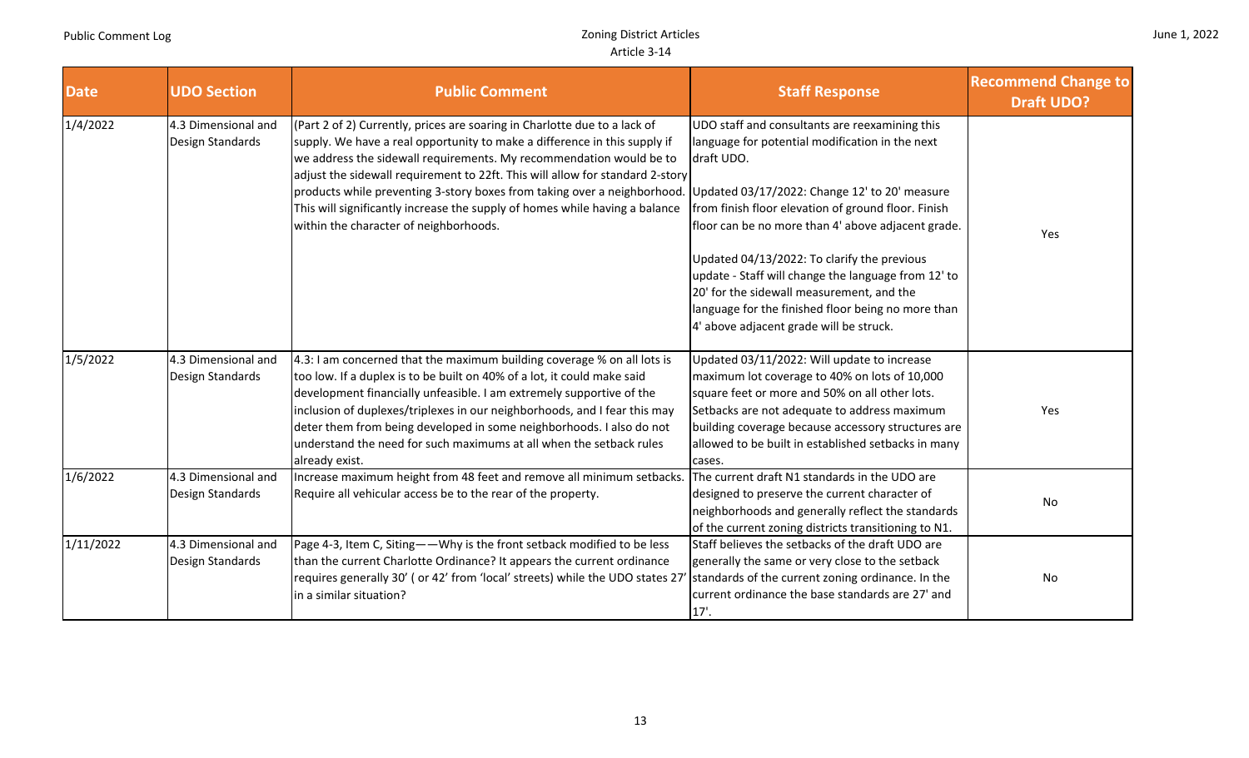| June 1, 2022 |  |  |
|--------------|--|--|
|--------------|--|--|

| <b>Date</b> | <b>UDO Section</b>                      | <b>Public Comment</b>                                                                                                                                                                                                                                                                                                                                                                                                                                                                                               | <b>Staff Response</b>                                                                                                                                                                                                                                                                                                                                                                                                                                                                                                             | <b>Recommend Change to</b><br><b>Draft UDO?</b> |
|-------------|-----------------------------------------|---------------------------------------------------------------------------------------------------------------------------------------------------------------------------------------------------------------------------------------------------------------------------------------------------------------------------------------------------------------------------------------------------------------------------------------------------------------------------------------------------------------------|-----------------------------------------------------------------------------------------------------------------------------------------------------------------------------------------------------------------------------------------------------------------------------------------------------------------------------------------------------------------------------------------------------------------------------------------------------------------------------------------------------------------------------------|-------------------------------------------------|
| 1/4/2022    | 4.3 Dimensional and<br>Design Standards | (Part 2 of 2) Currently, prices are soaring in Charlotte due to a lack of<br>supply. We have a real opportunity to make a difference in this supply if<br>we address the sidewall requirements. My recommendation would be to<br>adjust the sidewall requirement to 22ft. This will allow for standard 2-story<br>products while preventing 3-story boxes from taking over a neighborhood.<br>This will significantly increase the supply of homes while having a balance<br>within the character of neighborhoods. | UDO staff and consultants are reexamining this<br>language for potential modification in the next<br>draft UDO.<br>Updated 03/17/2022: Change 12' to 20' measure<br>from finish floor elevation of ground floor. Finish<br>floor can be no more than 4' above adjacent grade.<br>Updated 04/13/2022: To clarify the previous<br>update - Staff will change the language from 12' to<br>20' for the sidewall measurement, and the<br>language for the finished floor being no more than<br>4' above adjacent grade will be struck. | Yes                                             |
| 1/5/2022    | 4.3 Dimensional and<br>Design Standards | 4.3: I am concerned that the maximum building coverage % on all lots is<br>too low. If a duplex is to be built on 40% of a lot, it could make said<br>development financially unfeasible. I am extremely supportive of the<br>inclusion of duplexes/triplexes in our neighborhoods, and I fear this may<br>deter them from being developed in some neighborhoods. I also do not<br>understand the need for such maximums at all when the setback rules<br>already exist.                                            | Updated 03/11/2022: Will update to increase<br>maximum lot coverage to 40% on lots of 10,000<br>square feet or more and 50% on all other lots.<br>Setbacks are not adequate to address maximum<br>building coverage because accessory structures are<br>allowed to be built in established setbacks in many<br>cases.                                                                                                                                                                                                             | Yes                                             |
| 1/6/2022    | 4.3 Dimensional and<br>Design Standards | Increase maximum height from 48 feet and remove all minimum setbacks.<br>Require all vehicular access be to the rear of the property.                                                                                                                                                                                                                                                                                                                                                                               | The current draft N1 standards in the UDO are<br>designed to preserve the current character of<br>neighborhoods and generally reflect the standards<br>of the current zoning districts transitioning to N1.                                                                                                                                                                                                                                                                                                                       | No                                              |
| 1/11/2022   | 4.3 Dimensional and<br>Design Standards | Page 4-3, Item C, Siting--Why is the front setback modified to be less<br>than the current Charlotte Ordinance? It appears the current ordinance<br>requires generally 30' (or 42' from 'local' streets) while the UDO states 27<br>in a similar situation?                                                                                                                                                                                                                                                         | Staff believes the setbacks of the draft UDO are<br>generally the same or very close to the setback<br>standards of the current zoning ordinance. In the<br>current ordinance the base standards are 27' and<br>17'.                                                                                                                                                                                                                                                                                                              | No                                              |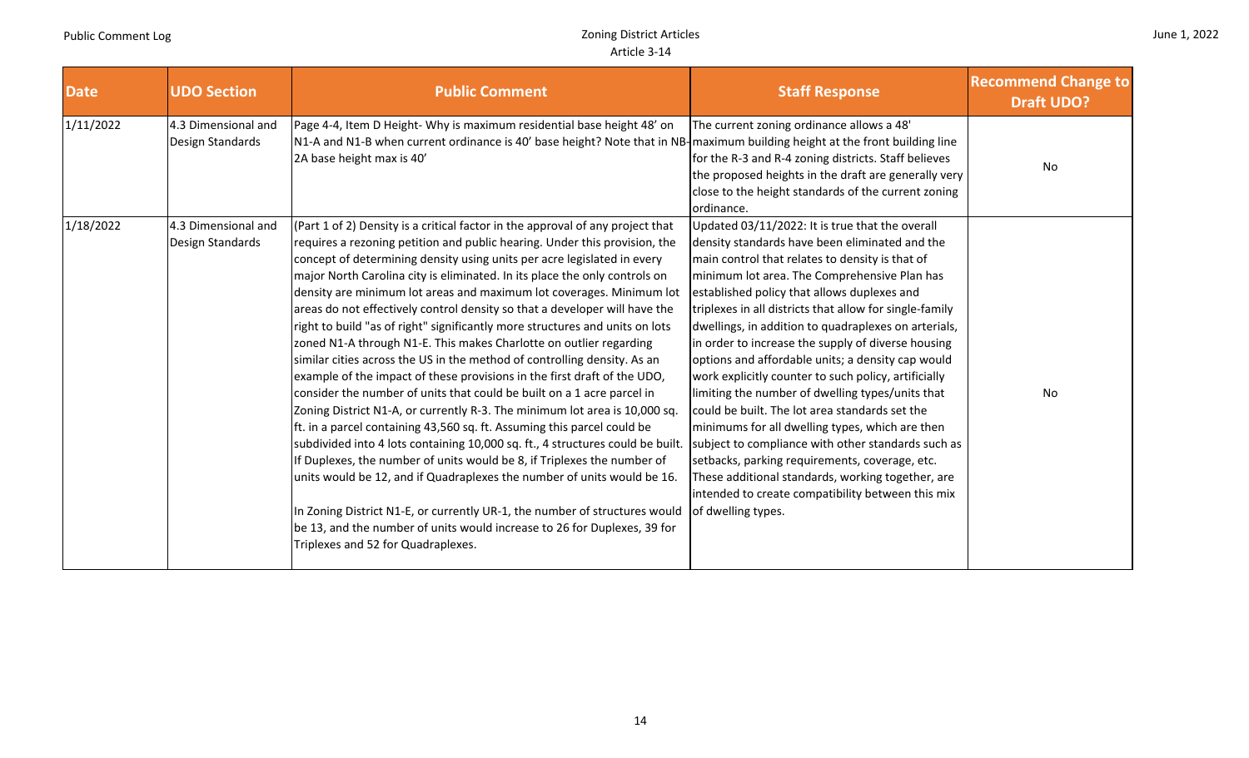|  |  | June 1, 2022 |
|--|--|--------------|
|--|--|--------------|

| <b>Date</b> | <b>UDO Section</b>                      | <b>Public Comment</b>                                                                                                                                                                                                                                                                                                                                                                                                                                                                                                                                                                                                                                                                                                                                                                                                                                                                                                                                                                                                                                                                                                                                                                                                                                                                                                                                                                                                                                                | <b>Staff Response</b>                                                                                                                                                                                                                                                                                                                                                                                                                                                                                                                                                                                                                                                                                                                                                                                                                                                                                                                      | <b>Recommend Change to</b><br><b>Draft UDO?</b> |
|-------------|-----------------------------------------|----------------------------------------------------------------------------------------------------------------------------------------------------------------------------------------------------------------------------------------------------------------------------------------------------------------------------------------------------------------------------------------------------------------------------------------------------------------------------------------------------------------------------------------------------------------------------------------------------------------------------------------------------------------------------------------------------------------------------------------------------------------------------------------------------------------------------------------------------------------------------------------------------------------------------------------------------------------------------------------------------------------------------------------------------------------------------------------------------------------------------------------------------------------------------------------------------------------------------------------------------------------------------------------------------------------------------------------------------------------------------------------------------------------------------------------------------------------------|--------------------------------------------------------------------------------------------------------------------------------------------------------------------------------------------------------------------------------------------------------------------------------------------------------------------------------------------------------------------------------------------------------------------------------------------------------------------------------------------------------------------------------------------------------------------------------------------------------------------------------------------------------------------------------------------------------------------------------------------------------------------------------------------------------------------------------------------------------------------------------------------------------------------------------------------|-------------------------------------------------|
| 1/11/2022   | 4.3 Dimensional and<br>Design Standards | Page 4-4, Item D Height- Why is maximum residential base height 48' on<br>N1-A and N1-B when current ordinance is 40' base height? Note that in NB- maximum building height at the front building line<br>2A base height max is 40'                                                                                                                                                                                                                                                                                                                                                                                                                                                                                                                                                                                                                                                                                                                                                                                                                                                                                                                                                                                                                                                                                                                                                                                                                                  | The current zoning ordinance allows a 48'<br>for the R-3 and R-4 zoning districts. Staff believes<br>the proposed heights in the draft are generally very<br>close to the height standards of the current zoning<br>ordinance.                                                                                                                                                                                                                                                                                                                                                                                                                                                                                                                                                                                                                                                                                                             | No                                              |
| 1/18/2022   | 4.3 Dimensional and<br>Design Standards | (Part 1 of 2) Density is a critical factor in the approval of any project that<br>requires a rezoning petition and public hearing. Under this provision, the<br>concept of determining density using units per acre legislated in every<br>major North Carolina city is eliminated. In its place the only controls on<br>density are minimum lot areas and maximum lot coverages. Minimum lot<br>areas do not effectively control density so that a developer will have the<br>right to build "as of right" significantly more structures and units on lots<br>zoned N1-A through N1-E. This makes Charlotte on outlier regarding<br>similar cities across the US in the method of controlling density. As an<br>example of the impact of these provisions in the first draft of the UDO,<br>consider the number of units that could be built on a 1 acre parcel in<br>Zoning District N1-A, or currently R-3. The minimum lot area is 10,000 sq.<br>ft. in a parcel containing 43,560 sq. ft. Assuming this parcel could be<br>subdivided into 4 lots containing 10,000 sq. ft., 4 structures could be built.<br>If Duplexes, the number of units would be 8, if Triplexes the number of<br>units would be 12, and if Quadraplexes the number of units would be 16.<br>In Zoning District N1-E, or currently UR-1, the number of structures would<br>be 13, and the number of units would increase to 26 for Duplexes, 39 for<br>Triplexes and 52 for Quadraplexes. | Updated 03/11/2022: It is true that the overall<br>density standards have been eliminated and the<br>main control that relates to density is that of<br>minimum lot area. The Comprehensive Plan has<br>established policy that allows duplexes and<br>triplexes in all districts that allow for single-family<br>dwellings, in addition to quadraplexes on arterials,<br>in order to increase the supply of diverse housing<br>options and affordable units; a density cap would<br>work explicitly counter to such policy, artificially<br>limiting the number of dwelling types/units that<br>could be built. The lot area standards set the<br>minimums for all dwelling types, which are then<br>subject to compliance with other standards such as<br>setbacks, parking requirements, coverage, etc.<br>These additional standards, working together, are<br>intended to create compatibility between this mix<br>of dwelling types. | No                                              |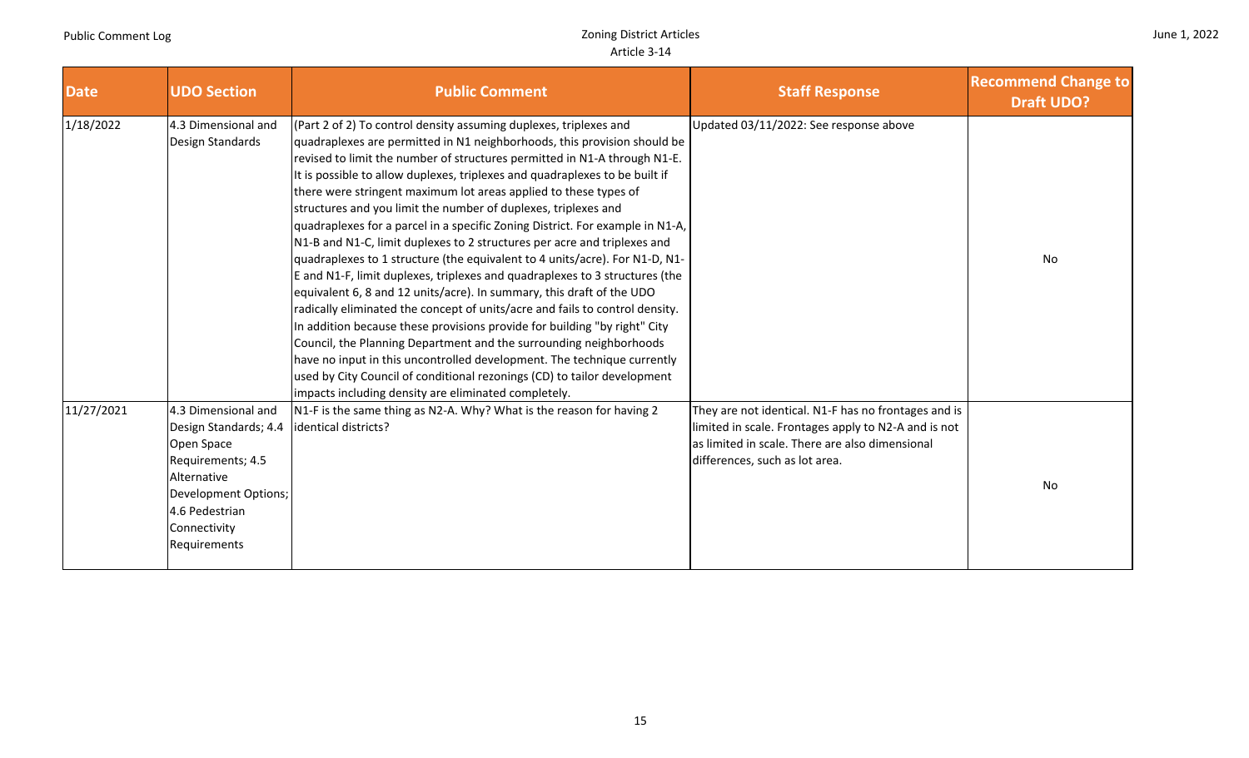|  |  | June 1, 2022 |
|--|--|--------------|
|--|--|--------------|

| <b>Date</b> | <b>UDO Section</b>                                                                                                                                                       | <b>Public Comment</b>                                                                                                                                                                                                                                                                                                                                                                                                                                                                                                                                                                                                                                                                                                                                                                                                                                                                                                                                                                                                                                                                                                                                                                                                                                                                                 | <b>Staff Response</b>                                                                                                                                                                             | <b>Recommend Change to</b><br><b>Draft UDO?</b> |
|-------------|--------------------------------------------------------------------------------------------------------------------------------------------------------------------------|-------------------------------------------------------------------------------------------------------------------------------------------------------------------------------------------------------------------------------------------------------------------------------------------------------------------------------------------------------------------------------------------------------------------------------------------------------------------------------------------------------------------------------------------------------------------------------------------------------------------------------------------------------------------------------------------------------------------------------------------------------------------------------------------------------------------------------------------------------------------------------------------------------------------------------------------------------------------------------------------------------------------------------------------------------------------------------------------------------------------------------------------------------------------------------------------------------------------------------------------------------------------------------------------------------|---------------------------------------------------------------------------------------------------------------------------------------------------------------------------------------------------|-------------------------------------------------|
| 1/18/2022   | 4.3 Dimensional and<br>Design Standards                                                                                                                                  | (Part 2 of 2) To control density assuming duplexes, triplexes and<br>quadraplexes are permitted in N1 neighborhoods, this provision should be<br>revised to limit the number of structures permitted in N1-A through N1-E.<br>It is possible to allow duplexes, triplexes and quadraplexes to be built if<br>there were stringent maximum lot areas applied to these types of<br>structures and you limit the number of duplexes, triplexes and<br>quadraplexes for a parcel in a specific Zoning District. For example in N1-A,<br>N1-B and N1-C, limit duplexes to 2 structures per acre and triplexes and<br>quadraplexes to 1 structure (the equivalent to 4 units/acre). For N1-D, N1-<br>E and N1-F, limit duplexes, triplexes and quadraplexes to 3 structures (the<br>equivalent 6, 8 and 12 units/acre). In summary, this draft of the UDO<br>radically eliminated the concept of units/acre and fails to control density.<br>In addition because these provisions provide for building "by right" City<br>Council, the Planning Department and the surrounding neighborhoods<br>have no input in this uncontrolled development. The technique currently<br>used by City Council of conditional rezonings (CD) to tailor development<br>impacts including density are eliminated completely. | Updated 03/11/2022: See response above                                                                                                                                                            | No                                              |
| 11/27/2021  | 4.3 Dimensional and<br>Design Standards; 4.4<br>Open Space<br>Requirements; 4.5<br>Alternative<br>Development Options;<br>4.6 Pedestrian<br>Connectivity<br>Requirements | N1-F is the same thing as N2-A. Why? What is the reason for having 2<br>identical districts?                                                                                                                                                                                                                                                                                                                                                                                                                                                                                                                                                                                                                                                                                                                                                                                                                                                                                                                                                                                                                                                                                                                                                                                                          | They are not identical. N1-F has no frontages and is<br>limited in scale. Frontages apply to N2-A and is not<br>as limited in scale. There are also dimensional<br>differences, such as lot area. | No                                              |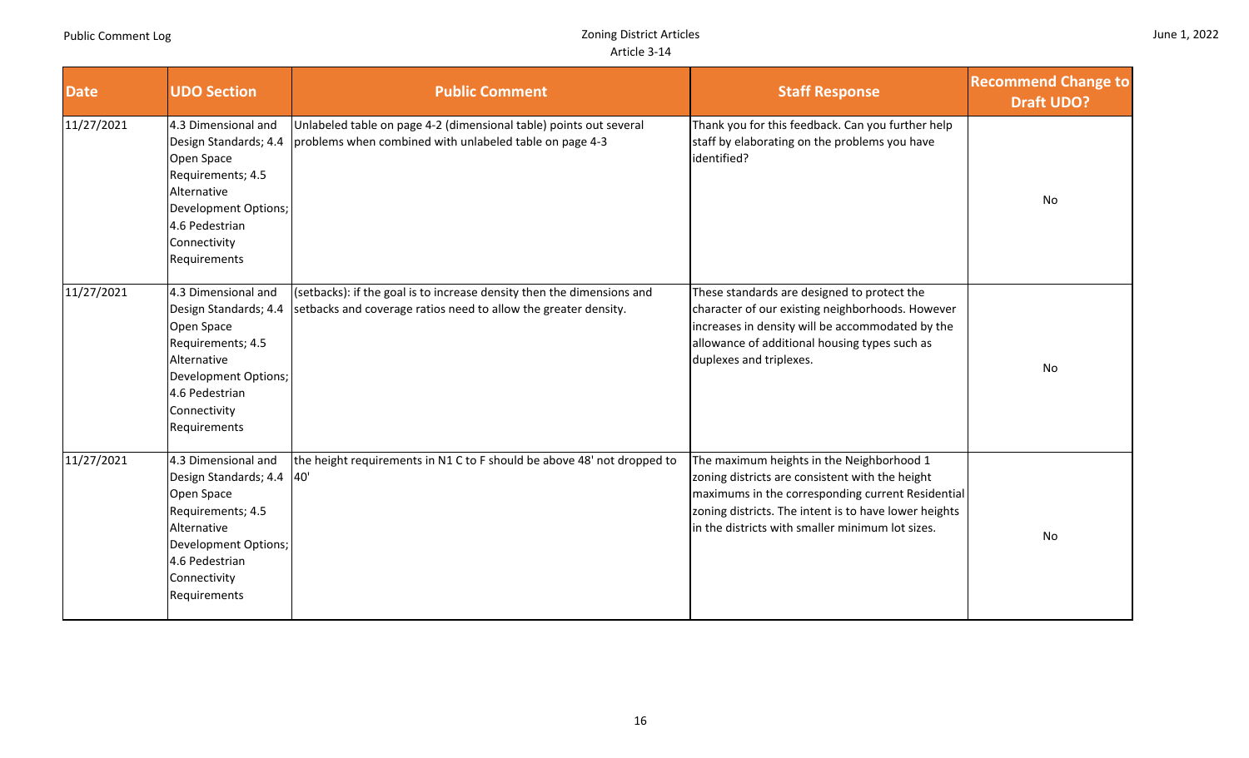| <b>Date</b> | <b>UDO Section</b>                                                                                                                                                       | <b>Public Comment</b>                                                                                                                     | <b>Staff Response</b>                                                                                                                                                                                                                                          | <b>Recommend Change to</b><br><b>Draft UDO?</b> |
|-------------|--------------------------------------------------------------------------------------------------------------------------------------------------------------------------|-------------------------------------------------------------------------------------------------------------------------------------------|----------------------------------------------------------------------------------------------------------------------------------------------------------------------------------------------------------------------------------------------------------------|-------------------------------------------------|
| 11/27/2021  | 4.3 Dimensional and<br>Design Standards; 4.4<br>Open Space<br>Requirements; 4.5<br>Alternative<br>Development Options;<br>4.6 Pedestrian<br>Connectivity<br>Requirements | Unlabeled table on page 4-2 (dimensional table) points out several<br>problems when combined with unlabeled table on page 4-3             | Thank you for this feedback. Can you further help<br>staff by elaborating on the problems you have<br>identified?                                                                                                                                              | No                                              |
| 11/27/2021  | 4.3 Dimensional and<br>Design Standards; 4.4<br>Open Space<br>Requirements; 4.5<br>Alternative<br>Development Options;<br>4.6 Pedestrian<br>Connectivity<br>Requirements | (setbacks): if the goal is to increase density then the dimensions and<br>setbacks and coverage ratios need to allow the greater density. | These standards are designed to protect the<br>character of our existing neighborhoods. However<br>increases in density will be accommodated by the<br>allowance of additional housing types such as<br>duplexes and triplexes.                                | No                                              |
| 11/27/2021  | 4.3 Dimensional and<br>Design Standards; 4.4<br>Open Space<br>Requirements; 4.5<br>Alternative<br>Development Options;<br>4.6 Pedestrian<br>Connectivity<br>Requirements | the height requirements in N1 C to F should be above 48' not dropped to<br>40'                                                            | The maximum heights in the Neighborhood 1<br>zoning districts are consistent with the height<br>maximums in the corresponding current Residential<br>zoning districts. The intent is to have lower heights<br>in the districts with smaller minimum lot sizes. | No                                              |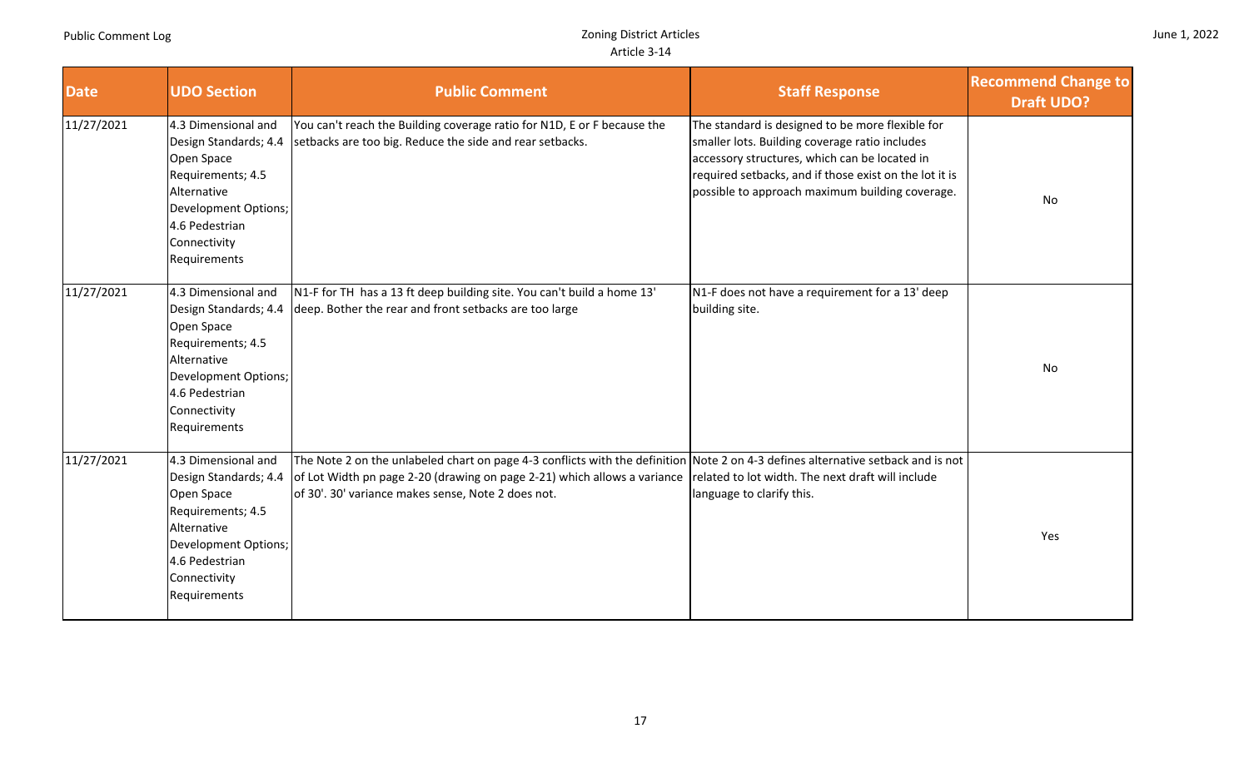n II

|  |  | June 1, 2022 |
|--|--|--------------|
|--|--|--------------|

H.

| <b>Date</b> | <b>UDO Section</b>                                                                                                                                                       | <b>Public Comment</b>                                                                                                                                                                                                                                                                                                | <b>Staff Response</b>                                                                                                                                                                                                                                            | <b>Recommend Change to</b><br><b>Draft UDO?</b> |
|-------------|--------------------------------------------------------------------------------------------------------------------------------------------------------------------------|----------------------------------------------------------------------------------------------------------------------------------------------------------------------------------------------------------------------------------------------------------------------------------------------------------------------|------------------------------------------------------------------------------------------------------------------------------------------------------------------------------------------------------------------------------------------------------------------|-------------------------------------------------|
| 11/27/2021  | 4.3 Dimensional and<br>Design Standards; 4.4<br>Open Space<br>Requirements; 4.5<br>Alternative<br>Development Options;<br>4.6 Pedestrian<br>Connectivity<br>Requirements | You can't reach the Building coverage ratio for N1D, E or F because the<br>setbacks are too big. Reduce the side and rear setbacks.                                                                                                                                                                                  | The standard is designed to be more flexible for<br>smaller lots. Building coverage ratio includes<br>accessory structures, which can be located in<br>required setbacks, and if those exist on the lot it is<br>possible to approach maximum building coverage. | No                                              |
| 11/27/2021  | 4.3 Dimensional and<br>Design Standards; 4.4<br>Open Space<br>Requirements; 4.5<br>Alternative<br>Development Options;<br>4.6 Pedestrian<br>Connectivity<br>Requirements | N1-F for TH has a 13 ft deep building site. You can't build a home 13'<br>deep. Bother the rear and front setbacks are too large                                                                                                                                                                                     | N1-F does not have a requirement for a 13' deep<br>building site.                                                                                                                                                                                                | No                                              |
| 11/27/2021  | 4.3 Dimensional and<br>Design Standards; 4.4<br>Open Space<br>Requirements; 4.5<br>Alternative<br>Development Options;<br>4.6 Pedestrian<br>Connectivity<br>Requirements | The Note 2 on the unlabeled chart on page 4-3 conflicts with the definition Note 2 on 4-3 defines alternative setback and is not<br>of Lot Width pn page 2-20 (drawing on page 2-21) which allows a variance related to lot width. The next draft will include<br>of 30'. 30' variance makes sense, Note 2 does not. | language to clarify this.                                                                                                                                                                                                                                        | Yes                                             |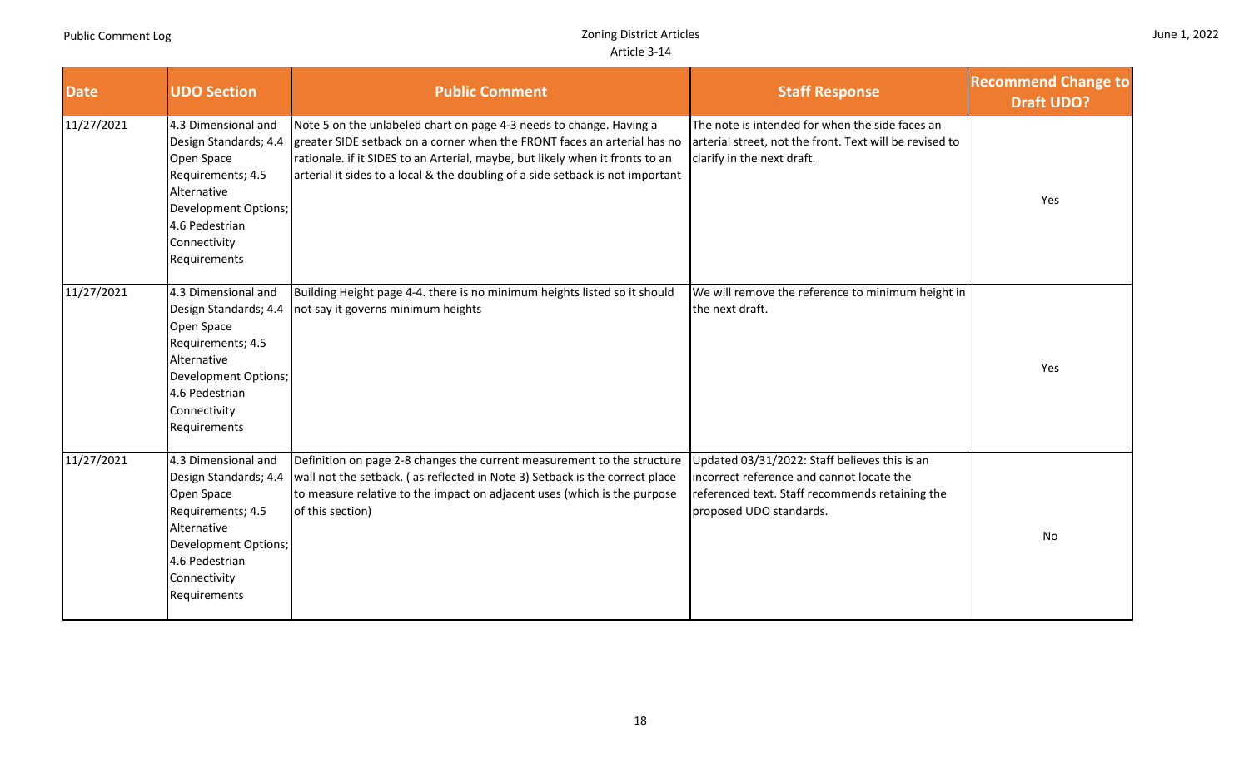| <b>Date</b> | <b>UDO Section</b>                                                                                                                                                       | <b>Public Comment</b>                                                                                                                                                                                                                                                                                              | <b>Staff Response</b>                                                                                                                                                    | <b>Recommend Change to</b><br><b>Draft UDO?</b> |
|-------------|--------------------------------------------------------------------------------------------------------------------------------------------------------------------------|--------------------------------------------------------------------------------------------------------------------------------------------------------------------------------------------------------------------------------------------------------------------------------------------------------------------|--------------------------------------------------------------------------------------------------------------------------------------------------------------------------|-------------------------------------------------|
| 11/27/2021  | 4.3 Dimensional and<br>Design Standards; 4.4<br>Open Space<br>Requirements; 4.5<br>Alternative<br>Development Options;<br>4.6 Pedestrian<br>Connectivity<br>Requirements | Note 5 on the unlabeled chart on page 4-3 needs to change. Having a<br>greater SIDE setback on a corner when the FRONT faces an arterial has no<br>rationale. if it SIDES to an Arterial, maybe, but likely when it fronts to an<br>arterial it sides to a local & the doubling of a side setback is not important | The note is intended for when the side faces an<br>arterial street, not the front. Text will be revised to<br>clarify in the next draft.                                 | Yes                                             |
| 11/27/2021  | 4.3 Dimensional and<br>Design Standards; 4.4<br>Open Space<br>Requirements; 4.5<br>Alternative<br>Development Options;<br>4.6 Pedestrian<br>Connectivity<br>Requirements | Building Height page 4-4. there is no minimum heights listed so it should<br>not say it governs minimum heights                                                                                                                                                                                                    | We will remove the reference to minimum height in<br>the next draft.                                                                                                     | Yes                                             |
| 11/27/2021  | 4.3 Dimensional and<br>Design Standards; 4.4<br>Open Space<br>Requirements; 4.5<br>Alternative<br>Development Options;<br>4.6 Pedestrian<br>Connectivity<br>Requirements | Definition on page 2-8 changes the current measurement to the structure<br>wall not the setback. (as reflected in Note 3) Setback is the correct place<br>to measure relative to the impact on adjacent uses (which is the purpose<br>of this section)                                                             | Updated 03/31/2022: Staff believes this is an<br>incorrect reference and cannot locate the<br>referenced text. Staff recommends retaining the<br>proposed UDO standards. | <b>No</b>                                       |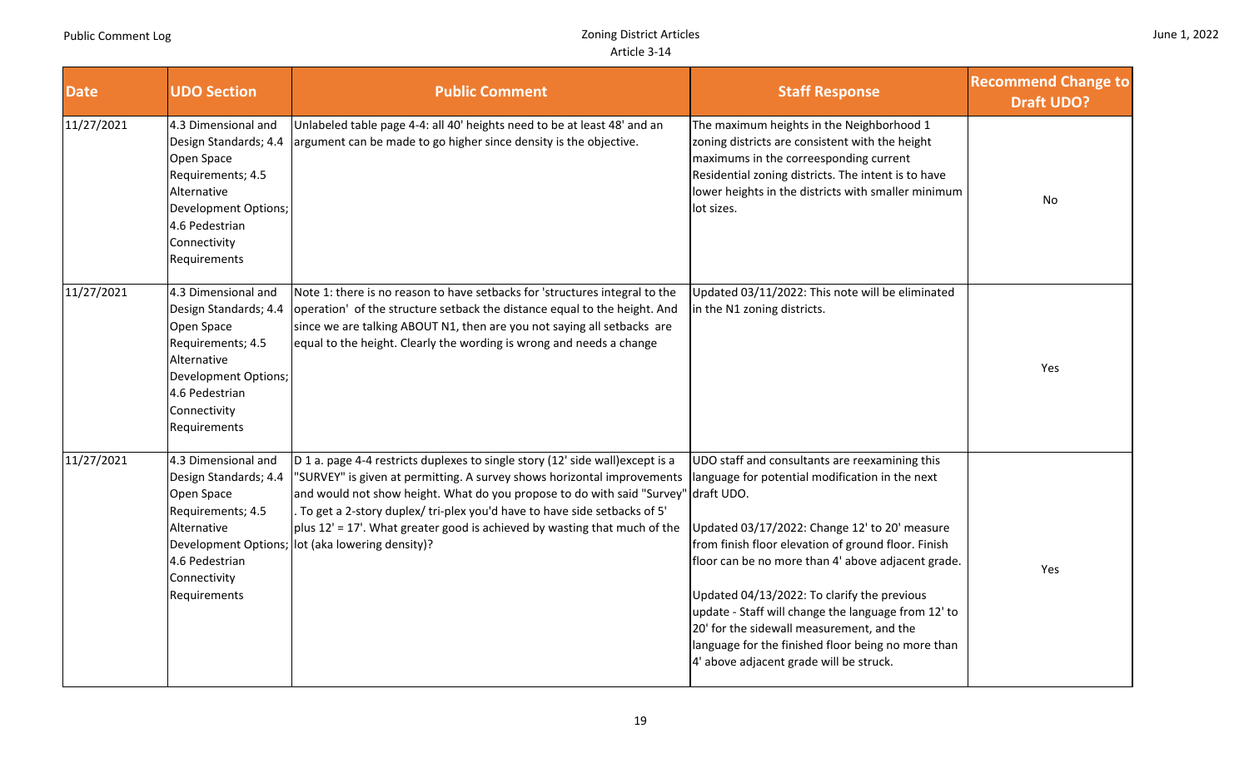| June 1, 2022 |  |  |
|--------------|--|--|
|--------------|--|--|

| <b>Date</b> | <b>UDO Section</b>                                                                                                                                                              | <b>Public Comment</b>                                                                                                                                                                                                                                                                                                                                                                                                                | <b>Staff Response</b>                                                                                                                                                                                                                                                                                                                                                                                                                                                                                                             | <b>Recommend Change to</b><br><b>Draft UDO?</b> |
|-------------|---------------------------------------------------------------------------------------------------------------------------------------------------------------------------------|--------------------------------------------------------------------------------------------------------------------------------------------------------------------------------------------------------------------------------------------------------------------------------------------------------------------------------------------------------------------------------------------------------------------------------------|-----------------------------------------------------------------------------------------------------------------------------------------------------------------------------------------------------------------------------------------------------------------------------------------------------------------------------------------------------------------------------------------------------------------------------------------------------------------------------------------------------------------------------------|-------------------------------------------------|
| 11/27/2021  | 4.3 Dimensional and<br>Design Standards; 4.4<br>Open Space<br>Requirements; 4.5<br>Alternative<br><b>Development Options;</b><br>4.6 Pedestrian<br>Connectivity<br>Requirements | Unlabeled table page 4-4: all 40' heights need to be at least 48' and an<br>argument can be made to go higher since density is the objective.                                                                                                                                                                                                                                                                                        | The maximum heights in the Neighborhood 1<br>zoning districts are consistent with the height<br>maximums in the correesponding current<br>Residential zoning districts. The intent is to have<br>lower heights in the districts with smaller minimum<br>lot sizes.                                                                                                                                                                                                                                                                | No                                              |
| 11/27/2021  | 4.3 Dimensional and<br>Design Standards; 4.4<br>Open Space<br>Requirements; 4.5<br>Alternative<br>Development Options;<br>4.6 Pedestrian<br>Connectivity<br>Requirements        | Note 1: there is no reason to have setbacks for 'structures integral to the<br>operation' of the structure setback the distance equal to the height. And<br>since we are talking ABOUT N1, then are you not saying all setbacks are<br>equal to the height. Clearly the wording is wrong and needs a change                                                                                                                          | Updated 03/11/2022: This note will be eliminated<br>in the N1 zoning districts.                                                                                                                                                                                                                                                                                                                                                                                                                                                   | Yes                                             |
| 11/27/2021  | 4.3 Dimensional and<br>Design Standards; 4.4<br>Open Space<br>Requirements; 4.5<br>Alternative<br>Development Options;<br>4.6 Pedestrian<br>Connectivity<br>Requirements        | D 1 a. page 4-4 restricts duplexes to single story (12' side wall) except is a<br>"SURVEY" is given at permitting. A survey shows horizontal improvements<br>and would not show height. What do you propose to do with said "Survey"<br>To get a 2-story duplex/ tri-plex you'd have to have side setbacks of 5'<br>$\vert$ plus 12' = 17'. What greater good is achieved by wasting that much of the<br>lot (aka lowering density)? | UDO staff and consultants are reexamining this<br>language for potential modification in the next<br>draft UDO.<br>Updated 03/17/2022: Change 12' to 20' measure<br>from finish floor elevation of ground floor. Finish<br>floor can be no more than 4' above adjacent grade.<br>Updated 04/13/2022: To clarify the previous<br>update - Staff will change the language from 12' to<br>20' for the sidewall measurement, and the<br>language for the finished floor being no more than<br>4' above adjacent grade will be struck. | Yes                                             |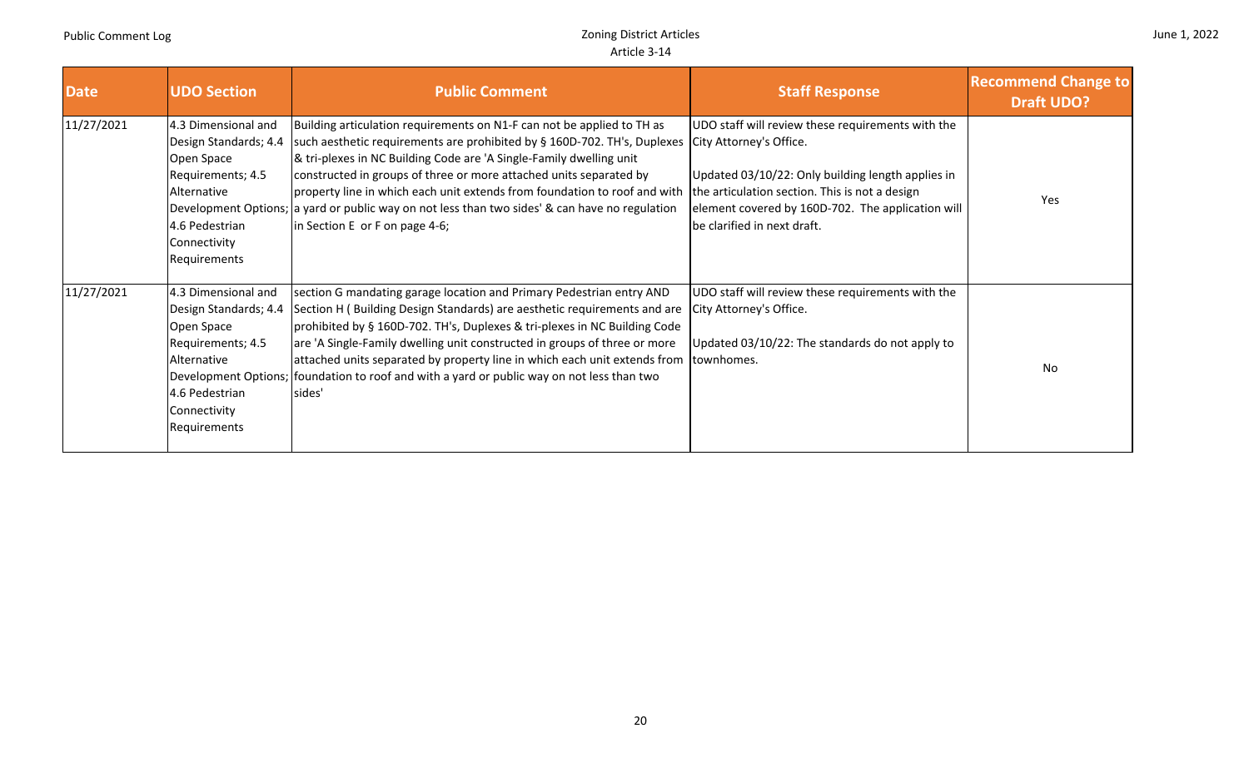П

| <b>Date</b> | <b>UDO Section</b>                                                                                                                               | <b>Public Comment</b>                                                                                                                                                                                                                                                                                                                                                                                                                                                                                            | <b>Staff Response</b>                                                                                                                                                                                                                                                   | <b>Recommend Change to</b><br><b>Draft UDO?</b> |
|-------------|--------------------------------------------------------------------------------------------------------------------------------------------------|------------------------------------------------------------------------------------------------------------------------------------------------------------------------------------------------------------------------------------------------------------------------------------------------------------------------------------------------------------------------------------------------------------------------------------------------------------------------------------------------------------------|-------------------------------------------------------------------------------------------------------------------------------------------------------------------------------------------------------------------------------------------------------------------------|-------------------------------------------------|
| 11/27/2021  | 4.3 Dimensional and<br>Design Standards; 4.4<br>Open Space<br>Requirements; 4.5<br>Alternative<br>4.6 Pedestrian<br>Connectivity<br>Requirements | Building articulation requirements on N1-F can not be applied to TH as<br>such aesthetic requirements are prohibited by § 160D-702. TH's, Duplexes<br>& tri-plexes in NC Building Code are 'A Single-Family dwelling unit<br>constructed in groups of three or more attached units separated by<br>property line in which each unit extends from foundation to roof and with<br>Development Options; a yard or public way on not less than two sides' & can have no regulation<br>in Section E or F on page 4-6; | UDO staff will review these requirements with the<br>City Attorney's Office.<br>Updated 03/10/22: Only building length applies in<br>the articulation section. This is not a design<br>element covered by 160D-702. The application will<br>be clarified in next draft. | Yes                                             |
| 11/27/2021  | 4.3 Dimensional and<br>Design Standards; 4.4<br>Open Space<br>Requirements; 4.5<br>Alternative<br>4.6 Pedestrian<br>Connectivity<br>Requirements | section G mandating garage location and Primary Pedestrian entry AND<br>Section H (Building Design Standards) are aesthetic requirements and are<br>prohibited by § 160D-702. TH's, Duplexes & tri-plexes in NC Building Code<br>are 'A Single-Family dwelling unit constructed in groups of three or more<br>attached units separated by property line in which each unit extends from<br>Development Options; foundation to roof and with a yard or public way on not less than two<br>sides'                  | UDO staff will review these requirements with the<br>City Attorney's Office.<br>Updated 03/10/22: The standards do not apply to<br>townhomes.                                                                                                                           | <b>No</b>                                       |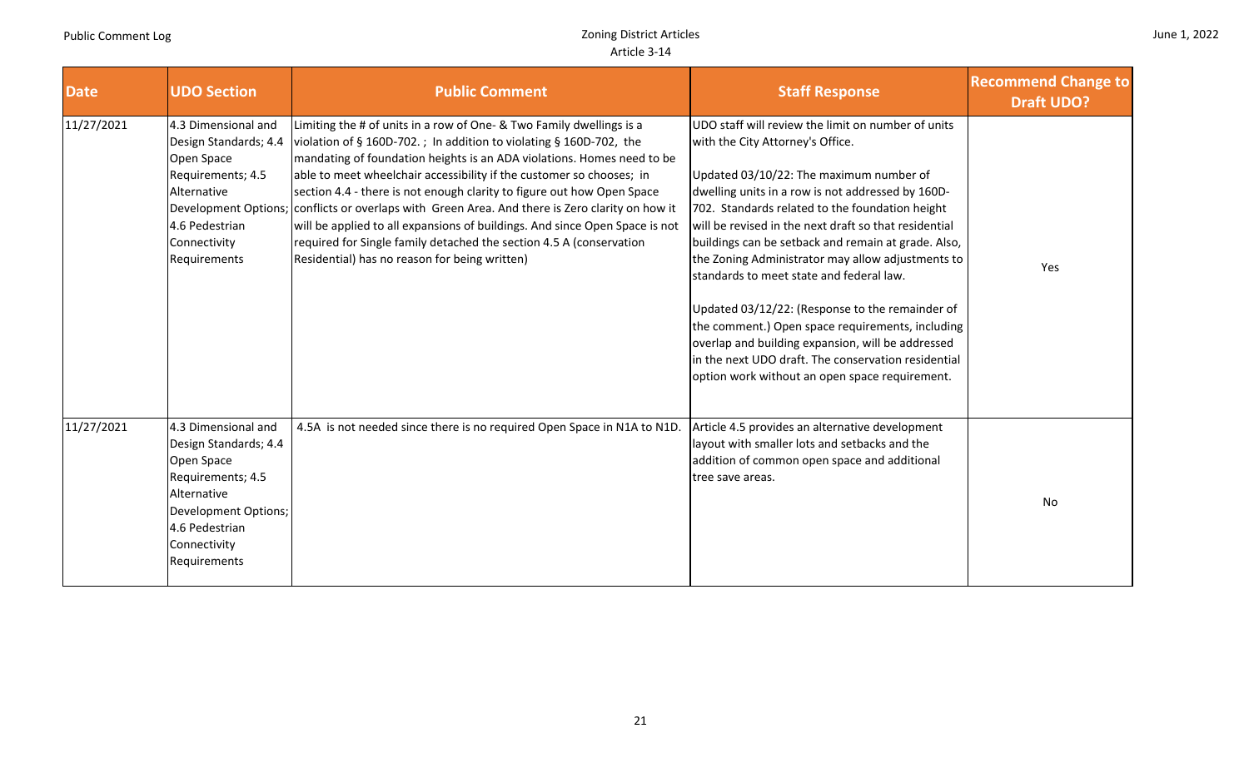| June 1, 2022 |  |  |
|--------------|--|--|
|--------------|--|--|

| <b>Date</b> | <b>UDO Section</b>                                                                                                                                                       | <b>Public Comment</b>                                                                                                                                                                                                                                                                                                                                                                                                                                                                                                                                                                                                                                        | <b>Staff Response</b>                                                                                                                                                                                                                                                                                                                                                                                                                                                                                                                                                                                                                                                                                                           | <b>Recommend Change to</b><br><b>Draft UDO?</b> |
|-------------|--------------------------------------------------------------------------------------------------------------------------------------------------------------------------|--------------------------------------------------------------------------------------------------------------------------------------------------------------------------------------------------------------------------------------------------------------------------------------------------------------------------------------------------------------------------------------------------------------------------------------------------------------------------------------------------------------------------------------------------------------------------------------------------------------------------------------------------------------|---------------------------------------------------------------------------------------------------------------------------------------------------------------------------------------------------------------------------------------------------------------------------------------------------------------------------------------------------------------------------------------------------------------------------------------------------------------------------------------------------------------------------------------------------------------------------------------------------------------------------------------------------------------------------------------------------------------------------------|-------------------------------------------------|
| 11/27/2021  | 4.3 Dimensional and<br>Design Standards; 4.4<br>Open Space<br>Requirements; 4.5<br>Alternative<br>Development Options;<br>4.6 Pedestrian<br>Connectivity<br>Requirements | Limiting the # of units in a row of One- & Two Family dwellings is a<br>violation of § 160D-702. ; In addition to violating § 160D-702, the<br>mandating of foundation heights is an ADA violations. Homes need to be<br>able to meet wheelchair accessibility if the customer so chooses; in<br>section 4.4 - there is not enough clarity to figure out how Open Space<br>conflicts or overlaps with Green Area. And there is Zero clarity on how it<br>will be applied to all expansions of buildings. And since Open Space is not<br>required for Single family detached the section 4.5 A (conservation<br>Residential) has no reason for being written) | UDO staff will review the limit on number of units<br>with the City Attorney's Office.<br>Updated 03/10/22: The maximum number of<br>dwelling units in a row is not addressed by 160D-<br>702. Standards related to the foundation height<br>will be revised in the next draft so that residential<br>buildings can be setback and remain at grade. Also,<br>the Zoning Administrator may allow adjustments to<br>standards to meet state and federal law.<br>Updated 03/12/22: (Response to the remainder of<br>the comment.) Open space requirements, including<br>overlap and building expansion, will be addressed<br>in the next UDO draft. The conservation residential<br>option work without an open space requirement. | Yes                                             |
| 11/27/2021  | 4.3 Dimensional and<br>Design Standards; 4.4<br>Open Space<br>Requirements; 4.5<br>Alternative<br>Development Options;<br>4.6 Pedestrian<br>Connectivity<br>Requirements | 4.5A is not needed since there is no required Open Space in N1A to N1D.                                                                                                                                                                                                                                                                                                                                                                                                                                                                                                                                                                                      | Article 4.5 provides an alternative development<br>layout with smaller lots and setbacks and the<br>addition of common open space and additional<br>tree save areas.                                                                                                                                                                                                                                                                                                                                                                                                                                                                                                                                                            | No                                              |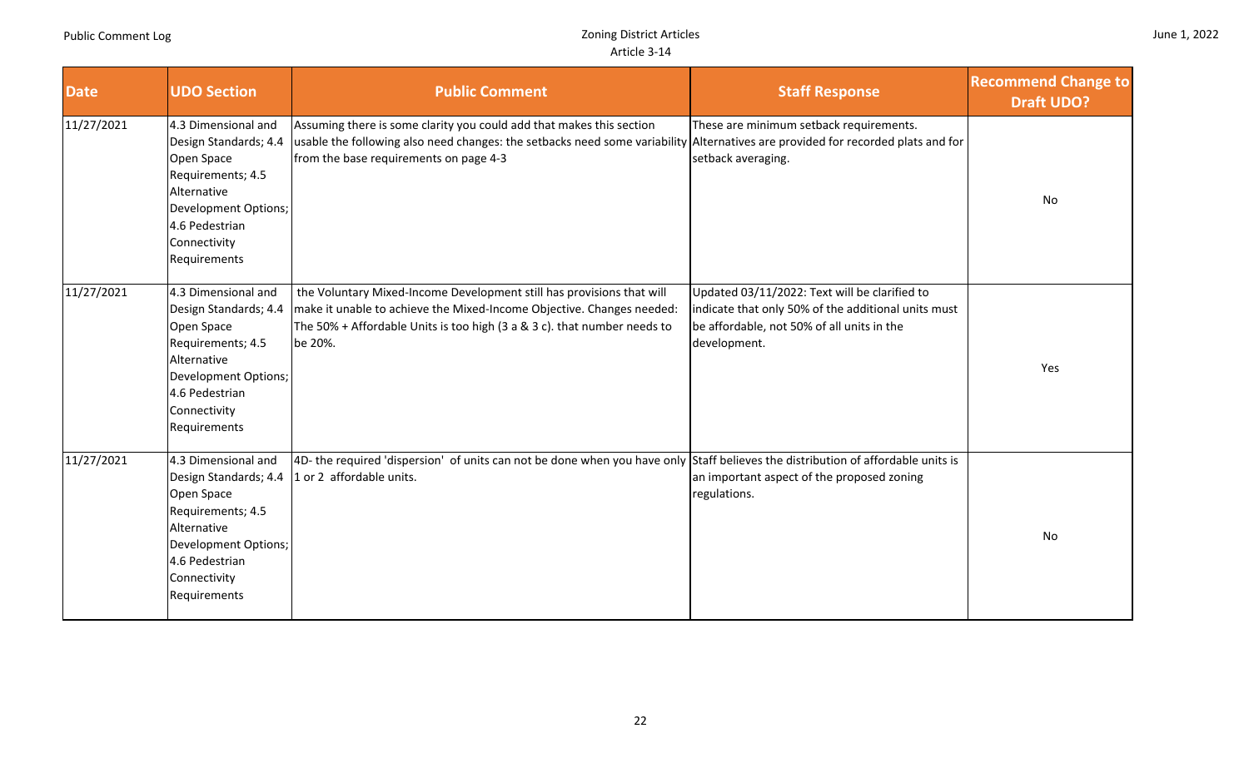Requirements

| <b>Date</b> | <b>UDO Section</b>                                                                                                                                                       | <b>Public Comment</b>                                                                                                                                                                                                                             | <b>Staff Response</b>                                                                                                                                              | <b>Recommend Change to</b><br><b>Draft UDO?</b> |  |
|-------------|--------------------------------------------------------------------------------------------------------------------------------------------------------------------------|---------------------------------------------------------------------------------------------------------------------------------------------------------------------------------------------------------------------------------------------------|--------------------------------------------------------------------------------------------------------------------------------------------------------------------|-------------------------------------------------|--|
| 11/27/2021  | 4.3 Dimensional and<br>Design Standards; 4.4<br>Open Space<br>Requirements; 4.5<br>Alternative<br>Development Options;<br>4.6 Pedestrian<br>Connectivity<br>Requirements | Assuming there is some clarity you could add that makes this section<br>usable the following also need changes: the setbacks need some variability Alternatives are provided for recorded plats and for<br>from the base requirements on page 4-3 | These are minimum setback requirements.<br>setback averaging.                                                                                                      | No                                              |  |
| 11/27/2021  | 4.3 Dimensional and<br>Design Standards; 4.4<br>Open Space<br>Requirements; 4.5<br>Alternative<br>Development Options;<br>4.6 Pedestrian<br>Connectivity<br>Requirements | the Voluntary Mixed-Income Development still has provisions that will<br>make it unable to achieve the Mixed-Income Objective. Changes needed:<br>The 50% + Affordable Units is too high (3 a & 3 c). that number needs to<br>be 20%.             | Updated 03/11/2022: Text will be clarified to<br>indicate that only 50% of the additional units must<br>be affordable, not 50% of all units in the<br>development. | Yes                                             |  |
| 11/27/2021  | 4.3 Dimensional and<br>Design Standards; 4.4<br>Open Space<br>Requirements; 4.5<br>Alternative<br>Development Options;<br>4.6 Pedestrian<br>Connectivity                 | 4D- the required 'dispersion' of units can not be done when you have only Staff believes the distribution of affordable units is<br>1 or 2 affordable units.                                                                                      | an important aspect of the proposed zoning<br>regulations.                                                                                                         | No                                              |  |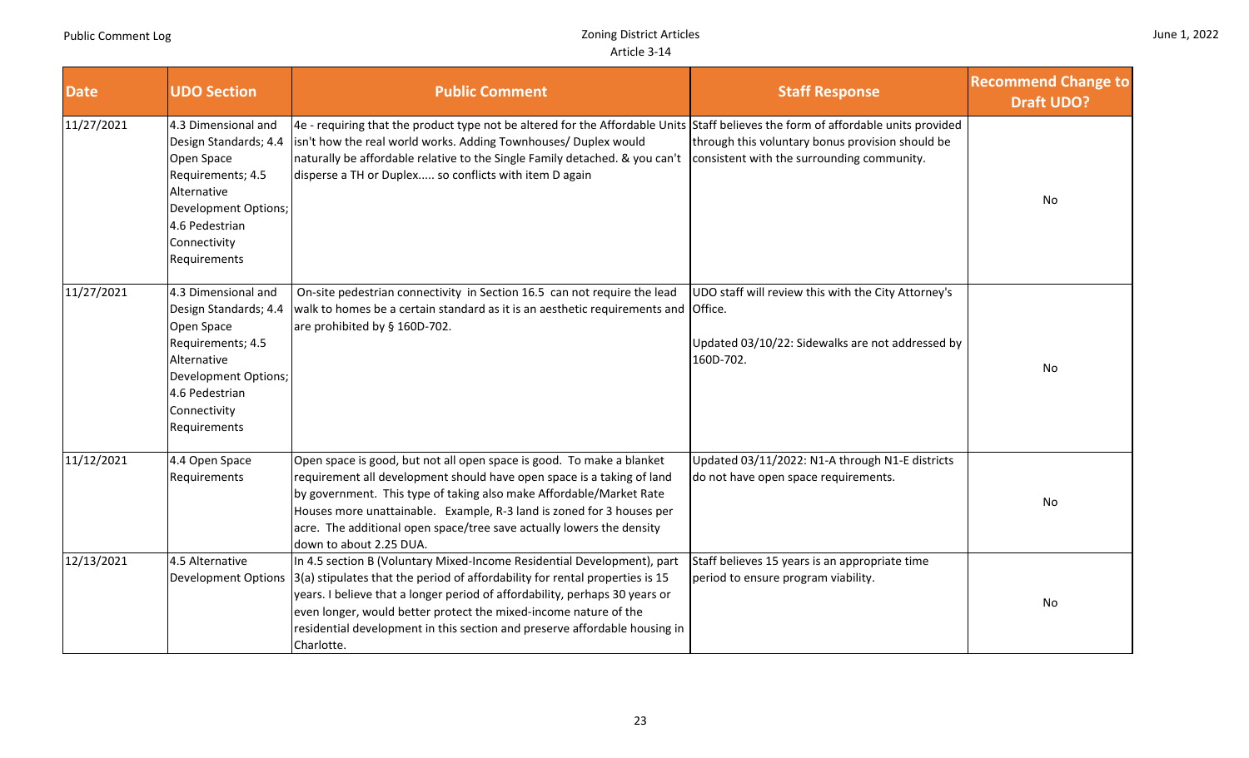a T

| June 1, 2022 |  |  |
|--------------|--|--|
|--------------|--|--|

| <b>Date</b> | <b>UDO Section</b>                                                                                                                                                       | <b>Public Comment</b>                                                                                                                                                                                                                                                                                                                                                                                  | <b>Staff Response</b>                                                                                                | <b>Recommend Change to</b><br><b>Draft UDO?</b> |
|-------------|--------------------------------------------------------------------------------------------------------------------------------------------------------------------------|--------------------------------------------------------------------------------------------------------------------------------------------------------------------------------------------------------------------------------------------------------------------------------------------------------------------------------------------------------------------------------------------------------|----------------------------------------------------------------------------------------------------------------------|-------------------------------------------------|
| 11/27/2021  | 4.3 Dimensional and<br>Design Standards; 4.4<br>Open Space<br>Requirements; 4.5<br>Alternative<br>Development Options;<br>4.6 Pedestrian<br>Connectivity<br>Requirements | 4e - requiring that the product type not be altered for the Affordable Units Staff believes the form of affordable units provided<br>isn't how the real world works. Adding Townhouses/ Duplex would<br>naturally be affordable relative to the Single Family detached. & you can't<br>disperse a TH or Duplex so conflicts with item D again                                                          | through this voluntary bonus provision should be<br>consistent with the surrounding community.                       | No                                              |
| 11/27/2021  | 4.3 Dimensional and<br>Design Standards; 4.4<br>Open Space<br>Requirements; 4.5<br>Alternative<br>Development Options;<br>4.6 Pedestrian<br>Connectivity<br>Requirements | On-site pedestrian connectivity in Section 16.5 can not require the lead<br>walk to homes be a certain standard as it is an aesthetic requirements and Office.<br>are prohibited by § 160D-702.                                                                                                                                                                                                        | UDO staff will review this with the City Attorney's<br>Updated 03/10/22: Sidewalks are not addressed by<br>160D-702. | No                                              |
| 11/12/2021  | 4.4 Open Space<br>Requirements                                                                                                                                           | Open space is good, but not all open space is good. To make a blanket<br>requirement all development should have open space is a taking of land<br>by government. This type of taking also make Affordable/Market Rate<br>Houses more unattainable. Example, R-3 land is zoned for 3 houses per<br>acre. The additional open space/tree save actually lowers the density<br>down to about 2.25 DUA.    | Updated 03/11/2022: N1-A through N1-E districts<br>do not have open space requirements.                              | No                                              |
| 12/13/2021  | 4.5 Alternative<br><b>Development Options</b>                                                                                                                            | In 4.5 section B (Voluntary Mixed-Income Residential Development), part<br>3(a) stipulates that the period of affordability for rental properties is 15<br>years. I believe that a longer period of affordability, perhaps 30 years or<br>even longer, would better protect the mixed-income nature of the<br>residential development in this section and preserve affordable housing in<br>Charlotte. | Staff believes 15 years is an appropriate time<br>period to ensure program viability.                                | No                                              |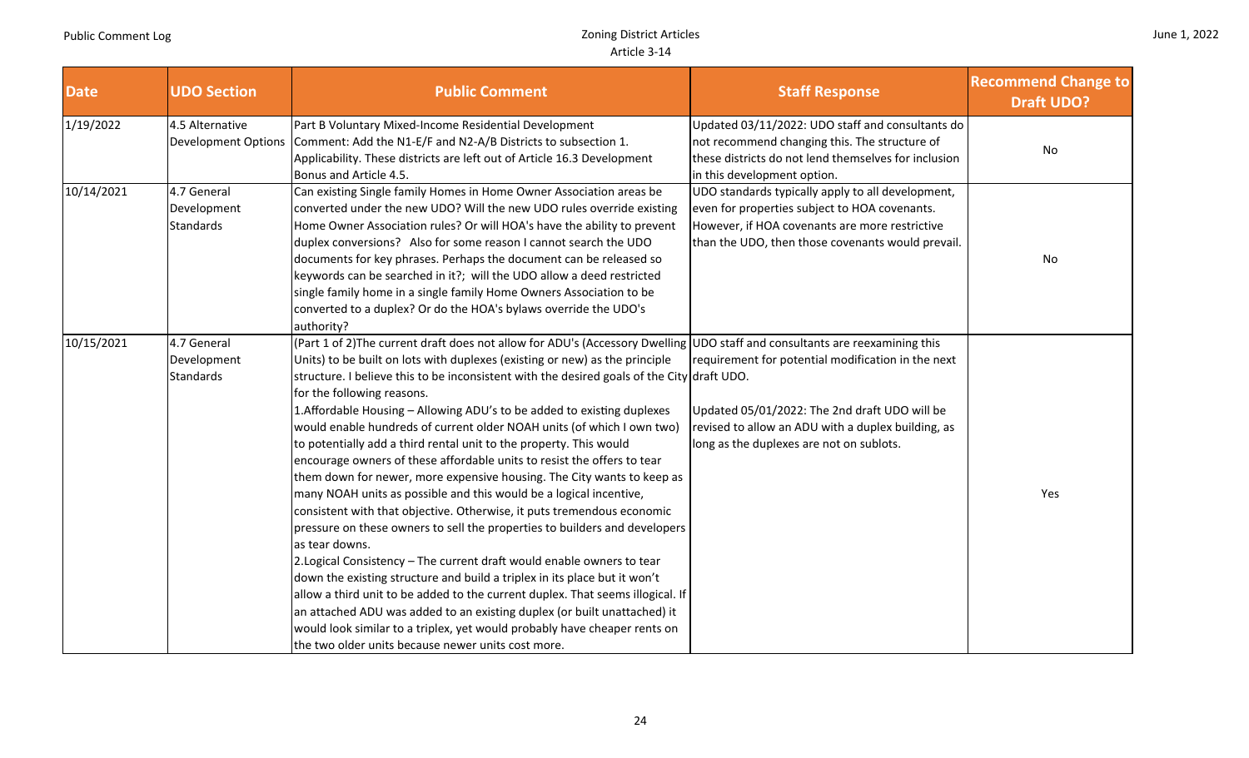|  |  | June 1, 2022 |
|--|--|--------------|
|--|--|--------------|

| <b>Date</b> | <b>UDO Section</b>                             | <b>Public Comment</b>                                                                                                                                                                                                                                                                                                                                                                                                                                                                                                                                                                                                                                                                                                                                                                                                                                                                                                                                                                                                                                                                                                                                                                                                                                                                                                                                                                                                         | <b>Staff Response</b>                                                                                                                                                                                     | <b>Recommend Change to</b><br><b>Draft UDO?</b> |
|-------------|------------------------------------------------|-------------------------------------------------------------------------------------------------------------------------------------------------------------------------------------------------------------------------------------------------------------------------------------------------------------------------------------------------------------------------------------------------------------------------------------------------------------------------------------------------------------------------------------------------------------------------------------------------------------------------------------------------------------------------------------------------------------------------------------------------------------------------------------------------------------------------------------------------------------------------------------------------------------------------------------------------------------------------------------------------------------------------------------------------------------------------------------------------------------------------------------------------------------------------------------------------------------------------------------------------------------------------------------------------------------------------------------------------------------------------------------------------------------------------------|-----------------------------------------------------------------------------------------------------------------------------------------------------------------------------------------------------------|-------------------------------------------------|
| 1/19/2022   | 4.5 Alternative<br><b>Development Options</b>  | Part B Voluntary Mixed-Income Residential Development<br>Comment: Add the N1-E/F and N2-A/B Districts to subsection 1.<br>Applicability. These districts are left out of Article 16.3 Development<br>Bonus and Article 4.5.                                                                                                                                                                                                                                                                                                                                                                                                                                                                                                                                                                                                                                                                                                                                                                                                                                                                                                                                                                                                                                                                                                                                                                                                   | Updated 03/11/2022: UDO staff and consultants do<br>not recommend changing this. The structure of<br>these districts do not lend themselves for inclusion<br>in this development option.                  | No                                              |
| 10/14/2021  | 4.7 General<br>Development<br><b>Standards</b> | Can existing Single family Homes in Home Owner Association areas be<br>converted under the new UDO? Will the new UDO rules override existing<br>Home Owner Association rules? Or will HOA's have the ability to prevent<br>duplex conversions? Also for some reason I cannot search the UDO<br>documents for key phrases. Perhaps the document can be released so<br>keywords can be searched in it?; will the UDO allow a deed restricted<br>single family home in a single family Home Owners Association to be<br>converted to a duplex? Or do the HOA's bylaws override the UDO's<br>authority?                                                                                                                                                                                                                                                                                                                                                                                                                                                                                                                                                                                                                                                                                                                                                                                                                           | UDO standards typically apply to all development,<br>even for properties subject to HOA covenants.<br>However, if HOA covenants are more restrictive<br>than the UDO, then those covenants would prevail. | No                                              |
| 10/15/2021  | 4.7 General<br>Development<br><b>Standards</b> | (Part 1 of 2) The current draft does not allow for ADU's (Accessory Dwelling UDO staff and consultants are reexamining this<br>Units) to be built on lots with duplexes (existing or new) as the principle<br>structure. I believe this to be inconsistent with the desired goals of the City draft UDO.<br>for the following reasons.<br>1.Affordable Housing - Allowing ADU's to be added to existing duplexes<br>would enable hundreds of current older NOAH units (of which I own two)<br>to potentially add a third rental unit to the property. This would<br>encourage owners of these affordable units to resist the offers to tear<br>them down for newer, more expensive housing. The City wants to keep as<br>many NOAH units as possible and this would be a logical incentive,<br>consistent with that objective. Otherwise, it puts tremendous economic<br>pressure on these owners to sell the properties to builders and developers<br>as tear downs.<br>2. Logical Consistency - The current draft would enable owners to tear<br>down the existing structure and build a triplex in its place but it won't<br>allow a third unit to be added to the current duplex. That seems illogical. If<br>an attached ADU was added to an existing duplex (or built unattached) it<br>would look similar to a triplex, yet would probably have cheaper rents on<br>the two older units because newer units cost more. | requirement for potential modification in the next<br>Updated 05/01/2022: The 2nd draft UDO will be<br>revised to allow an ADU with a duplex building, as<br>long as the duplexes are not on sublots.     | Yes                                             |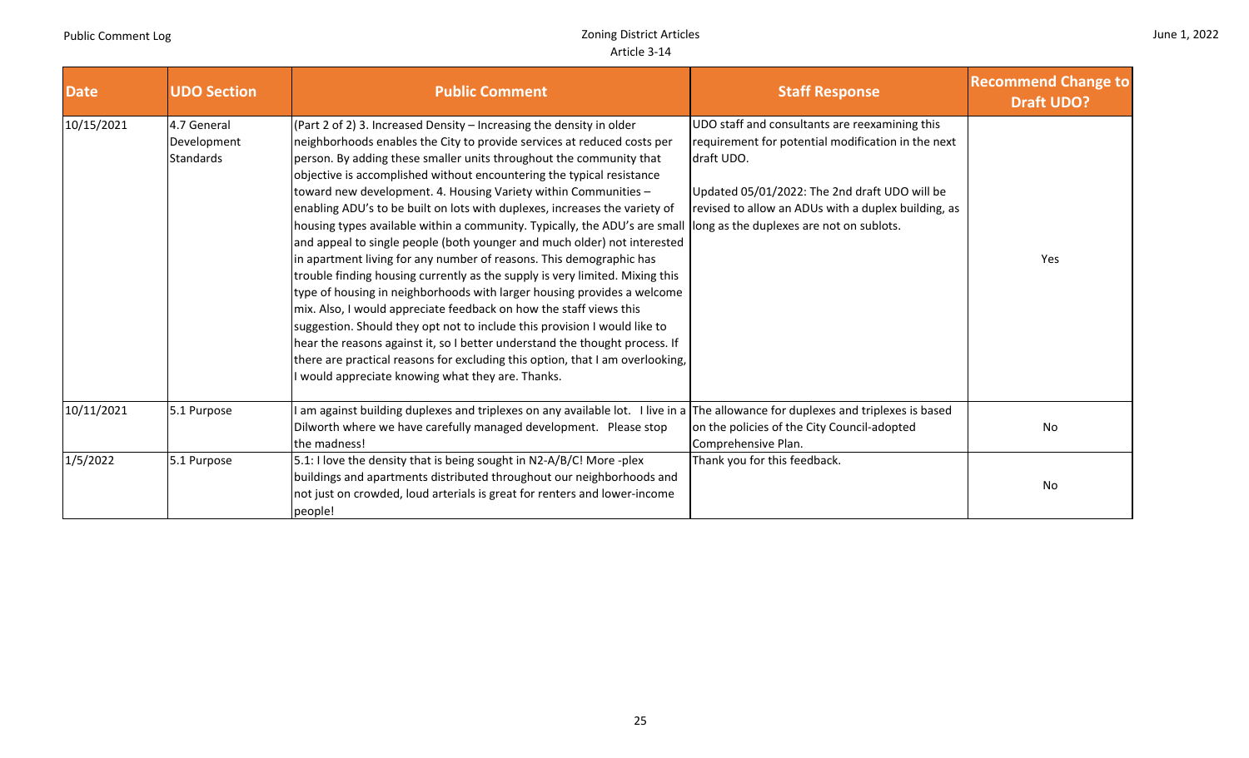| <b>Date</b> | <b>UDO Section</b>                             | <b>Public Comment</b>                                                                                                                                                                                                                                                                                                                                                                                                                                                                                                                                                                                                                                                                                                                                                                                                                                                                                                                                                                                                                                                                                                                                                                                                                                           | <b>Staff Response</b>                                                                                                                                                                                                      | <b>Recommend Change to</b><br><b>Draft UDO?</b> |
|-------------|------------------------------------------------|-----------------------------------------------------------------------------------------------------------------------------------------------------------------------------------------------------------------------------------------------------------------------------------------------------------------------------------------------------------------------------------------------------------------------------------------------------------------------------------------------------------------------------------------------------------------------------------------------------------------------------------------------------------------------------------------------------------------------------------------------------------------------------------------------------------------------------------------------------------------------------------------------------------------------------------------------------------------------------------------------------------------------------------------------------------------------------------------------------------------------------------------------------------------------------------------------------------------------------------------------------------------|----------------------------------------------------------------------------------------------------------------------------------------------------------------------------------------------------------------------------|-------------------------------------------------|
| 10/15/2021  | 4.7 General<br>Development<br><b>Standards</b> | (Part 2 of 2) 3. Increased Density $-$ Increasing the density in older<br>neighborhoods enables the City to provide services at reduced costs per<br>person. By adding these smaller units throughout the community that<br>objective is accomplished without encountering the typical resistance<br>toward new development. 4. Housing Variety within Communities -<br>enabling ADU's to be built on lots with duplexes, increases the variety of<br>housing types available within a community. Typically, the ADU's are small long as the duplexes are not on sublots.<br>and appeal to single people (both younger and much older) not interested<br>in apartment living for any number of reasons. This demographic has<br>trouble finding housing currently as the supply is very limited. Mixing this<br>type of housing in neighborhoods with larger housing provides a welcome<br>mix. Also, I would appreciate feedback on how the staff views this<br>suggestion. Should they opt not to include this provision I would like to<br>hear the reasons against it, so I better understand the thought process. If<br>there are practical reasons for excluding this option, that I am overlooking,<br>I would appreciate knowing what they are. Thanks. | UDO staff and consultants are reexamining this<br>requirement for potential modification in the next<br>draft UDO.<br>Updated 05/01/2022: The 2nd draft UDO will be<br>revised to allow an ADUs with a duplex building, as | Yes                                             |
| 10/11/2021  | 5.1 Purpose                                    | am against building duplexes and triplexes on any available lot. I live in a The allowance for duplexes and triplexes is based<br>Dilworth where we have carefully managed development. Please stop<br>the madness!                                                                                                                                                                                                                                                                                                                                                                                                                                                                                                                                                                                                                                                                                                                                                                                                                                                                                                                                                                                                                                             | on the policies of the City Council-adopted<br>Comprehensive Plan.                                                                                                                                                         | No                                              |
| 1/5/2022    | 5.1 Purpose                                    | 5.1: I love the density that is being sought in N2-A/B/C! More -plex<br>buildings and apartments distributed throughout our neighborhoods and<br>not just on crowded, loud arterials is great for renters and lower-income<br>people!                                                                                                                                                                                                                                                                                                                                                                                                                                                                                                                                                                                                                                                                                                                                                                                                                                                                                                                                                                                                                           | Thank you for this feedback.                                                                                                                                                                                               | No                                              |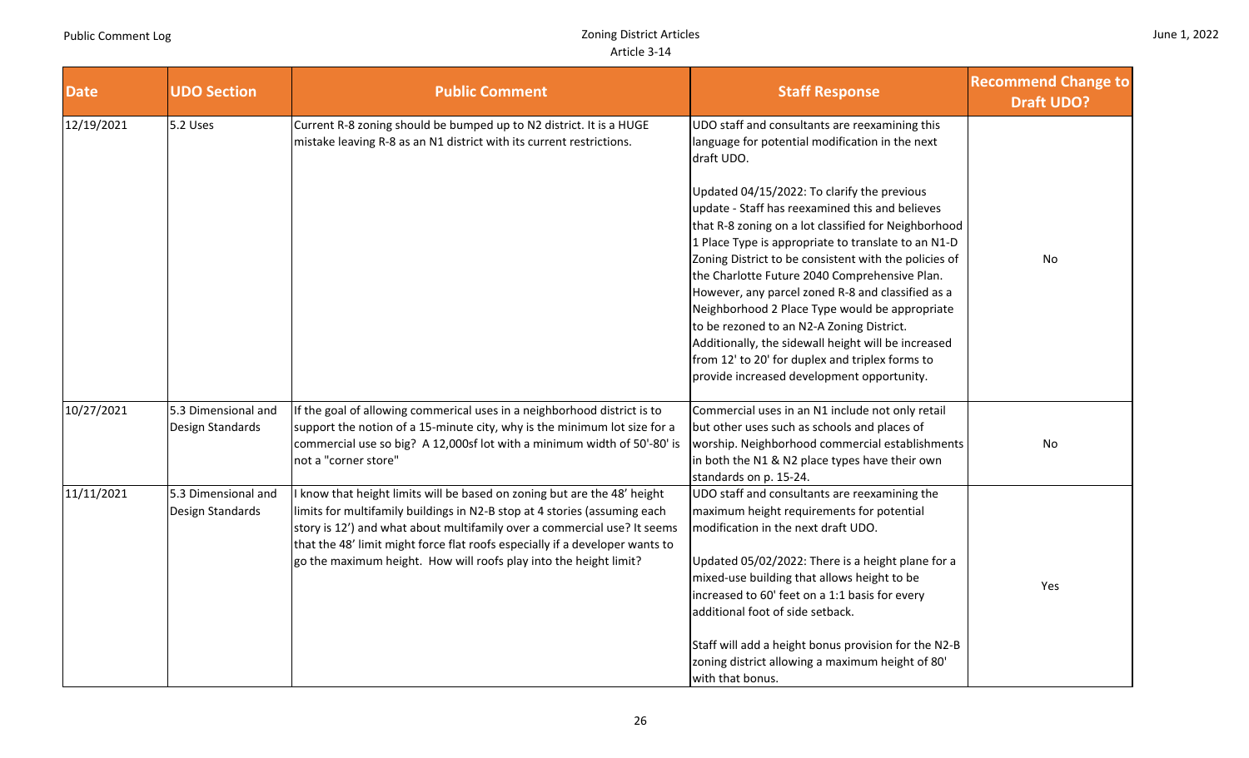| June 1, 2022 |  |  |
|--------------|--|--|
|--------------|--|--|

| <b>Date</b> | <b>UDO Section</b>                      | <b>Public Comment</b>                                                                                                                                                                                                                                                                                                                                                                | <b>Staff Response</b>                                                                                                                                                                                                                                                                                                                                                                                                                                                                                                                                                                                                                                                                                                                                  | <b>Recommend Change to</b><br><b>Draft UDO?</b> |
|-------------|-----------------------------------------|--------------------------------------------------------------------------------------------------------------------------------------------------------------------------------------------------------------------------------------------------------------------------------------------------------------------------------------------------------------------------------------|--------------------------------------------------------------------------------------------------------------------------------------------------------------------------------------------------------------------------------------------------------------------------------------------------------------------------------------------------------------------------------------------------------------------------------------------------------------------------------------------------------------------------------------------------------------------------------------------------------------------------------------------------------------------------------------------------------------------------------------------------------|-------------------------------------------------|
| 12/19/2021  | 5.2 Uses                                | Current R-8 zoning should be bumped up to N2 district. It is a HUGE<br>mistake leaving R-8 as an N1 district with its current restrictions.                                                                                                                                                                                                                                          | UDO staff and consultants are reexamining this<br>language for potential modification in the next<br>draft UDO.<br>Updated 04/15/2022: To clarify the previous<br>update - Staff has reexamined this and believes<br>that R-8 zoning on a lot classified for Neighborhood<br>1 Place Type is appropriate to translate to an N1-D<br>Zoning District to be consistent with the policies of<br>the Charlotte Future 2040 Comprehensive Plan.<br>However, any parcel zoned R-8 and classified as a<br>Neighborhood 2 Place Type would be appropriate<br>to be rezoned to an N2-A Zoning District.<br>Additionally, the sidewall height will be increased<br>from 12' to 20' for duplex and triplex forms to<br>provide increased development opportunity. | No                                              |
| 10/27/2021  | 5.3 Dimensional and<br>Design Standards | If the goal of allowing commerical uses in a neighborhood district is to<br>support the notion of a 15-minute city, why is the minimum lot size for a<br>commercial use so big? A 12,000sf lot with a minimum width of 50'-80' is<br>not a "corner store"                                                                                                                            | Commercial uses in an N1 include not only retail<br>but other uses such as schools and places of<br>worship. Neighborhood commercial establishments<br>in both the N1 & N2 place types have their own<br>standards on p. 15-24.                                                                                                                                                                                                                                                                                                                                                                                                                                                                                                                        | No                                              |
| 11/11/2021  | 5.3 Dimensional and<br>Design Standards | know that height limits will be based on zoning but are the 48' height<br>limits for multifamily buildings in N2-B stop at 4 stories (assuming each<br>story is 12') and what about multifamily over a commercial use? It seems<br>that the 48' limit might force flat roofs especially if a developer wants to<br>go the maximum height. How will roofs play into the height limit? | UDO staff and consultants are reexamining the<br>maximum height requirements for potential<br>modification in the next draft UDO.<br>Updated 05/02/2022: There is a height plane for a<br>mixed-use building that allows height to be<br>increased to 60' feet on a 1:1 basis for every<br>additional foot of side setback.<br>Staff will add a height bonus provision for the N2-B<br>zoning district allowing a maximum height of 80'<br>with that bonus.                                                                                                                                                                                                                                                                                            | Yes                                             |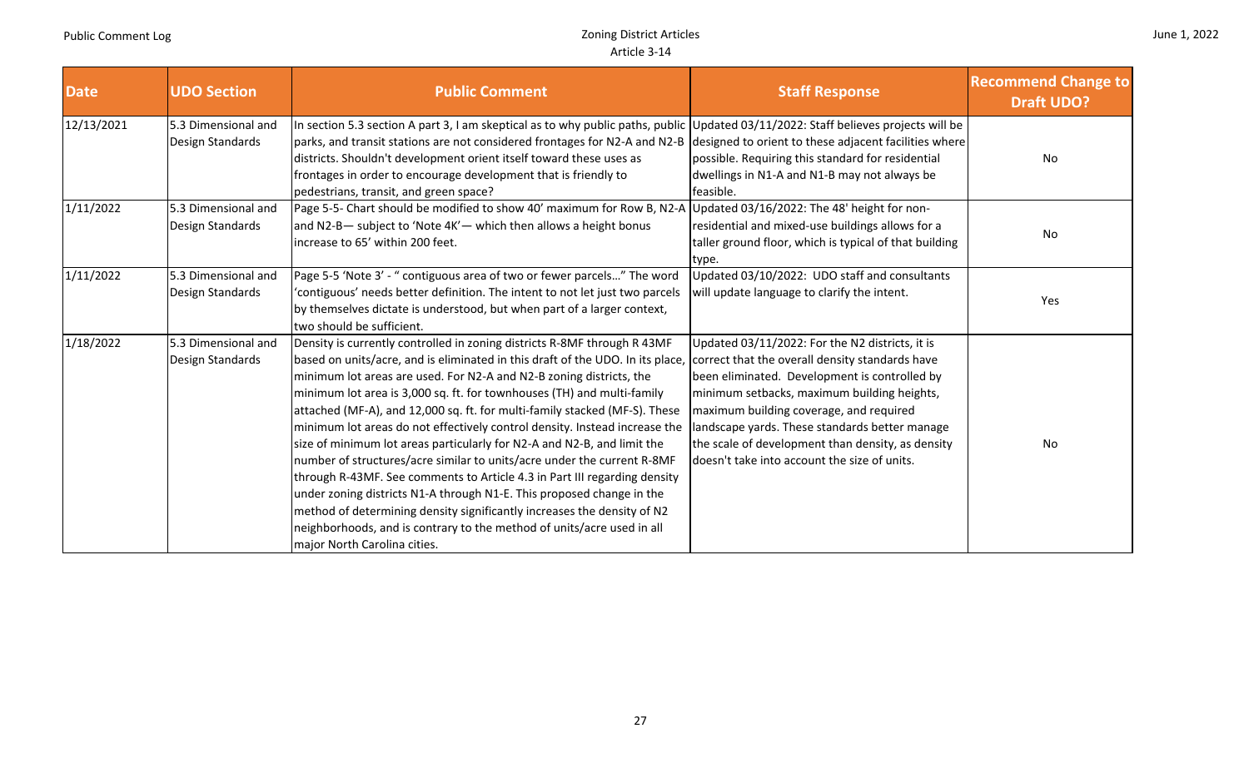| <b>Date</b> | <b>UDO Section</b>                      | <b>Public Comment</b>                                                                                                                                                                                                                                                                                                                                                                                                                                                                                                                                                                                                                                                                                                                                                                                                                                                                                                                                                    | <b>Staff Response</b>                                                                                                                                                                                                                                                                                                                                                                                | <b>Recommend Change to</b><br><b>Draft UDO?</b> |
|-------------|-----------------------------------------|--------------------------------------------------------------------------------------------------------------------------------------------------------------------------------------------------------------------------------------------------------------------------------------------------------------------------------------------------------------------------------------------------------------------------------------------------------------------------------------------------------------------------------------------------------------------------------------------------------------------------------------------------------------------------------------------------------------------------------------------------------------------------------------------------------------------------------------------------------------------------------------------------------------------------------------------------------------------------|------------------------------------------------------------------------------------------------------------------------------------------------------------------------------------------------------------------------------------------------------------------------------------------------------------------------------------------------------------------------------------------------------|-------------------------------------------------|
| 12/13/2021  | 5.3 Dimensional and<br>Design Standards | In section 5.3 section A part 3, I am skeptical as to why public paths, public Updated 03/11/2022: Staff believes projects will be<br>parks, and transit stations are not considered frontages for N2-A and N2-B<br>districts. Shouldn't development orient itself toward these uses as<br>frontages in order to encourage development that is friendly to<br>pedestrians, transit, and green space?                                                                                                                                                                                                                                                                                                                                                                                                                                                                                                                                                                     | designed to orient to these adjacent facilities where<br>possible. Requiring this standard for residential<br>dwellings in N1-A and N1-B may not always be<br>feasible.                                                                                                                                                                                                                              | No                                              |
| 1/11/2022   | 5.3 Dimensional and<br>Design Standards | Page 5-5- Chart should be modified to show 40' maximum for Row B, N2-A<br>and N2-B- subject to 'Note 4K'- which then allows a height bonus<br>increase to 65' within 200 feet.                                                                                                                                                                                                                                                                                                                                                                                                                                                                                                                                                                                                                                                                                                                                                                                           | Updated 03/16/2022: The 48' height for non-<br>residential and mixed-use buildings allows for a<br>taller ground floor, which is typical of that building<br>type.                                                                                                                                                                                                                                   | No                                              |
| 1/11/2022   | 5.3 Dimensional and<br>Design Standards | Page 5-5 'Note 3' - " contiguous area of two or fewer parcels" The word<br>'contiguous' needs better definition. The intent to not let just two parcels<br>by themselves dictate is understood, but when part of a larger context,<br>two should be sufficient.                                                                                                                                                                                                                                                                                                                                                                                                                                                                                                                                                                                                                                                                                                          | Updated 03/10/2022: UDO staff and consultants<br>will update language to clarify the intent.                                                                                                                                                                                                                                                                                                         | Yes                                             |
| 1/18/2022   | 5.3 Dimensional and<br>Design Standards | Density is currently controlled in zoning districts R-8MF through R 43MF<br>based on units/acre, and is eliminated in this draft of the UDO. In its place,<br>minimum lot areas are used. For N2-A and N2-B zoning districts, the<br>minimum lot area is 3,000 sq. ft. for townhouses (TH) and multi-family<br>attached (MF-A), and 12,000 sq. ft. for multi-family stacked (MF-S). These<br>minimum lot areas do not effectively control density. Instead increase the<br>size of minimum lot areas particularly for N2-A and N2-B, and limit the<br>number of structures/acre similar to units/acre under the current R-8MF<br>through R-43MF. See comments to Article 4.3 in Part III regarding density<br>under zoning districts N1-A through N1-E. This proposed change in the<br>method of determining density significantly increases the density of N2<br>neighborhoods, and is contrary to the method of units/acre used in all<br>major North Carolina cities. | Updated 03/11/2022: For the N2 districts, it is<br>correct that the overall density standards have<br>been eliminated. Development is controlled by<br>minimum setbacks, maximum building heights,<br>maximum building coverage, and required<br>landscape yards. These standards better manage<br>the scale of development than density, as density<br>doesn't take into account the size of units. | No                                              |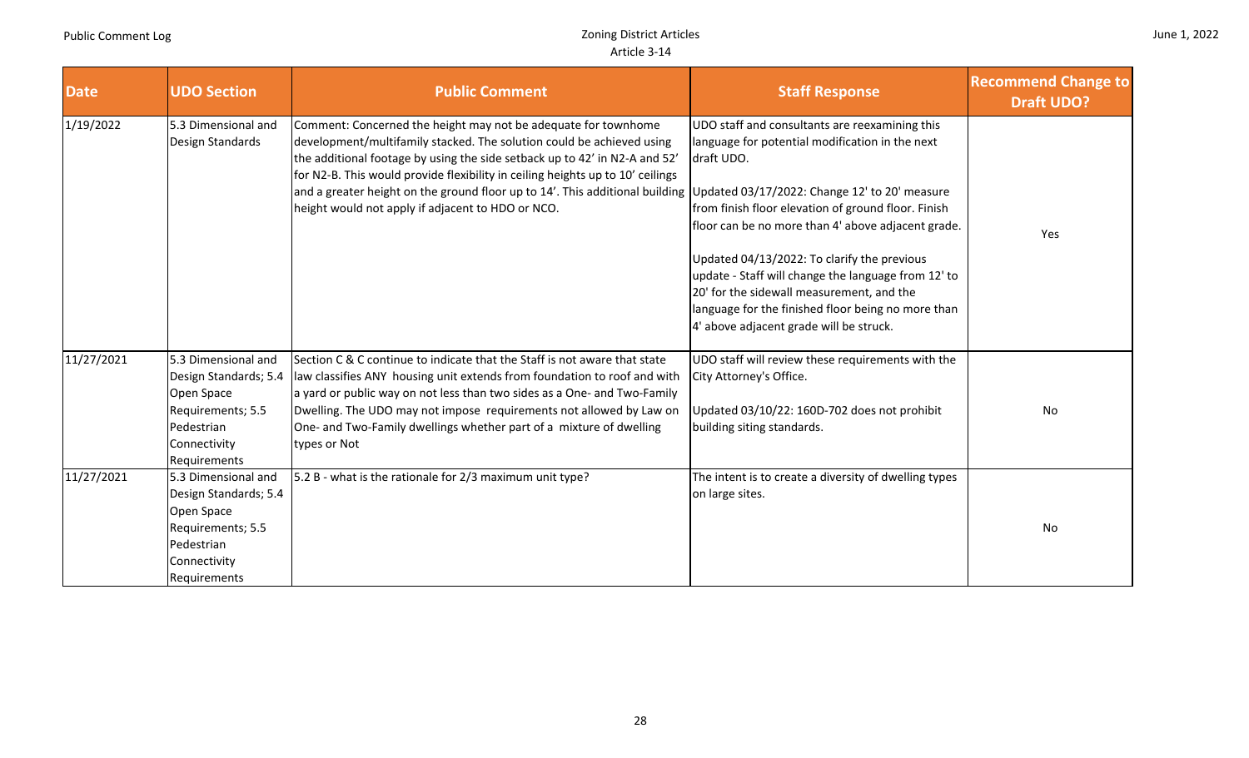|  |  | June 1, 2022 |
|--|--|--------------|
|--|--|--------------|

| <b>Date</b> | <b>UDO Section</b>                                                                                                            | <b>Public Comment</b>                                                                                                                                                                                                                                                                                                                                                                                                                                                                      | <b>Staff Response</b>                                                                                                                                                                                                                                                                                                                                                                                                                                                            | <b>Recommend Change to</b><br><b>Draft UDO?</b> |
|-------------|-------------------------------------------------------------------------------------------------------------------------------|--------------------------------------------------------------------------------------------------------------------------------------------------------------------------------------------------------------------------------------------------------------------------------------------------------------------------------------------------------------------------------------------------------------------------------------------------------------------------------------------|----------------------------------------------------------------------------------------------------------------------------------------------------------------------------------------------------------------------------------------------------------------------------------------------------------------------------------------------------------------------------------------------------------------------------------------------------------------------------------|-------------------------------------------------|
| 1/19/2022   | 5.3 Dimensional and<br>Design Standards                                                                                       | Comment: Concerned the height may not be adequate for townhome<br>development/multifamily stacked. The solution could be achieved using<br>the additional footage by using the side setback up to 42' in N2-A and 52'<br>for N2-B. This would provide flexibility in ceiling heights up to 10' ceilings<br>and a greater height on the ground floor up to 14'. This additional building Updated 03/17/2022: Change 12' to 20' measure<br>height would not apply if adjacent to HDO or NCO. | UDO staff and consultants are reexamining this<br>language for potential modification in the next<br>draft UDO.<br>from finish floor elevation of ground floor. Finish<br>floor can be no more than 4' above adjacent grade.<br>Updated 04/13/2022: To clarify the previous<br>update - Staff will change the language from 12' to<br>20' for the sidewall measurement, and the<br>language for the finished floor being no more than<br>4' above adjacent grade will be struck. | Yes                                             |
| 11/27/2021  | 5.3 Dimensional and<br>Design Standards; 5.4<br>Open Space<br>Requirements; 5.5<br>Pedestrian<br>Connectivity<br>Requirements | Section C & C continue to indicate that the Staff is not aware that state<br>law classifies ANY housing unit extends from foundation to roof and with<br>a yard or public way on not less than two sides as a One- and Two-Family<br>Dwelling. The UDO may not impose requirements not allowed by Law on<br>One- and Two-Family dwellings whether part of a mixture of dwelling<br>types or Not                                                                                            | UDO staff will review these requirements with the<br>City Attorney's Office.<br>Updated 03/10/22: 160D-702 does not prohibit<br>building siting standards.                                                                                                                                                                                                                                                                                                                       | No                                              |
| 11/27/2021  | 5.3 Dimensional and<br>Design Standards; 5.4<br>Open Space<br>Requirements; 5.5<br>Pedestrian<br>Connectivity<br>Requirements | 5.2 B - what is the rationale for 2/3 maximum unit type?                                                                                                                                                                                                                                                                                                                                                                                                                                   | The intent is to create a diversity of dwelling types<br>on large sites.                                                                                                                                                                                                                                                                                                                                                                                                         | No                                              |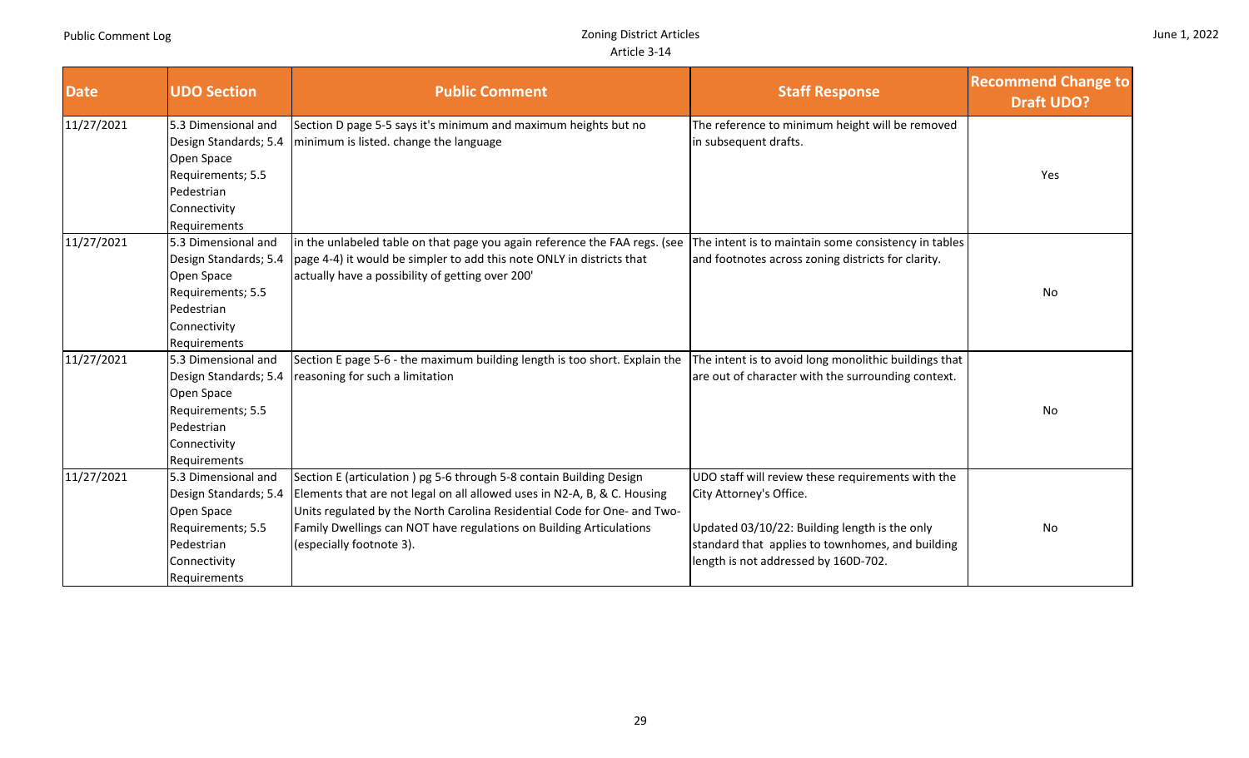|  |  | June 1, 2022 |
|--|--|--------------|
|--|--|--------------|

| <b>Date</b> | <b>UDO Section</b>                                                                                                            | <b>Public Comment</b>                                                                                                                                                                                                                                                                                                          | <b>Staff Response</b>                                                                                                                                                                                                     | <b>Recommend Change to</b><br><b>Draft UDO?</b> |
|-------------|-------------------------------------------------------------------------------------------------------------------------------|--------------------------------------------------------------------------------------------------------------------------------------------------------------------------------------------------------------------------------------------------------------------------------------------------------------------------------|---------------------------------------------------------------------------------------------------------------------------------------------------------------------------------------------------------------------------|-------------------------------------------------|
| 11/27/2021  | 5.3 Dimensional and<br>Design Standards; 5.4<br>Open Space<br>Requirements; 5.5<br>Pedestrian<br>Connectivity<br>Requirements | Section D page 5-5 says it's minimum and maximum heights but no<br>minimum is listed. change the language                                                                                                                                                                                                                      | The reference to minimum height will be removed<br>in subsequent drafts.                                                                                                                                                  | Yes                                             |
| 11/27/2021  | 5.3 Dimensional and<br>Design Standards; 5.4<br>Open Space<br>Requirements; 5.5<br>Pedestrian<br>Connectivity<br>Requirements | in the unlabeled table on that page you again reference the FAA regs. (see<br>page 4-4) it would be simpler to add this note ONLY in districts that<br>actually have a possibility of getting over 200'                                                                                                                        | The intent is to maintain some consistency in tables<br>and footnotes across zoning districts for clarity.                                                                                                                | No                                              |
| 11/27/2021  | 5.3 Dimensional and<br>Design Standards; 5.4<br>Open Space<br>Requirements; 5.5<br>Pedestrian<br>Connectivity<br>Requirements | Section E page 5-6 - the maximum building length is too short. Explain the<br>reasoning for such a limitation                                                                                                                                                                                                                  | The intent is to avoid long monolithic buildings that<br>are out of character with the surrounding context.                                                                                                               | No                                              |
| 11/27/2021  | 5.3 Dimensional and<br>Design Standards; 5.4<br>Open Space<br>Requirements; 5.5<br>Pedestrian<br>Connectivity<br>Requirements | Section E (articulation) pg 5-6 through 5-8 contain Building Design<br>Elements that are not legal on all allowed uses in N2-A, B, & C. Housing<br>Units regulated by the North Carolina Residential Code for One- and Two-<br>Family Dwellings can NOT have regulations on Building Articulations<br>(especially footnote 3). | UDO staff will review these requirements with the<br>City Attorney's Office.<br>Updated 03/10/22: Building length is the only<br>standard that applies to townhomes, and building<br>length is not addressed by 160D-702. | No                                              |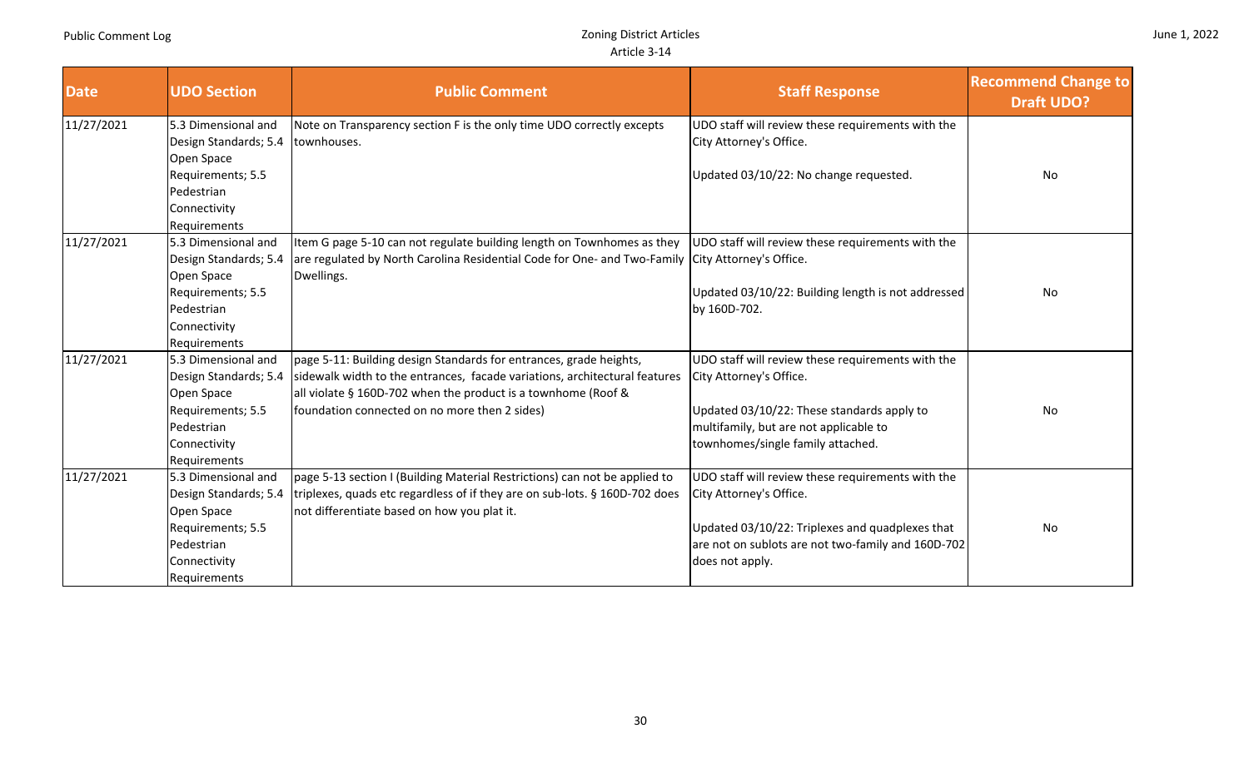a T

T

a sa kacamatan ing Kabupatèn Kabupatèn Kabupatèn Kabupatèn Kabupatèn Kabupatèn Kabupatèn Kabupatèn Kabupatèn K

an Barat

a sa kacamatan ing Kabupatèn Kabupatèn Kabupatèn Kabupatèn Kabupatèn Kabupatèn Kabupatèn Kabupatèn Kabupatèn K

|  |  | June 1, 2022 |
|--|--|--------------|
|--|--|--------------|

÷

| <b>Date</b> | <b>UDO Section</b>              | <b>Public Comment</b>                                                                            | <b>Staff Response</b>                              | <b>Recommend Change to</b><br><b>Draft UDO?</b> |
|-------------|---------------------------------|--------------------------------------------------------------------------------------------------|----------------------------------------------------|-------------------------------------------------|
| 11/27/2021  | 5.3 Dimensional and             | Note on Transparency section F is the only time UDO correctly excepts                            | UDO staff will review these requirements with the  |                                                 |
|             | Design Standards; 5.4           | townhouses.                                                                                      | City Attorney's Office.                            |                                                 |
|             | Open Space                      |                                                                                                  |                                                    |                                                 |
|             | Requirements; 5.5               |                                                                                                  | Updated 03/10/22: No change requested.             | No                                              |
|             | Pedestrian                      |                                                                                                  |                                                    |                                                 |
|             | Connectivity                    |                                                                                                  |                                                    |                                                 |
|             | Requirements                    |                                                                                                  |                                                    |                                                 |
| 11/27/2021  | 5.3 Dimensional and             | Item G page 5-10 can not regulate building length on Townhomes as they                           | UDO staff will review these requirements with the  |                                                 |
|             | Design Standards; 5.4           | are regulated by North Carolina Residential Code for One- and Two-Family City Attorney's Office. |                                                    |                                                 |
|             | Open Space                      | Dwellings.                                                                                       | Updated 03/10/22: Building length is not addressed | No                                              |
|             | Requirements; 5.5<br>Pedestrian |                                                                                                  | by 160D-702.                                       |                                                 |
|             | Connectivity                    |                                                                                                  |                                                    |                                                 |
|             | Requirements                    |                                                                                                  |                                                    |                                                 |
| 11/27/2021  | 5.3 Dimensional and             | page 5-11: Building design Standards for entrances, grade heights,                               | UDO staff will review these requirements with the  |                                                 |
|             | Design Standards; 5.4           | sidewalk width to the entrances, facade variations, architectural features                       | City Attorney's Office.                            |                                                 |
|             | Open Space                      | all violate § 160D-702 when the product is a townhome (Roof &                                    |                                                    |                                                 |
|             | Requirements; 5.5               | foundation connected on no more then 2 sides)                                                    | Updated 03/10/22: These standards apply to         | No                                              |
|             | Pedestrian                      |                                                                                                  | multifamily, but are not applicable to             |                                                 |
|             | Connectivity                    |                                                                                                  | townhomes/single family attached.                  |                                                 |
|             | Requirements                    |                                                                                                  |                                                    |                                                 |
| 11/27/2021  | 5.3 Dimensional and             | page 5-13 section I (Building Material Restrictions) can not be applied to                       | UDO staff will review these requirements with the  |                                                 |
|             | Design Standards; 5.4           | triplexes, quads etc regardless of if they are on sub-lots. § 160D-702 does                      | City Attorney's Office.                            |                                                 |
|             | Open Space                      | not differentiate based on how you plat it.                                                      |                                                    |                                                 |
|             | Requirements; 5.5               |                                                                                                  | Updated 03/10/22: Triplexes and quadplexes that    | No                                              |
|             | Pedestrian                      |                                                                                                  | are not on sublots are not two-family and 160D-702 |                                                 |
|             | Connectivity                    |                                                                                                  | does not apply.                                    |                                                 |
|             | Requirements                    |                                                                                                  |                                                    |                                                 |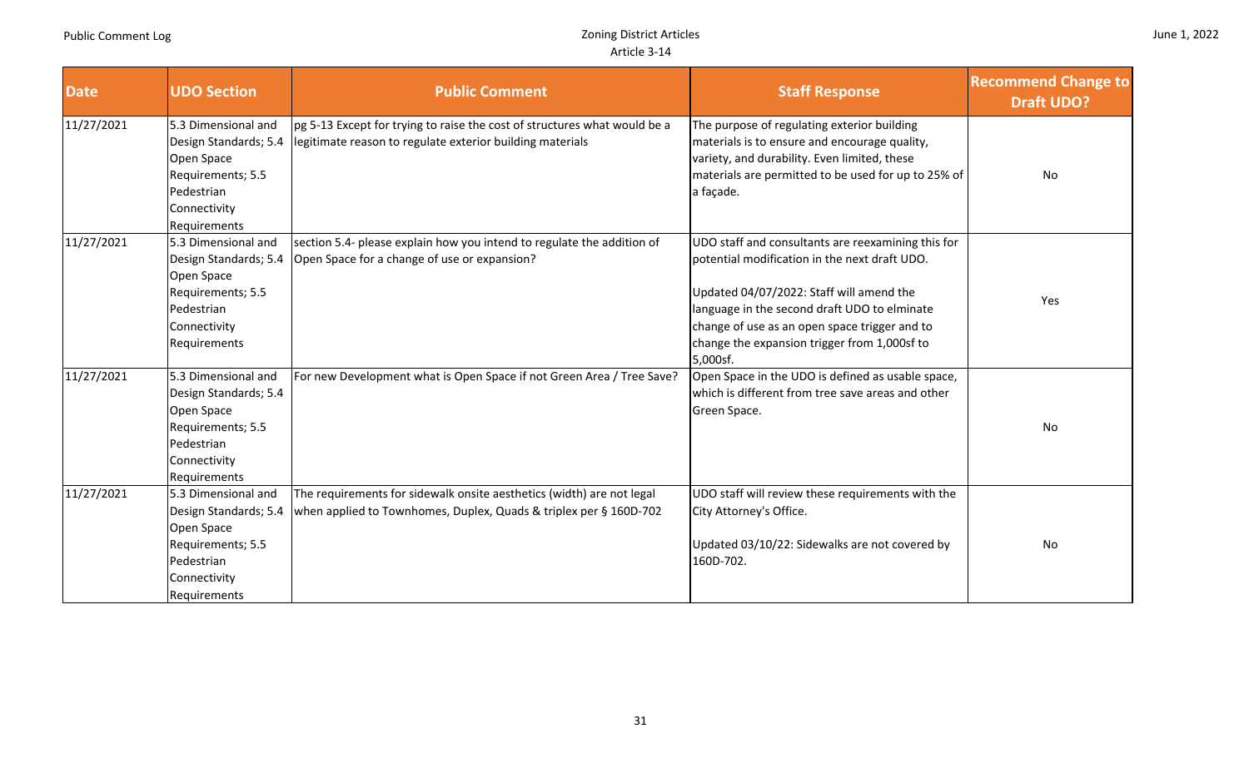| <b>Date</b> | <b>UDO Section</b>                                                                                                            | <b>Public Comment</b>                                                                                                                      | <b>Staff Response</b>                                                                                                                                                                                                                                                                                        | <b>Recommend Change to</b><br><b>Draft UDO?</b> |
|-------------|-------------------------------------------------------------------------------------------------------------------------------|--------------------------------------------------------------------------------------------------------------------------------------------|--------------------------------------------------------------------------------------------------------------------------------------------------------------------------------------------------------------------------------------------------------------------------------------------------------------|-------------------------------------------------|
| 11/27/2021  | 5.3 Dimensional and<br>Design Standards; 5.4<br>Open Space<br>Requirements; 5.5<br>Pedestrian<br>Connectivity<br>Requirements | pg 5-13 Except for trying to raise the cost of structures what would be a<br>legitimate reason to regulate exterior building materials     | The purpose of regulating exterior building<br>materials is to ensure and encourage quality,<br>variety, and durability. Even limited, these<br>materials are permitted to be used for up to 25% of<br>a façade.                                                                                             | No                                              |
| 11/27/2021  | 5.3 Dimensional and<br>Design Standards; 5.4<br>Open Space<br>Requirements; 5.5<br>Pedestrian<br>Connectivity<br>Requirements | section 5.4- please explain how you intend to regulate the addition of<br>Open Space for a change of use or expansion?                     | UDO staff and consultants are reexamining this for<br>potential modification in the next draft UDO.<br>Updated 04/07/2022: Staff will amend the<br>language in the second draft UDO to elminate<br>change of use as an open space trigger and to<br>change the expansion trigger from 1,000sf to<br>5,000sf. | Yes                                             |
| 11/27/2021  | 5.3 Dimensional and<br>Design Standards; 5.4<br>Open Space<br>Requirements; 5.5<br>Pedestrian<br>Connectivity<br>Requirements | For new Development what is Open Space if not Green Area / Tree Save?                                                                      | Open Space in the UDO is defined as usable space,<br>which is different from tree save areas and other<br>Green Space.                                                                                                                                                                                       | No                                              |
| 11/27/2021  | 5.3 Dimensional and<br>Design Standards; 5.4<br>Open Space<br>Requirements; 5.5<br>Pedestrian<br>Connectivity<br>Requirements | The requirements for sidewalk onsite aesthetics (width) are not legal<br>when applied to Townhomes, Duplex, Quads & triplex per § 160D-702 | UDO staff will review these requirements with the<br>City Attorney's Office.<br>Updated 03/10/22: Sidewalks are not covered by<br>160D-702.                                                                                                                                                                  | No                                              |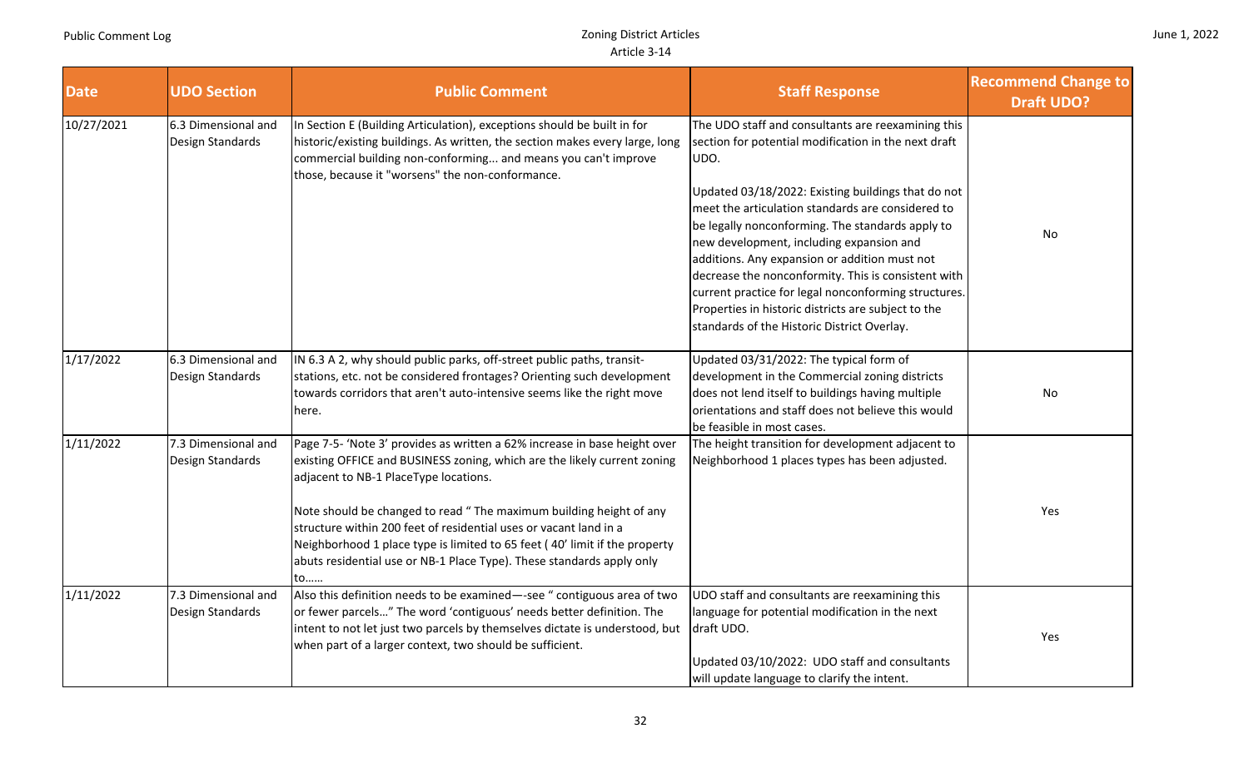| June 1, 2022 |  |  |
|--------------|--|--|
|--------------|--|--|

| <b>Date</b> | <b>UDO Section</b>                      | <b>Public Comment</b>                                                                                                                                                                                                                                                                                                                                                                                                                                                                                   | <b>Staff Response</b>                                                                                                                                                                                                                                                                                                                                                                                                                                                                                                                                                                               | <b>Recommend Change to</b><br><b>Draft UDO?</b> |
|-------------|-----------------------------------------|---------------------------------------------------------------------------------------------------------------------------------------------------------------------------------------------------------------------------------------------------------------------------------------------------------------------------------------------------------------------------------------------------------------------------------------------------------------------------------------------------------|-----------------------------------------------------------------------------------------------------------------------------------------------------------------------------------------------------------------------------------------------------------------------------------------------------------------------------------------------------------------------------------------------------------------------------------------------------------------------------------------------------------------------------------------------------------------------------------------------------|-------------------------------------------------|
| 10/27/2021  | 6.3 Dimensional and<br>Design Standards | In Section E (Building Articulation), exceptions should be built in for<br>historic/existing buildings. As written, the section makes every large, long<br>commercial building non-conforming and means you can't improve<br>those, because it "worsens" the non-conformance.                                                                                                                                                                                                                           | The UDO staff and consultants are reexamining this<br>section for potential modification in the next draft<br>UDO.<br>Updated 03/18/2022: Existing buildings that do not<br>meet the articulation standards are considered to<br>be legally nonconforming. The standards apply to<br>new development, including expansion and<br>additions. Any expansion or addition must not<br>decrease the nonconformity. This is consistent with<br>current practice for legal nonconforming structures.<br>Properties in historic districts are subject to the<br>standards of the Historic District Overlay. | No                                              |
| 1/17/2022   | 6.3 Dimensional and<br>Design Standards | IN 6.3 A 2, why should public parks, off-street public paths, transit-<br>stations, etc. not be considered frontages? Orienting such development<br>towards corridors that aren't auto-intensive seems like the right move<br>here.                                                                                                                                                                                                                                                                     | Updated 03/31/2022: The typical form of<br>development in the Commercial zoning districts<br>does not lend itself to buildings having multiple<br>orientations and staff does not believe this would<br>be feasible in most cases.                                                                                                                                                                                                                                                                                                                                                                  | No                                              |
| 1/11/2022   | 7.3 Dimensional and<br>Design Standards | Page 7-5- 'Note 3' provides as written a 62% increase in base height over<br>existing OFFICE and BUSINESS zoning, which are the likely current zoning<br>adjacent to NB-1 PlaceType locations.<br>Note should be changed to read " The maximum building height of any<br>structure within 200 feet of residential uses or vacant land in a<br>Neighborhood 1 place type is limited to 65 feet (40' limit if the property<br>abuts residential use or NB-1 Place Type). These standards apply only<br>to | The height transition for development adjacent to<br>Neighborhood 1 places types has been adjusted.                                                                                                                                                                                                                                                                                                                                                                                                                                                                                                 | Yes                                             |
| 1/11/2022   | 7.3 Dimensional and<br>Design Standards | Also this definition needs to be examined-see " contiguous area of two<br>or fewer parcels" The word 'contiguous' needs better definition. The<br>intent to not let just two parcels by themselves dictate is understood, but<br>when part of a larger context, two should be sufficient.                                                                                                                                                                                                               | UDO staff and consultants are reexamining this<br>language for potential modification in the next<br>draft UDO.<br>Updated 03/10/2022: UDO staff and consultants<br>will update language to clarify the intent.                                                                                                                                                                                                                                                                                                                                                                                     | Yes                                             |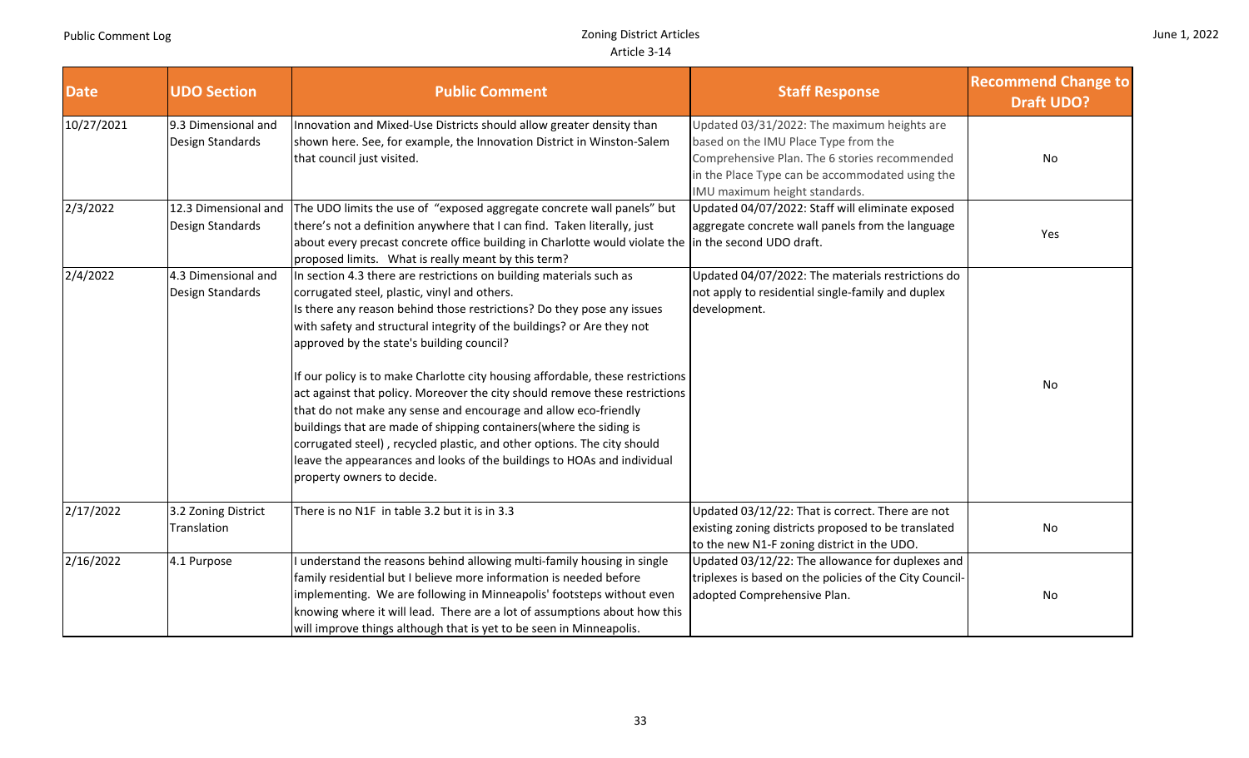|  |  | June 1, 2022 |
|--|--|--------------|
|--|--|--------------|

| <b>Date</b> | <b>UDO Section</b>                       | <b>Public Comment</b>                                                                                                                                                                                                                                                                                                                                                                                                                                                                                                                                                                                                                                                                                                                                                                                              | <b>Staff Response</b>                                                                                                                                                                                                    | <b>Recommend Change to</b><br><b>Draft UDO?</b> |
|-------------|------------------------------------------|--------------------------------------------------------------------------------------------------------------------------------------------------------------------------------------------------------------------------------------------------------------------------------------------------------------------------------------------------------------------------------------------------------------------------------------------------------------------------------------------------------------------------------------------------------------------------------------------------------------------------------------------------------------------------------------------------------------------------------------------------------------------------------------------------------------------|--------------------------------------------------------------------------------------------------------------------------------------------------------------------------------------------------------------------------|-------------------------------------------------|
| 10/27/2021  | 9.3 Dimensional and<br>Design Standards  | Innovation and Mixed-Use Districts should allow greater density than<br>shown here. See, for example, the Innovation District in Winston-Salem<br>that council just visited.                                                                                                                                                                                                                                                                                                                                                                                                                                                                                                                                                                                                                                       | Updated 03/31/2022: The maximum heights are<br>based on the IMU Place Type from the<br>Comprehensive Plan. The 6 stories recommended<br>in the Place Type can be accommodated using the<br>IMU maximum height standards. | No                                              |
| 2/3/2022    | 12.3 Dimensional and<br>Design Standards | The UDO limits the use of "exposed aggregate concrete wall panels" but<br>there's not a definition anywhere that I can find. Taken literally, just<br>about every precast concrete office building in Charlotte would violate the<br>proposed limits. What is really meant by this term?                                                                                                                                                                                                                                                                                                                                                                                                                                                                                                                           | Updated 04/07/2022: Staff will eliminate exposed<br>aggregate concrete wall panels from the language<br>in the second UDO draft.                                                                                         | Yes                                             |
| 2/4/2022    | 4.3 Dimensional and<br>Design Standards  | In section 4.3 there are restrictions on building materials such as<br>corrugated steel, plastic, vinyl and others.<br>Is there any reason behind those restrictions? Do they pose any issues<br>with safety and structural integrity of the buildings? or Are they not<br>approved by the state's building council?<br>If our policy is to make Charlotte city housing affordable, these restrictions<br>act against that policy. Moreover the city should remove these restrictions<br>that do not make any sense and encourage and allow eco-friendly<br>buildings that are made of shipping containers(where the siding is<br>corrugated steel), recycled plastic, and other options. The city should<br>leave the appearances and looks of the buildings to HOAs and individual<br>property owners to decide. | Updated 04/07/2022: The materials restrictions do<br>not apply to residential single-family and duplex<br>development.                                                                                                   | No                                              |
| 2/17/2022   | 3.2 Zoning District<br>Translation       | There is no N1F in table 3.2 but it is in 3.3                                                                                                                                                                                                                                                                                                                                                                                                                                                                                                                                                                                                                                                                                                                                                                      | Updated 03/12/22: That is correct. There are not<br>existing zoning districts proposed to be translated<br>to the new N1-F zoning district in the UDO.                                                                   | No                                              |
| 2/16/2022   | 4.1 Purpose                              | I understand the reasons behind allowing multi-family housing in single<br>family residential but I believe more information is needed before<br>implementing. We are following in Minneapolis' footsteps without even<br>knowing where it will lead. There are a lot of assumptions about how this<br>will improve things although that is yet to be seen in Minneapolis.                                                                                                                                                                                                                                                                                                                                                                                                                                         | Updated 03/12/22: The allowance for duplexes and<br>triplexes is based on the policies of the City Council-<br>adopted Comprehensive Plan.                                                                               | No                                              |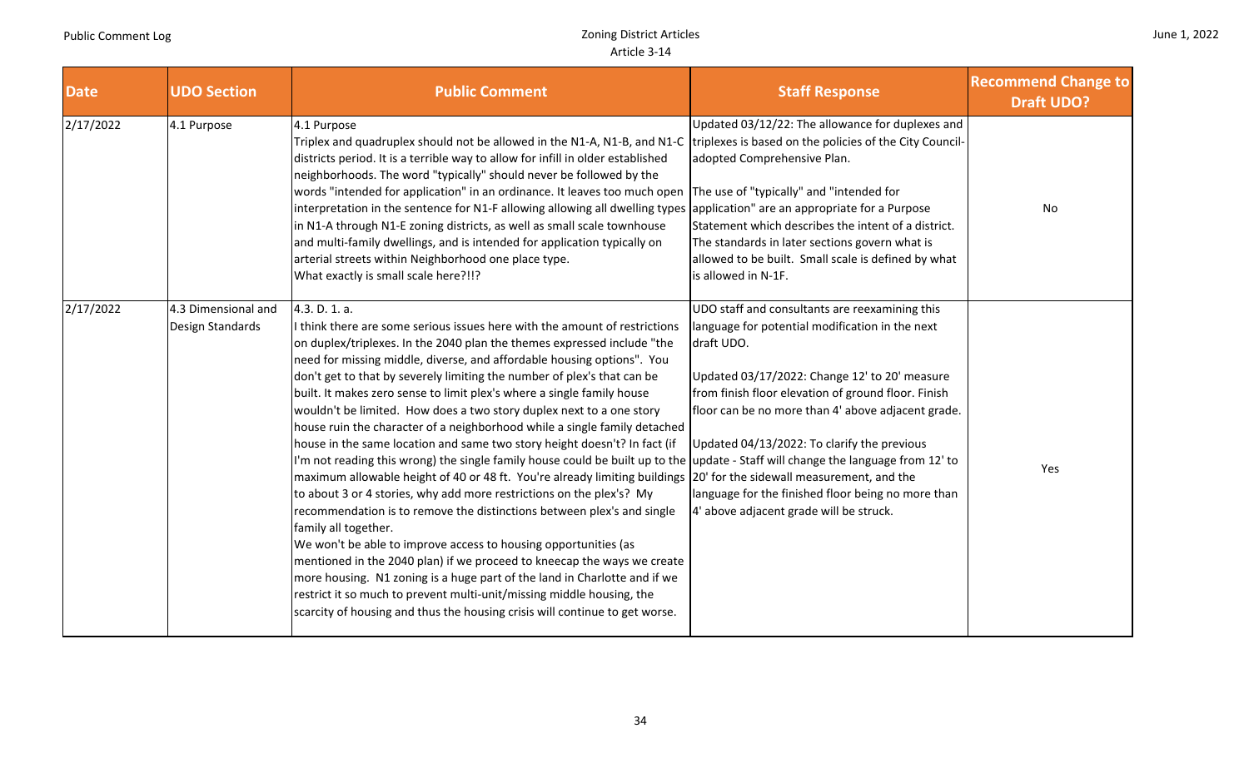П

|  |  | June 1, 2022 |
|--|--|--------------|
|--|--|--------------|

П

| <b>Date</b> | <b>UDO Section</b>                      | <b>Public Comment</b>                                                                                                                                                                                                                                                                                                                                                                                                                                                                                                                                                                                                                                                                                                                                                                                                                                                                                                                                                                                                                                                                                                                                                                                                                                                                                                                                                                                                                                             | <b>Staff Response</b>                                                                                                                                                                                                                                                                                                                                                                                                         | <b>Recommend Change to</b><br><b>Draft UDO?</b> |
|-------------|-----------------------------------------|-------------------------------------------------------------------------------------------------------------------------------------------------------------------------------------------------------------------------------------------------------------------------------------------------------------------------------------------------------------------------------------------------------------------------------------------------------------------------------------------------------------------------------------------------------------------------------------------------------------------------------------------------------------------------------------------------------------------------------------------------------------------------------------------------------------------------------------------------------------------------------------------------------------------------------------------------------------------------------------------------------------------------------------------------------------------------------------------------------------------------------------------------------------------------------------------------------------------------------------------------------------------------------------------------------------------------------------------------------------------------------------------------------------------------------------------------------------------|-------------------------------------------------------------------------------------------------------------------------------------------------------------------------------------------------------------------------------------------------------------------------------------------------------------------------------------------------------------------------------------------------------------------------------|-------------------------------------------------|
| 2/17/2022   | 4.1 Purpose                             | 4.1 Purpose<br>Triplex and quadruplex should not be allowed in the N1-A, N1-B, and N1-C triplexes is based on the policies of the City Council-<br>districts period. It is a terrible way to allow for infill in older established<br>neighborhoods. The word "typically" should never be followed by the<br>words "intended for application" in an ordinance. It leaves too much open The use of "typically" and "intended for<br>interpretation in the sentence for N1-F allowing allowing all dwelling types application" are an appropriate for a Purpose<br>in N1-A through N1-E zoning districts, as well as small scale townhouse<br>and multi-family dwellings, and is intended for application typically on<br>arterial streets within Neighborhood one place type.<br>What exactly is small scale here?!!?                                                                                                                                                                                                                                                                                                                                                                                                                                                                                                                                                                                                                                              | Updated 03/12/22: The allowance for duplexes and<br>adopted Comprehensive Plan.<br>Statement which describes the intent of a district.<br>The standards in later sections govern what is<br>allowed to be built. Small scale is defined by what<br>is allowed in N-1F.                                                                                                                                                        | No                                              |
| 2/17/2022   | 4.3 Dimensional and<br>Design Standards | 4.3. D. 1. a.<br>I think there are some serious issues here with the amount of restrictions<br>on duplex/triplexes. In the 2040 plan the themes expressed include "the<br>need for missing middle, diverse, and affordable housing options". You<br>don't get to that by severely limiting the number of plex's that can be<br>built. It makes zero sense to limit plex's where a single family house<br>wouldn't be limited. How does a two story duplex next to a one story<br>house ruin the character of a neighborhood while a single family detached<br>house in the same location and same two story height doesn't? In fact (if<br>I'm not reading this wrong) the single family house could be built up to the update - Staff will change the language from 12' to<br>maximum allowable height of 40 or 48 ft. You're already limiting buildings  20' for the sidewall measurement, and the<br>to about 3 or 4 stories, why add more restrictions on the plex's? My<br>recommendation is to remove the distinctions between plex's and single<br>family all together.<br>We won't be able to improve access to housing opportunities (as<br>mentioned in the 2040 plan) if we proceed to kneecap the ways we create<br>more housing. N1 zoning is a huge part of the land in Charlotte and if we<br>restrict it so much to prevent multi-unit/missing middle housing, the<br>scarcity of housing and thus the housing crisis will continue to get worse. | UDO staff and consultants are reexamining this<br>language for potential modification in the next<br>draft UDO.<br>Updated 03/17/2022: Change 12' to 20' measure<br>from finish floor elevation of ground floor. Finish<br>floor can be no more than 4' above adjacent grade.<br>Updated 04/13/2022: To clarify the previous<br>language for the finished floor being no more than<br>4' above adjacent grade will be struck. | Yes                                             |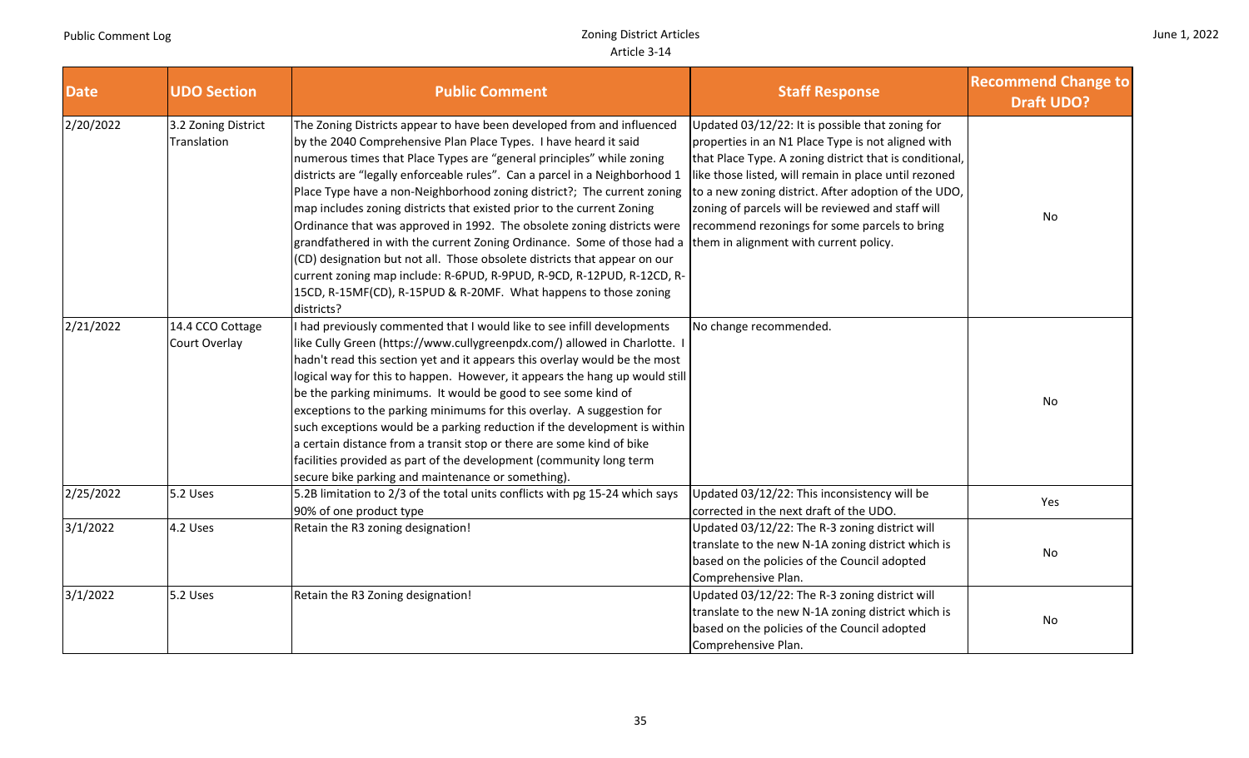| June 1, 2022 |  |  |
|--------------|--|--|
|--------------|--|--|

| <b>Date</b> | <b>UDO Section</b>                 | <b>Public Comment</b>                                                                                                                                                                                                                                                                                                                                                                                                                                                                                                                                                                                                                                                                                                                                                                                                                                  | <b>Staff Response</b>                                                                                                                                                                                                                                                                                                                                                                                                              | <b>Recommend Change to</b><br><b>Draft UDO?</b> |
|-------------|------------------------------------|--------------------------------------------------------------------------------------------------------------------------------------------------------------------------------------------------------------------------------------------------------------------------------------------------------------------------------------------------------------------------------------------------------------------------------------------------------------------------------------------------------------------------------------------------------------------------------------------------------------------------------------------------------------------------------------------------------------------------------------------------------------------------------------------------------------------------------------------------------|------------------------------------------------------------------------------------------------------------------------------------------------------------------------------------------------------------------------------------------------------------------------------------------------------------------------------------------------------------------------------------------------------------------------------------|-------------------------------------------------|
| 2/20/2022   | 3.2 Zoning District<br>Translation | The Zoning Districts appear to have been developed from and influenced<br>by the 2040 Comprehensive Plan Place Types. I have heard it said<br>numerous times that Place Types are "general principles" while zoning<br>districts are "legally enforceable rules". Can a parcel in a Neighborhood 1<br>Place Type have a non-Neighborhood zoning district?; The current zoning<br>map includes zoning districts that existed prior to the current Zoning<br>Ordinance that was approved in 1992. The obsolete zoning districts were<br>grandfathered in with the current Zoning Ordinance. Some of those had a<br>(CD) designation but not all. Those obsolete districts that appear on our<br>current zoning map include: R-6PUD, R-9PUD, R-9CD, R-12PUD, R-12CD, R-<br>15CD, R-15MF(CD), R-15PUD & R-20MF. What happens to those zoning<br>districts? | Updated 03/12/22: It is possible that zoning for<br>properties in an N1 Place Type is not aligned with<br>that Place Type. A zoning district that is conditional,<br>like those listed, will remain in place until rezoned<br>to a new zoning district. After adoption of the UDO,<br>zoning of parcels will be reviewed and staff will<br>recommend rezonings for some parcels to bring<br>them in alignment with current policy. | No                                              |
| 2/21/2022   | 14.4 CCO Cottage<br>Court Overlay  | I had previously commented that I would like to see infill developments<br>like Cully Green (https://www.cullygreenpdx.com/) allowed in Charlotte. I<br>hadn't read this section yet and it appears this overlay would be the most<br>logical way for this to happen. However, it appears the hang up would still<br>be the parking minimums. It would be good to see some kind of<br>exceptions to the parking minimums for this overlay. A suggestion for<br>such exceptions would be a parking reduction if the development is within<br>a certain distance from a transit stop or there are some kind of bike<br>facilities provided as part of the development (community long term<br>secure bike parking and maintenance or something).                                                                                                         | No change recommended.                                                                                                                                                                                                                                                                                                                                                                                                             | No                                              |
| 2/25/2022   | 5.2 Uses                           | 5.2B limitation to 2/3 of the total units conflicts with pg 15-24 which says<br>90% of one product type                                                                                                                                                                                                                                                                                                                                                                                                                                                                                                                                                                                                                                                                                                                                                | Updated 03/12/22: This inconsistency will be<br>corrected in the next draft of the UDO.                                                                                                                                                                                                                                                                                                                                            | Yes                                             |
| 3/1/2022    | 4.2 Uses                           | Retain the R3 zoning designation!                                                                                                                                                                                                                                                                                                                                                                                                                                                                                                                                                                                                                                                                                                                                                                                                                      | Updated 03/12/22: The R-3 zoning district will<br>translate to the new N-1A zoning district which is<br>based on the policies of the Council adopted<br>Comprehensive Plan.                                                                                                                                                                                                                                                        | No                                              |
| 3/1/2022    | 5.2 Uses                           | Retain the R3 Zoning designation!                                                                                                                                                                                                                                                                                                                                                                                                                                                                                                                                                                                                                                                                                                                                                                                                                      | Updated 03/12/22: The R-3 zoning district will<br>translate to the new N-1A zoning district which is<br>based on the policies of the Council adopted<br>Comprehensive Plan.                                                                                                                                                                                                                                                        | No                                              |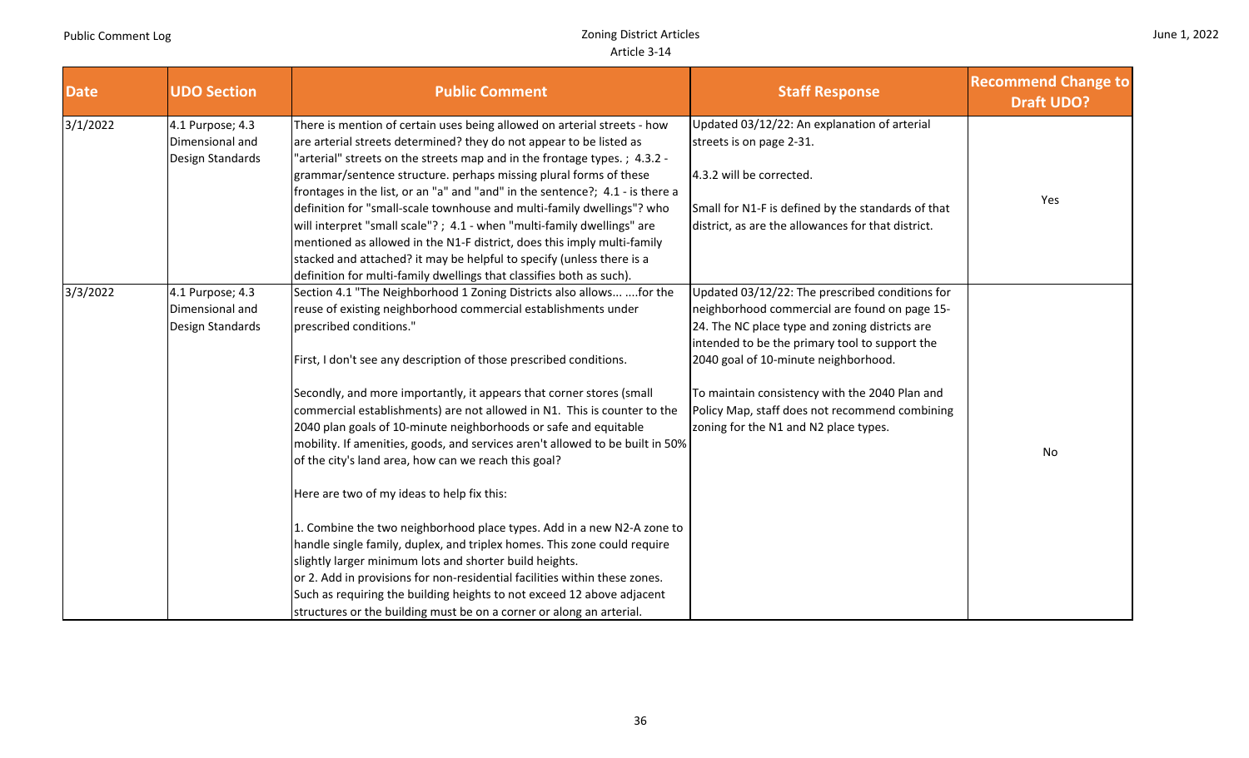| June 1, 2022 |  |
|--------------|--|
|              |  |

| <b>Date</b> | <b>UDO Section</b>                                      | <b>Public Comment</b>                                                                                                                                                                                                                                                                                                                                                                                                                                                                                                                                                                                                                                                                                                                                                                                                                                                                                                                                                                                                                                                                                    | <b>Staff Response</b>                                                                                                                                                                                                                                                                                                                                                                     | <b>Recommend Change to</b><br><b>Draft UDO?</b> |
|-------------|---------------------------------------------------------|----------------------------------------------------------------------------------------------------------------------------------------------------------------------------------------------------------------------------------------------------------------------------------------------------------------------------------------------------------------------------------------------------------------------------------------------------------------------------------------------------------------------------------------------------------------------------------------------------------------------------------------------------------------------------------------------------------------------------------------------------------------------------------------------------------------------------------------------------------------------------------------------------------------------------------------------------------------------------------------------------------------------------------------------------------------------------------------------------------|-------------------------------------------------------------------------------------------------------------------------------------------------------------------------------------------------------------------------------------------------------------------------------------------------------------------------------------------------------------------------------------------|-------------------------------------------------|
| 3/1/2022    | 4.1 Purpose; 4.3<br>Dimensional and<br>Design Standards | There is mention of certain uses being allowed on arterial streets - how<br>are arterial streets determined? they do not appear to be listed as<br>'arterial" streets on the streets map and in the frontage types.; 4.3.2 -<br>grammar/sentence structure. perhaps missing plural forms of these<br>frontages in the list, or an "a" and "and" in the sentence?; 4.1 - is there a<br>definition for "small-scale townhouse and multi-family dwellings"? who<br>will interpret "small scale"? ; 4.1 - when "multi-family dwellings" are<br>mentioned as allowed in the N1-F district, does this imply multi-family<br>stacked and attached? it may be helpful to specify (unless there is a<br>definition for multi-family dwellings that classifies both as such).                                                                                                                                                                                                                                                                                                                                      | Updated 03/12/22: An explanation of arterial<br>streets is on page 2-31.<br>4.3.2 will be corrected.<br>Small for N1-F is defined by the standards of that<br>district, as are the allowances for that district.                                                                                                                                                                          | Yes                                             |
| 3/3/2022    | 4.1 Purpose; 4.3<br>Dimensional and<br>Design Standards | Section 4.1 "The Neighborhood 1 Zoning Districts also allows  for the<br>reuse of existing neighborhood commercial establishments under<br>prescribed conditions."<br>First, I don't see any description of those prescribed conditions.<br>Secondly, and more importantly, it appears that corner stores (small<br>commercial establishments) are not allowed in N1. This is counter to the<br>2040 plan goals of 10-minute neighborhoods or safe and equitable<br>mobility. If amenities, goods, and services aren't allowed to be built in 50%<br>of the city's land area, how can we reach this goal?<br>Here are two of my ideas to help fix this:<br>1. Combine the two neighborhood place types. Add in a new N2-A zone to<br>handle single family, duplex, and triplex homes. This zone could require<br>slightly larger minimum lots and shorter build heights.<br>or 2. Add in provisions for non-residential facilities within these zones.<br>Such as requiring the building heights to not exceed 12 above adjacent<br>structures or the building must be on a corner or along an arterial. | Updated 03/12/22: The prescribed conditions for<br>neighborhood commercial are found on page 15-<br>24. The NC place type and zoning districts are<br>intended to be the primary tool to support the<br>2040 goal of 10-minute neighborhood.<br>To maintain consistency with the 2040 Plan and<br>Policy Map, staff does not recommend combining<br>zoning for the N1 and N2 place types. | No                                              |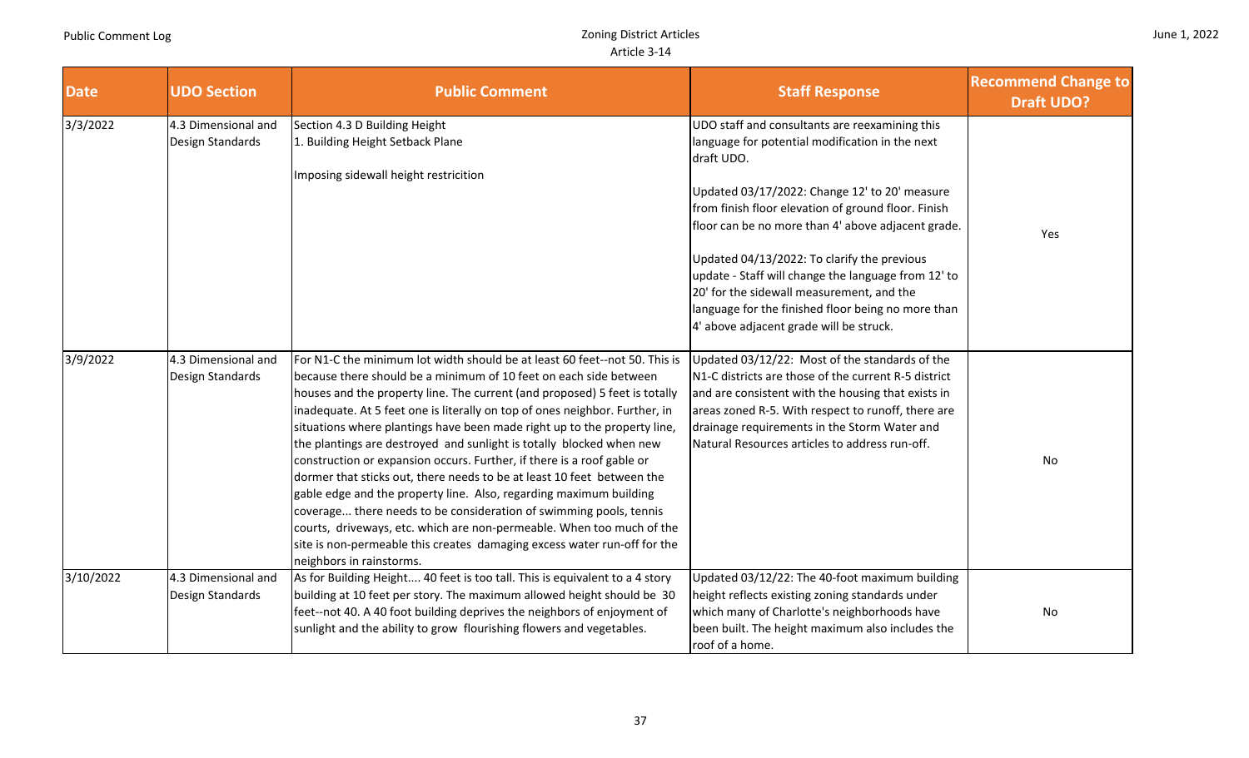|  |  | June 1, 2022 |
|--|--|--------------|
|--|--|--------------|

| <b>Date</b> | <b>UDO Section</b>                      | <b>Public Comment</b>                                                                                                                                                                                                                                                                                                                                                                                                                                                                                                                                                                                                                                                                                                                                                                                                                                                                                                                             | <b>Staff Response</b>                                                                                                                                                                                                                                                                                                                                                                                                                                                                                                             | <b>Recommend Change to</b><br><b>Draft UDO?</b> |
|-------------|-----------------------------------------|---------------------------------------------------------------------------------------------------------------------------------------------------------------------------------------------------------------------------------------------------------------------------------------------------------------------------------------------------------------------------------------------------------------------------------------------------------------------------------------------------------------------------------------------------------------------------------------------------------------------------------------------------------------------------------------------------------------------------------------------------------------------------------------------------------------------------------------------------------------------------------------------------------------------------------------------------|-----------------------------------------------------------------------------------------------------------------------------------------------------------------------------------------------------------------------------------------------------------------------------------------------------------------------------------------------------------------------------------------------------------------------------------------------------------------------------------------------------------------------------------|-------------------------------------------------|
| 3/3/2022    | 4.3 Dimensional and<br>Design Standards | Section 4.3 D Building Height<br>1. Building Height Setback Plane<br>Imposing sidewall height restricition                                                                                                                                                                                                                                                                                                                                                                                                                                                                                                                                                                                                                                                                                                                                                                                                                                        | UDO staff and consultants are reexamining this<br>language for potential modification in the next<br>draft UDO.<br>Updated 03/17/2022: Change 12' to 20' measure<br>from finish floor elevation of ground floor. Finish<br>floor can be no more than 4' above adjacent grade.<br>Updated 04/13/2022: To clarify the previous<br>update - Staff will change the language from 12' to<br>20' for the sidewall measurement, and the<br>language for the finished floor being no more than<br>4' above adjacent grade will be struck. | Yes                                             |
| 3/9/2022    | 4.3 Dimensional and<br>Design Standards | For N1-C the minimum lot width should be at least 60 feet--not 50. This is<br>because there should be a minimum of 10 feet on each side between<br>houses and the property line. The current (and proposed) 5 feet is totally<br>inadequate. At 5 feet one is literally on top of ones neighbor. Further, in<br>situations where plantings have been made right up to the property line,<br>the plantings are destroyed and sunlight is totally blocked when new<br>construction or expansion occurs. Further, if there is a roof gable or<br>dormer that sticks out, there needs to be at least 10 feet between the<br>gable edge and the property line. Also, regarding maximum building<br>coverage there needs to be consideration of swimming pools, tennis<br>courts, driveways, etc. which are non-permeable. When too much of the<br>site is non-permeable this creates damaging excess water run-off for the<br>neighbors in rainstorms. | Updated 03/12/22: Most of the standards of the<br>N1-C districts are those of the current R-5 district<br>and are consistent with the housing that exists in<br>areas zoned R-5. With respect to runoff, there are<br>drainage requirements in the Storm Water and<br>Natural Resources articles to address run-off.                                                                                                                                                                                                              | No                                              |
| 3/10/2022   | 4.3 Dimensional and<br>Design Standards | As for Building Height 40 feet is too tall. This is equivalent to a 4 story<br>building at 10 feet per story. The maximum allowed height should be 30<br>feet--not 40. A 40 foot building deprives the neighbors of enjoyment of<br>sunlight and the ability to grow flourishing flowers and vegetables.                                                                                                                                                                                                                                                                                                                                                                                                                                                                                                                                                                                                                                          | Updated 03/12/22: The 40-foot maximum building<br>height reflects existing zoning standards under<br>which many of Charlotte's neighborhoods have<br>been built. The height maximum also includes the<br>roof of a home.                                                                                                                                                                                                                                                                                                          | No                                              |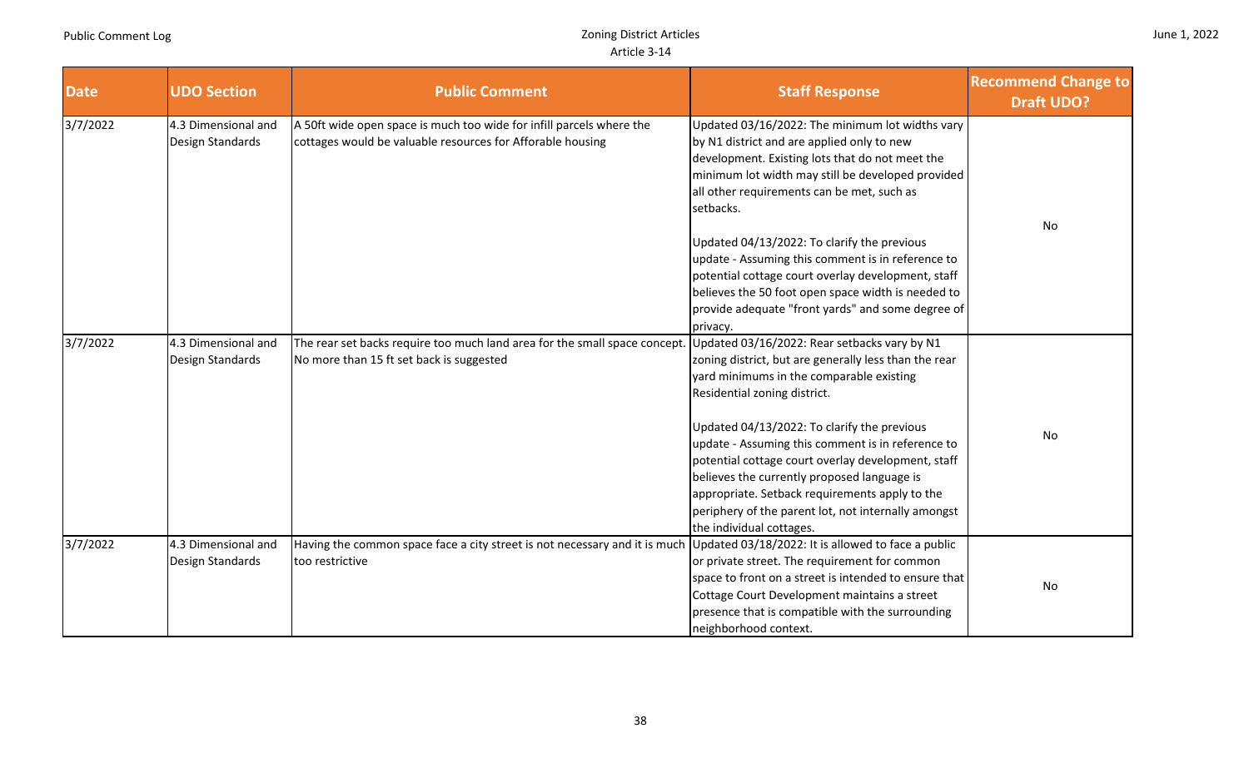| June 1, 2022 |  |  |
|--------------|--|--|
|--------------|--|--|

| <b>Date</b> | <b>UDO Section</b>  | <b>Public Comment</b>                                                                                                   | <b>Staff Response</b>                                 | <b>Recommend Change to</b><br><b>Draft UDO?</b> |
|-------------|---------------------|-------------------------------------------------------------------------------------------------------------------------|-------------------------------------------------------|-------------------------------------------------|
| 3/7/2022    | 4.3 Dimensional and | A 50ft wide open space is much too wide for infill parcels where the                                                    | Updated 03/16/2022: The minimum lot widths vary       |                                                 |
|             | Design Standards    | cottages would be valuable resources for Afforable housing                                                              | by N1 district and are applied only to new            |                                                 |
|             |                     |                                                                                                                         | development. Existing lots that do not meet the       |                                                 |
|             |                     |                                                                                                                         | minimum lot width may still be developed provided     |                                                 |
|             |                     |                                                                                                                         | all other requirements can be met, such as            |                                                 |
|             |                     |                                                                                                                         | setbacks.                                             |                                                 |
|             |                     |                                                                                                                         |                                                       | No                                              |
|             |                     |                                                                                                                         | Updated 04/13/2022: To clarify the previous           |                                                 |
|             |                     |                                                                                                                         | update - Assuming this comment is in reference to     |                                                 |
|             |                     |                                                                                                                         | potential cottage court overlay development, staff    |                                                 |
|             |                     |                                                                                                                         | believes the 50 foot open space width is needed to    |                                                 |
|             |                     |                                                                                                                         | provide adequate "front yards" and some degree of     |                                                 |
|             |                     |                                                                                                                         | privacy.                                              |                                                 |
| 3/7/2022    | 4.3 Dimensional and | The rear set backs require too much land area for the small space concept. Updated 03/16/2022: Rear setbacks vary by N1 |                                                       |                                                 |
|             | Design Standards    | No more than 15 ft set back is suggested                                                                                | zoning district, but are generally less than the rear |                                                 |
|             |                     |                                                                                                                         | yard minimums in the comparable existing              |                                                 |
|             |                     |                                                                                                                         | Residential zoning district.                          |                                                 |
|             |                     |                                                                                                                         | Updated 04/13/2022: To clarify the previous           | No                                              |
|             |                     |                                                                                                                         | update - Assuming this comment is in reference to     |                                                 |
|             |                     |                                                                                                                         | potential cottage court overlay development, staff    |                                                 |
|             |                     |                                                                                                                         | believes the currently proposed language is           |                                                 |
|             |                     |                                                                                                                         | appropriate. Setback requirements apply to the        |                                                 |
|             |                     |                                                                                                                         | periphery of the parent lot, not internally amongst   |                                                 |
|             |                     |                                                                                                                         | the individual cottages.                              |                                                 |
| 3/7/2022    | 4.3 Dimensional and | Having the common space face a city street is not necessary and it is much                                              | Updated 03/18/2022: It is allowed to face a public    |                                                 |
|             | Design Standards    | too restrictive                                                                                                         | or private street. The requirement for common         |                                                 |
|             |                     |                                                                                                                         | space to front on a street is intended to ensure that | No                                              |
|             |                     |                                                                                                                         | Cottage Court Development maintains a street          |                                                 |
|             |                     |                                                                                                                         | presence that is compatible with the surrounding      |                                                 |
|             |                     |                                                                                                                         | neighborhood context.                                 |                                                 |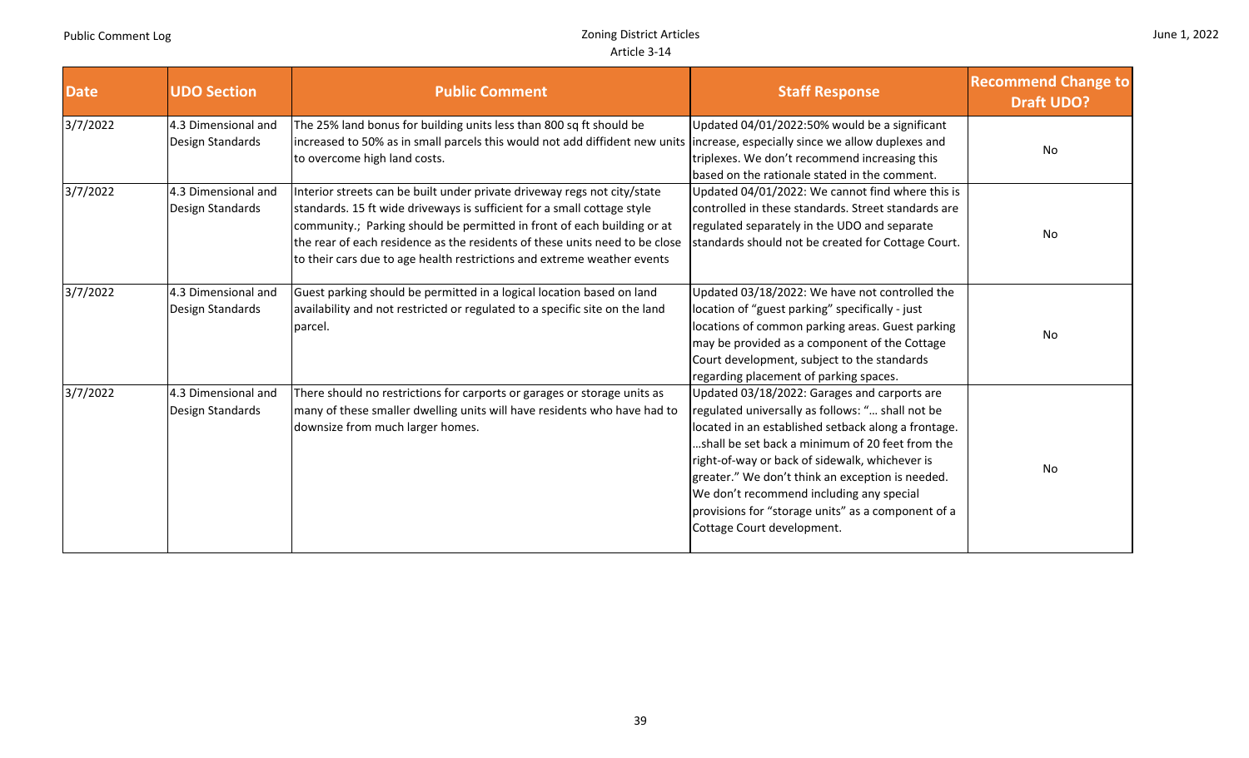|  |  |  | June 1, 2022 |
|--|--|--|--------------|
|--|--|--|--------------|

| <b>Date</b> | <b>UDO Section</b>                      | <b>Public Comment</b>                                                                                                                                                                                                                                                                                                                                                                    | <b>Staff Response</b>                                                                                                                                                                                                                                                                                                                                                                                                                             | <b>Recommend Change to</b><br><b>Draft UDO?</b> |
|-------------|-----------------------------------------|------------------------------------------------------------------------------------------------------------------------------------------------------------------------------------------------------------------------------------------------------------------------------------------------------------------------------------------------------------------------------------------|---------------------------------------------------------------------------------------------------------------------------------------------------------------------------------------------------------------------------------------------------------------------------------------------------------------------------------------------------------------------------------------------------------------------------------------------------|-------------------------------------------------|
| 3/7/2022    | 4.3 Dimensional and<br>Design Standards | The 25% land bonus for building units less than 800 sq ft should be<br>increased to 50% as in small parcels this would not add diffident new units lincrease, especially since we allow duplexes and<br>to overcome high land costs.                                                                                                                                                     | Updated 04/01/2022:50% would be a significant<br>triplexes. We don't recommend increasing this<br>based on the rationale stated in the comment.                                                                                                                                                                                                                                                                                                   | No                                              |
| 3/7/2022    | 4.3 Dimensional and<br>Design Standards | Interior streets can be built under private driveway regs not city/state<br>standards. 15 ft wide driveways is sufficient for a small cottage style<br>community.; Parking should be permitted in front of each building or at<br>the rear of each residence as the residents of these units need to be close<br>to their cars due to age health restrictions and extreme weather events | Updated 04/01/2022: We cannot find where this is<br>controlled in these standards. Street standards are<br>regulated separately in the UDO and separate<br>standards should not be created for Cottage Court.                                                                                                                                                                                                                                     | No                                              |
| 3/7/2022    | 4.3 Dimensional and<br>Design Standards | Guest parking should be permitted in a logical location based on land<br>availability and not restricted or regulated to a specific site on the land<br>parcel.                                                                                                                                                                                                                          | Updated 03/18/2022: We have not controlled the<br>location of "guest parking" specifically - just<br>locations of common parking areas. Guest parking<br>may be provided as a component of the Cottage<br>Court development, subject to the standards<br>regarding placement of parking spaces.                                                                                                                                                   | No                                              |
| 3/7/2022    | 4.3 Dimensional and<br>Design Standards | There should no restrictions for carports or garages or storage units as<br>many of these smaller dwelling units will have residents who have had to<br>downsize from much larger homes.                                                                                                                                                                                                 | Updated 03/18/2022: Garages and carports are<br>regulated universally as follows: " shall not be<br>located in an established setback along a frontage.<br>shall be set back a minimum of 20 feet from the.<br>right-of-way or back of sidewalk, whichever is<br>greater." We don't think an exception is needed.<br>We don't recommend including any special<br>provisions for "storage units" as a component of a<br>Cottage Court development. | No                                              |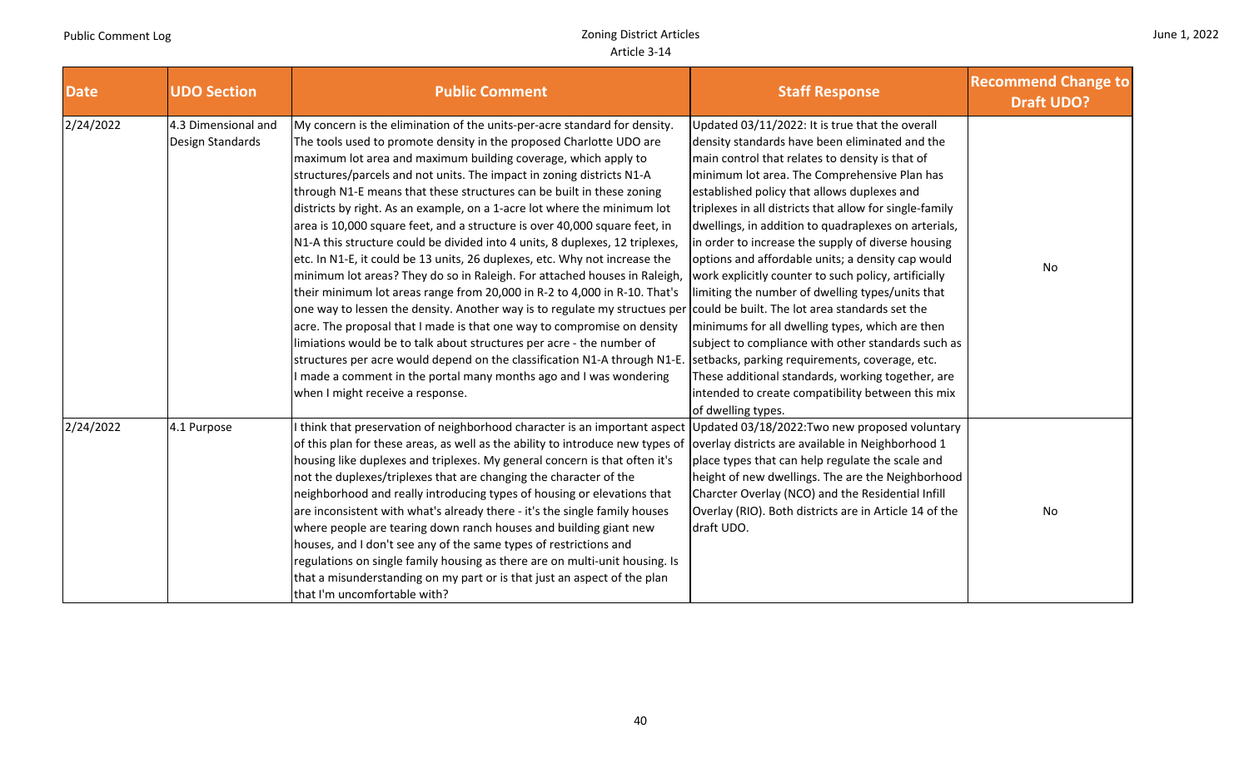|  |  | June 1, 2022 |
|--|--|--------------|
|--|--|--------------|

| <b>Date</b> | <b>UDO Section</b>                      | <b>Public Comment</b>                                                                                                                                                                                                                                                                                                                                                                                                                                                                                                                                                                                                                                                                                                                                                                                                                                                                                                                                                                                                                                                                                                                                                                                                                                                                                                        | <b>Staff Response</b>                                                                                                                                                                                                                                                                                                                                                                                                                                                                                                                                                                                                                                                                                                                                                                                                                                                                    | <b>Recommend Change to</b><br><b>Draft UDO?</b> |
|-------------|-----------------------------------------|------------------------------------------------------------------------------------------------------------------------------------------------------------------------------------------------------------------------------------------------------------------------------------------------------------------------------------------------------------------------------------------------------------------------------------------------------------------------------------------------------------------------------------------------------------------------------------------------------------------------------------------------------------------------------------------------------------------------------------------------------------------------------------------------------------------------------------------------------------------------------------------------------------------------------------------------------------------------------------------------------------------------------------------------------------------------------------------------------------------------------------------------------------------------------------------------------------------------------------------------------------------------------------------------------------------------------|------------------------------------------------------------------------------------------------------------------------------------------------------------------------------------------------------------------------------------------------------------------------------------------------------------------------------------------------------------------------------------------------------------------------------------------------------------------------------------------------------------------------------------------------------------------------------------------------------------------------------------------------------------------------------------------------------------------------------------------------------------------------------------------------------------------------------------------------------------------------------------------|-------------------------------------------------|
| 2/24/2022   | 4.3 Dimensional and<br>Design Standards | My concern is the elimination of the units-per-acre standard for density.<br>The tools used to promote density in the proposed Charlotte UDO are<br>maximum lot area and maximum building coverage, which apply to<br>structures/parcels and not units. The impact in zoning districts N1-A<br>through N1-E means that these structures can be built in these zoning<br>districts by right. As an example, on a 1-acre lot where the minimum lot<br>area is 10,000 square feet, and a structure is over 40,000 square feet, in<br>N1-A this structure could be divided into 4 units, 8 duplexes, 12 triplexes,<br>etc. In N1-E, it could be 13 units, 26 duplexes, etc. Why not increase the<br>minimum lot areas? They do so in Raleigh. For attached houses in Raleigh,<br>their minimum lot areas range from 20,000 in R-2 to 4,000 in R-10. That's<br>one way to lessen the density. Another way is to regulate my structues per could be built. The lot area standards set the<br>acre. The proposal that I made is that one way to compromise on density<br>limiations would be to talk about structures per acre - the number of<br>structures per acre would depend on the classification N1-A through N1-E.<br>made a comment in the portal many months ago and I was wondering<br>when I might receive a response. | Updated 03/11/2022: It is true that the overall<br>density standards have been eliminated and the<br>main control that relates to density is that of<br>minimum lot area. The Comprehensive Plan has<br>established policy that allows duplexes and<br>triplexes in all districts that allow for single-family<br>dwellings, in addition to quadraplexes on arterials,<br>in order to increase the supply of diverse housing<br>options and affordable units; a density cap would<br>work explicitly counter to such policy, artificially<br>limiting the number of dwelling types/units that<br>minimums for all dwelling types, which are then<br>subject to compliance with other standards such as<br>setbacks, parking requirements, coverage, etc.<br>These additional standards, working together, are<br>intended to create compatibility between this mix<br>of dwelling types. | No                                              |
| 2/24/2022   | 4.1 Purpose                             | think that preservation of neighborhood character is an important aspect Updated 03/18/2022: Two new proposed voluntary<br>of this plan for these areas, as well as the ability to introduce new types of  overlay districts are available in Neighborhood 1<br>housing like duplexes and triplexes. My general concern is that often it's<br>not the duplexes/triplexes that are changing the character of the<br>neighborhood and really introducing types of housing or elevations that<br>are inconsistent with what's already there - it's the single family houses<br>where people are tearing down ranch houses and building giant new<br>houses, and I don't see any of the same types of restrictions and<br>regulations on single family housing as there are on multi-unit housing. Is<br>that a misunderstanding on my part or is that just an aspect of the plan<br>that I'm uncomfortable with?                                                                                                                                                                                                                                                                                                                                                                                                                | place types that can help regulate the scale and<br>height of new dwellings. The are the Neighborhood<br>Charcter Overlay (NCO) and the Residential Infill<br>Overlay (RIO). Both districts are in Article 14 of the<br>draft UDO.                                                                                                                                                                                                                                                                                                                                                                                                                                                                                                                                                                                                                                                       | No                                              |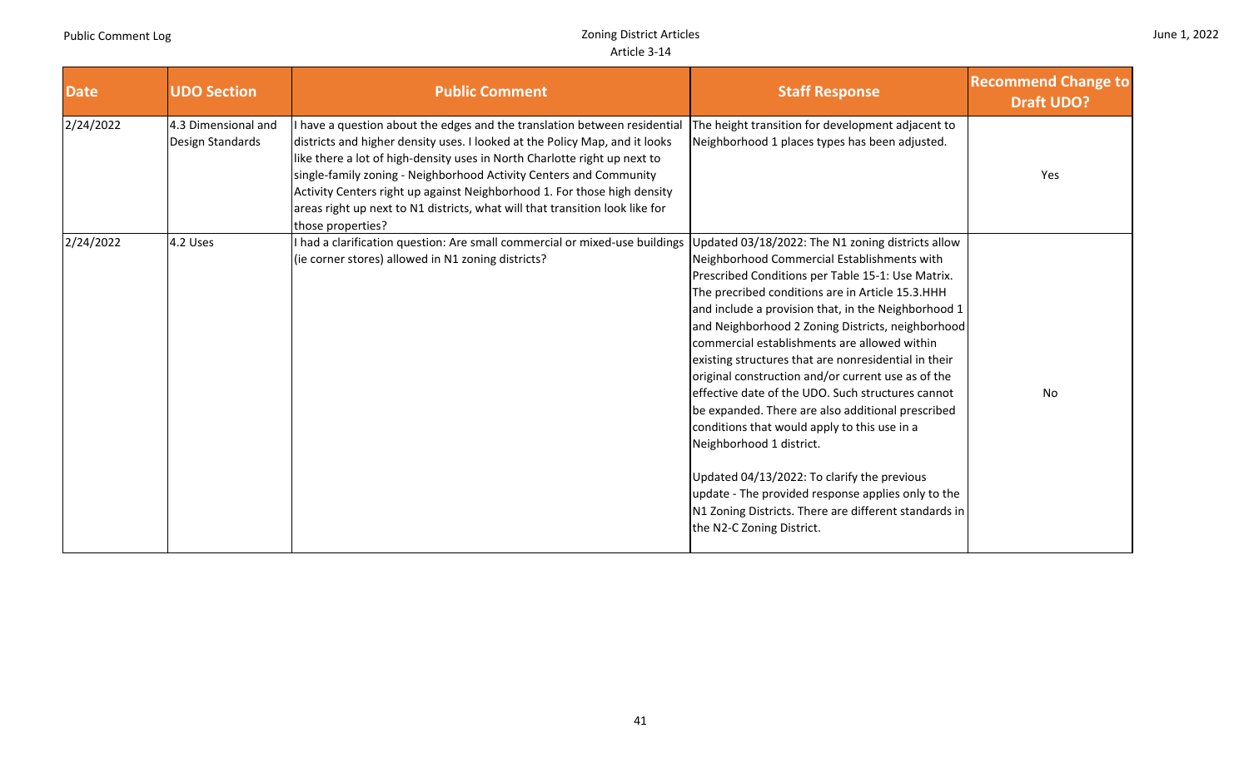| June 1, 2022 |  |  |
|--------------|--|--|
|--------------|--|--|

| <b>Date</b> | <b>UDO Section</b>                      | <b>Public Comment</b>                                                                                                                                                                                                                                                                                                                                                                                                                                                                      | <b>Staff Response</b>                                                                                                                                                                                                                                                                                                                                                                                                                                                                                                                                                                                                                                                                                                                                                                                                                                                 | <b>Recommend Change to</b><br><b>Draft UDO?</b> |
|-------------|-----------------------------------------|--------------------------------------------------------------------------------------------------------------------------------------------------------------------------------------------------------------------------------------------------------------------------------------------------------------------------------------------------------------------------------------------------------------------------------------------------------------------------------------------|-----------------------------------------------------------------------------------------------------------------------------------------------------------------------------------------------------------------------------------------------------------------------------------------------------------------------------------------------------------------------------------------------------------------------------------------------------------------------------------------------------------------------------------------------------------------------------------------------------------------------------------------------------------------------------------------------------------------------------------------------------------------------------------------------------------------------------------------------------------------------|-------------------------------------------------|
| 2/24/2022   | 4.3 Dimensional and<br>Design Standards | have a question about the edges and the translation between residential<br>districts and higher density uses. I looked at the Policy Map, and it looks<br>like there a lot of high-density uses in North Charlotte right up next to<br>single-family zoning - Neighborhood Activity Centers and Community<br>Activity Centers right up against Neighborhood 1. For those high density<br>areas right up next to N1 districts, what will that transition look like for<br>those properties? | The height transition for development adjacent to<br>Neighborhood 1 places types has been adjusted.                                                                                                                                                                                                                                                                                                                                                                                                                                                                                                                                                                                                                                                                                                                                                                   | Yes                                             |
| 2/24/2022   | 4.2 Uses                                | had a clarification question: Are small commercial or mixed-use buildings<br>(ie corner stores) allowed in N1 zoning districts?                                                                                                                                                                                                                                                                                                                                                            | Updated 03/18/2022: The N1 zoning districts allow<br>Neighborhood Commercial Establishments with<br>Prescribed Conditions per Table 15-1: Use Matrix.<br>The precribed conditions are in Article 15.3. HHH<br>and include a provision that, in the Neighborhood 1<br>and Neighborhood 2 Zoning Districts, neighborhood<br>commercial establishments are allowed within<br>existing structures that are nonresidential in their<br>original construction and/or current use as of the<br>effective date of the UDO. Such structures cannot<br>be expanded. There are also additional prescribed<br>conditions that would apply to this use in a<br>Neighborhood 1 district.<br>Updated 04/13/2022: To clarify the previous<br>update - The provided response applies only to the<br>N1 Zoning Districts. There are different standards in<br>the N2-C Zoning District. | No                                              |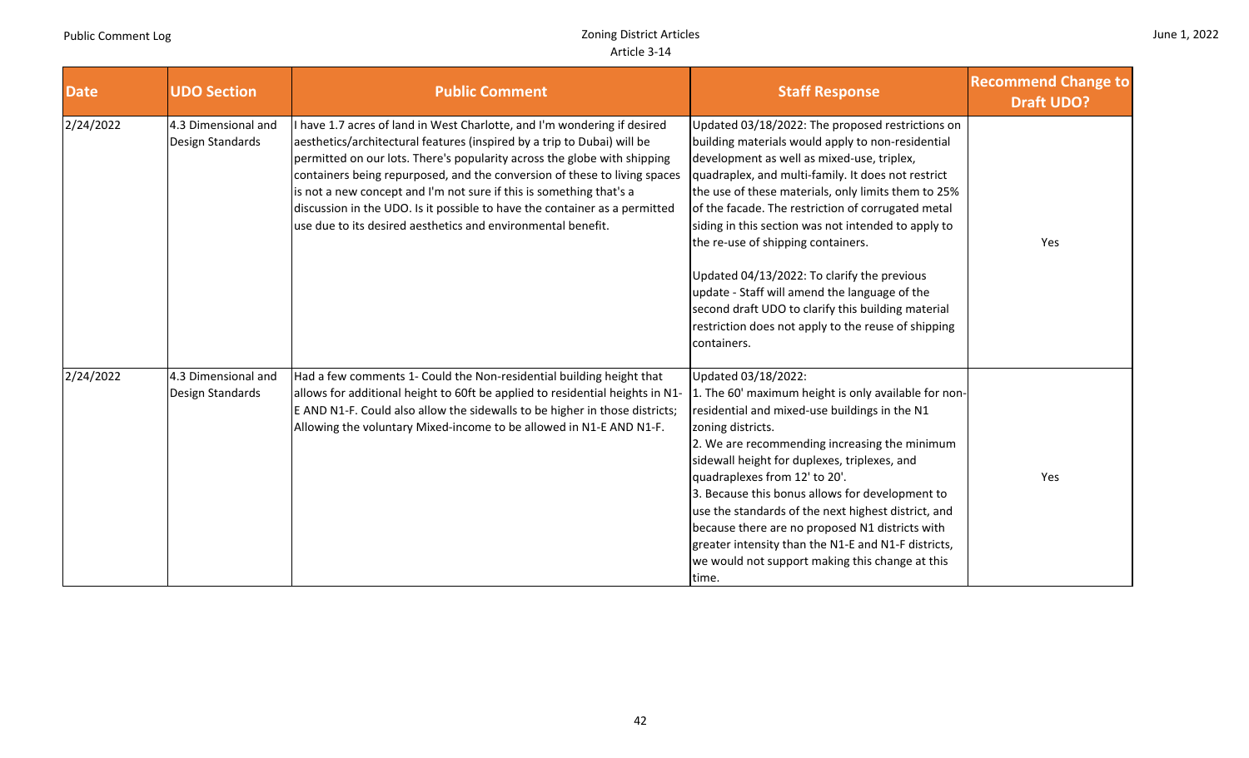|  |  | June 1, 2022 |
|--|--|--------------|
|--|--|--------------|

| <b>Date</b> | <b>UDO Section</b>                      | <b>Public Comment</b>                                                                                                                                                                                                                                                                                                                                                                                                                                                                                                           | <b>Staff Response</b>                                                                                                                                                                                                                                                                                                                                                                                                                                                                                                                                                                                                                           | <b>Recommend Change to</b><br><b>Draft UDO?</b> |
|-------------|-----------------------------------------|---------------------------------------------------------------------------------------------------------------------------------------------------------------------------------------------------------------------------------------------------------------------------------------------------------------------------------------------------------------------------------------------------------------------------------------------------------------------------------------------------------------------------------|-------------------------------------------------------------------------------------------------------------------------------------------------------------------------------------------------------------------------------------------------------------------------------------------------------------------------------------------------------------------------------------------------------------------------------------------------------------------------------------------------------------------------------------------------------------------------------------------------------------------------------------------------|-------------------------------------------------|
| 2/24/2022   | 4.3 Dimensional and<br>Design Standards | have 1.7 acres of land in West Charlotte, and I'm wondering if desired<br>aesthetics/architectural features (inspired by a trip to Dubai) will be<br>permitted on our lots. There's popularity across the globe with shipping<br>containers being repurposed, and the conversion of these to living spaces<br>is not a new concept and I'm not sure if this is something that's a<br>discussion in the UDO. Is it possible to have the container as a permitted<br>use due to its desired aesthetics and environmental benefit. | Updated 03/18/2022: The proposed restrictions on<br>building materials would apply to non-residential<br>development as well as mixed-use, triplex,<br>quadraplex, and multi-family. It does not restrict<br>the use of these materials, only limits them to 25%<br>of the facade. The restriction of corrugated metal<br>siding in this section was not intended to apply to<br>the re-use of shipping containers.<br>Updated 04/13/2022: To clarify the previous<br>update - Staff will amend the language of the<br>second draft UDO to clarify this building material<br>restriction does not apply to the reuse of shipping<br>containers. | Yes                                             |
| 2/24/2022   | 4.3 Dimensional and<br>Design Standards | Had a few comments 1- Could the Non-residential building height that<br>allows for additional height to 60ft be applied to residential heights in N1-<br>E AND N1-F. Could also allow the sidewalls to be higher in those districts;<br>Allowing the voluntary Mixed-income to be allowed in N1-E AND N1-F.                                                                                                                                                                                                                     | Updated 03/18/2022:<br>1. The 60' maximum height is only available for non-<br>residential and mixed-use buildings in the N1<br>zoning districts.<br>2. We are recommending increasing the minimum<br>sidewall height for duplexes, triplexes, and<br>quadraplexes from 12' to 20'.<br>3. Because this bonus allows for development to<br>use the standards of the next highest district, and<br>because there are no proposed N1 districts with<br>greater intensity than the N1-E and N1-F districts,<br>we would not support making this change at this<br>time.                                                                             | Yes                                             |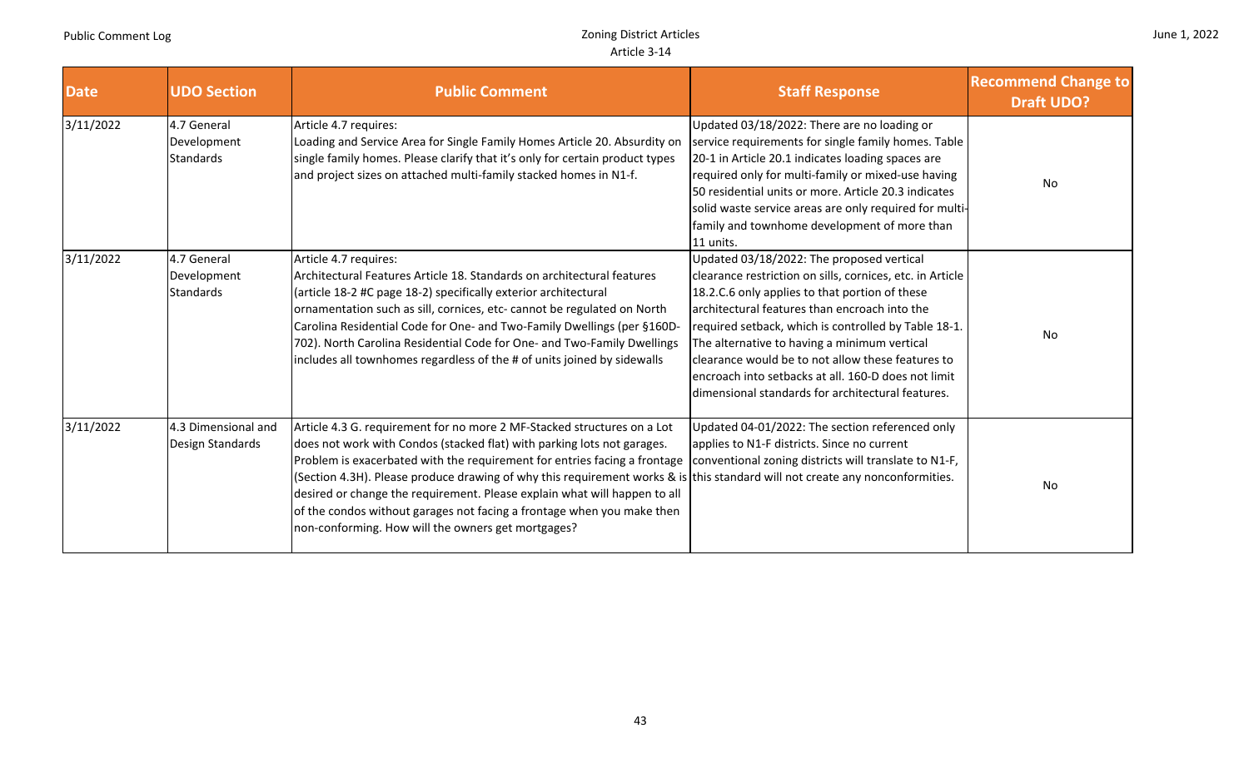and the state

|  |  | June 1, 2022 |
|--|--|--------------|
|--|--|--------------|

and the company

| <b>Date</b> | <b>UDO Section</b>                      | <b>Public Comment</b>                                                                                                                                                                                                                                                                                                                                                                                                                                                                                                                                                        | <b>Staff Response</b>                                                                                                                                                                                                                                                                                                                                                                                                                                                              | <b>Recommend Change to</b><br><b>Draft UDO?</b> |
|-------------|-----------------------------------------|------------------------------------------------------------------------------------------------------------------------------------------------------------------------------------------------------------------------------------------------------------------------------------------------------------------------------------------------------------------------------------------------------------------------------------------------------------------------------------------------------------------------------------------------------------------------------|------------------------------------------------------------------------------------------------------------------------------------------------------------------------------------------------------------------------------------------------------------------------------------------------------------------------------------------------------------------------------------------------------------------------------------------------------------------------------------|-------------------------------------------------|
| 3/11/2022   | 4.7 General<br>Development<br>Standards | Article 4.7 requires:<br>Loading and Service Area for Single Family Homes Article 20. Absurdity on<br>single family homes. Please clarify that it's only for certain product types<br>and project sizes on attached multi-family stacked homes in N1-f.                                                                                                                                                                                                                                                                                                                      | Updated 03/18/2022: There are no loading or<br>service requirements for single family homes. Table<br>20-1 in Article 20.1 indicates loading spaces are<br>required only for multi-family or mixed-use having<br>50 residential units or more. Article 20.3 indicates<br>solid waste service areas are only required for multi-<br>family and townhome development of more than<br>11 units.                                                                                       | No                                              |
| 3/11/2022   | 4.7 General<br>Development<br>Standards | Article 4.7 requires:<br>Architectural Features Article 18. Standards on architectural features<br>(article 18-2 #C page 18-2) specifically exterior architectural<br>ornamentation such as sill, cornices, etc- cannot be regulated on North<br>Carolina Residential Code for One- and Two-Family Dwellings (per §160D-<br>702). North Carolina Residential Code for One- and Two-Family Dwellings<br>includes all townhomes regardless of the # of units joined by sidewalls                                                                                               | Updated 03/18/2022: The proposed vertical<br>clearance restriction on sills, cornices, etc. in Article<br>18.2.C.6 only applies to that portion of these<br>architectural features than encroach into the<br>required setback, which is controlled by Table 18-1.<br>The alternative to having a minimum vertical<br>clearance would be to not allow these features to<br>encroach into setbacks at all. 160-D does not limit<br>dimensional standards for architectural features. | No                                              |
| 3/11/2022   | 4.3 Dimensional and<br>Design Standards | Article 4.3 G. requirement for no more 2 MF-Stacked structures on a Lot<br>does not work with Condos (stacked flat) with parking lots not garages.<br>Problem is exacerbated with the requirement for entries facing a frontage<br>(Section 4.3H). Please produce drawing of why this requirement works & is this standard will not create any nonconformities.<br>desired or change the requirement. Please explain what will happen to all<br>of the condos without garages not facing a frontage when you make then<br>non-conforming. How will the owners get mortgages? | Updated 04-01/2022: The section referenced only<br>applies to N1-F districts. Since no current<br>conventional zoning districts will translate to N1-F,                                                                                                                                                                                                                                                                                                                            | No                                              |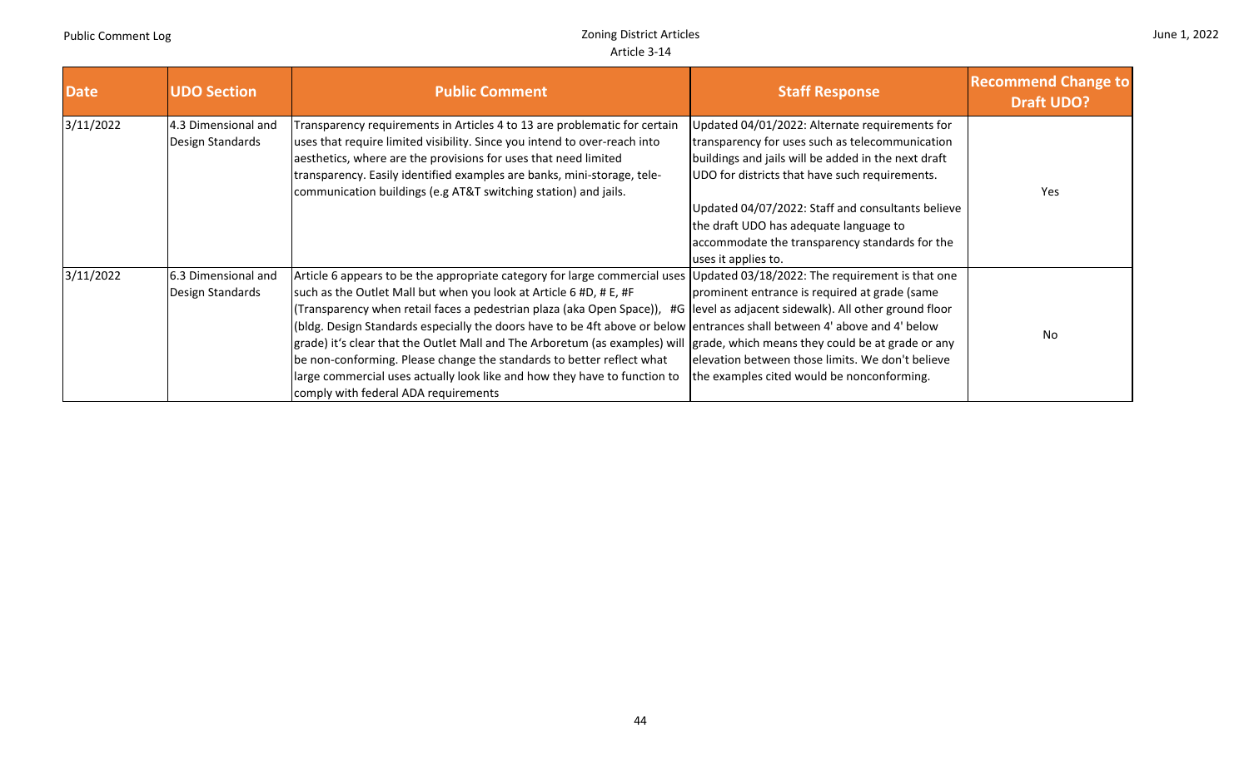|  |  | June 1, 2022 |
|--|--|--------------|
|--|--|--------------|

| <b>Date</b> | <b>UDO Section</b>                       | <b>Public Comment</b>                                                                                                                                                                                                                                                                                                                                                                                                                                                                                                                                                                                                                                                                                                               | <b>Staff Response</b>                                                                                                                                                                                                                                                                                                                                                              | <b>Recommend Change to</b><br><b>Draft UDO?</b> |
|-------------|------------------------------------------|-------------------------------------------------------------------------------------------------------------------------------------------------------------------------------------------------------------------------------------------------------------------------------------------------------------------------------------------------------------------------------------------------------------------------------------------------------------------------------------------------------------------------------------------------------------------------------------------------------------------------------------------------------------------------------------------------------------------------------------|------------------------------------------------------------------------------------------------------------------------------------------------------------------------------------------------------------------------------------------------------------------------------------------------------------------------------------------------------------------------------------|-------------------------------------------------|
| 3/11/2022   | 4.3 Dimensional and<br>Design Standards  | Transparency requirements in Articles 4 to 13 are problematic for certain<br>uses that require limited visibility. Since you intend to over-reach into<br>aesthetics, where are the provisions for uses that need limited<br>transparency. Easily identified examples are banks, mini-storage, tele-<br>communication buildings (e.g AT&T switching station) and jails.                                                                                                                                                                                                                                                                                                                                                             | Updated 04/01/2022: Alternate requirements for<br>transparency for uses such as telecommunication<br>buildings and jails will be added in the next draft<br>UDO for districts that have such requirements.<br>Updated 04/07/2022: Staff and consultants believe<br>the draft UDO has adequate language to<br>accommodate the transparency standards for the<br>uses it applies to. | <b>Yes</b>                                      |
| 3/11/2022   | 16.3 Dimensional and<br>Design Standards | Article 6 appears to be the appropriate category for large commercial uses Updated 03/18/2022: The requirement is that one<br>such as the Outlet Mall but when you look at Article 6 #D, # E, #F<br>(Transparency when retail faces a pedestrian plaza (aka Open Space)),<br>(bldg. Design Standards especially the doors have to be 4ft above or below entrances shall between 4' above and 4' below<br>grade) it's clear that the Outlet Mall and The Arboretum (as examples) will grade, which means they could be at grade or any<br>be non-conforming. Please change the standards to better reflect what<br>large commercial uses actually look like and how they have to function to<br>comply with federal ADA requirements | prominent entrance is required at grade (same<br>#G level as adjacent sidewalk). All other ground floor<br>elevation between those limits. We don't believe<br>the examples cited would be nonconforming.                                                                                                                                                                          | <b>No</b>                                       |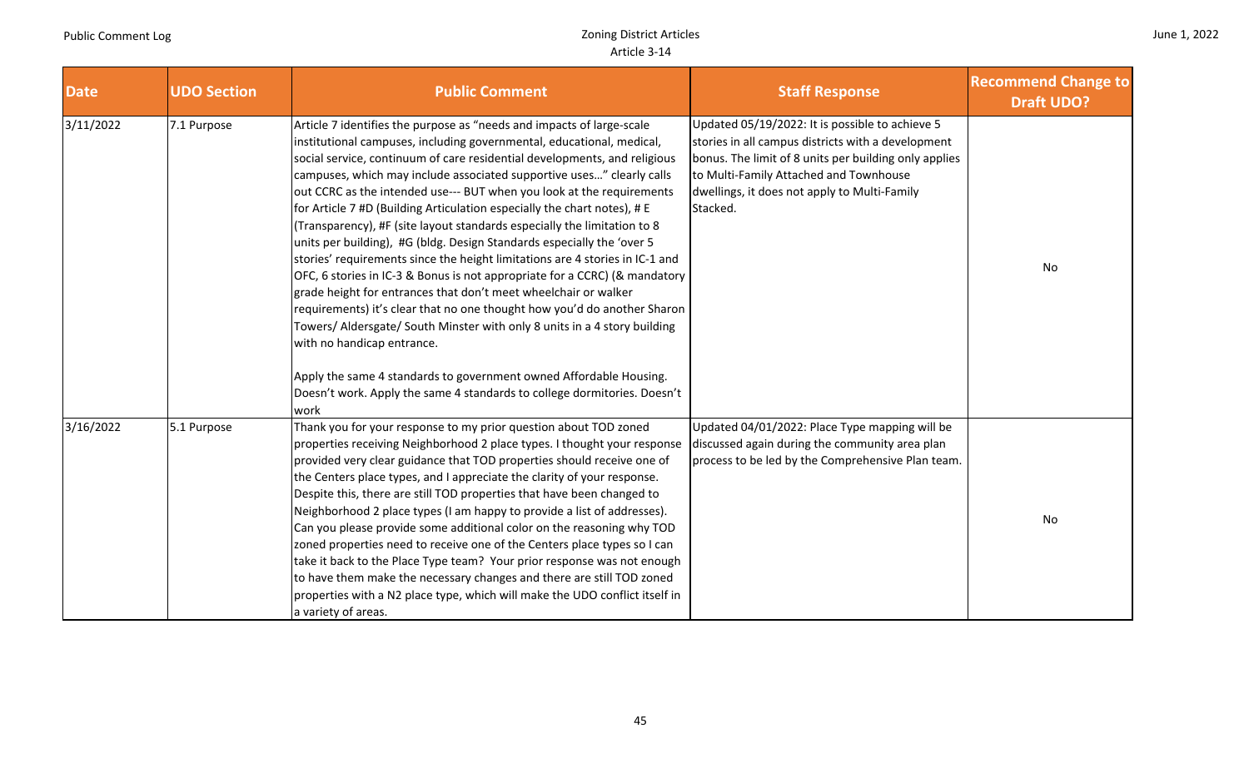|  |  | June 1, 2022 |
|--|--|--------------|
|--|--|--------------|

| <b>Date</b> | <b>UDO Section</b> | <b>Public Comment</b>                                                                                                                                                                                                                                                                                                                                                                                                                                                                                                                                                                                                                                                                                                                                                                                                                                                                                                                                                                                                                                                                                                                                                                             | <b>Staff Response</b>                                                                                                                                                                                                                                                | <b>Recommend Change to</b><br><b>Draft UDO?</b> |
|-------------|--------------------|---------------------------------------------------------------------------------------------------------------------------------------------------------------------------------------------------------------------------------------------------------------------------------------------------------------------------------------------------------------------------------------------------------------------------------------------------------------------------------------------------------------------------------------------------------------------------------------------------------------------------------------------------------------------------------------------------------------------------------------------------------------------------------------------------------------------------------------------------------------------------------------------------------------------------------------------------------------------------------------------------------------------------------------------------------------------------------------------------------------------------------------------------------------------------------------------------|----------------------------------------------------------------------------------------------------------------------------------------------------------------------------------------------------------------------------------------------------------------------|-------------------------------------------------|
| 3/11/2022   | 7.1 Purpose        | Article 7 identifies the purpose as "needs and impacts of large-scale<br>institutional campuses, including governmental, educational, medical,<br>social service, continuum of care residential developments, and religious<br>campuses, which may include associated supportive uses" clearly calls<br>out CCRC as the intended use--- BUT when you look at the requirements<br>for Article 7 #D (Building Articulation especially the chart notes), # E<br>(Transparency), #F (site layout standards especially the limitation to 8<br>units per building), #G (bldg. Design Standards especially the 'over 5<br>stories' requirements since the height limitations are 4 stories in IC-1 and<br>OFC, 6 stories in IC-3 & Bonus is not appropriate for a CCRC) (& mandatory<br>grade height for entrances that don't meet wheelchair or walker<br>requirements) it's clear that no one thought how you'd do another Sharon<br>Towers/ Aldersgate/ South Minster with only 8 units in a 4 story building<br>with no handicap entrance.<br>Apply the same 4 standards to government owned Affordable Housing.<br>Doesn't work. Apply the same 4 standards to college dormitories. Doesn't<br>work | Updated 05/19/2022: It is possible to achieve 5<br>stories in all campus districts with a development<br>bonus. The limit of 8 units per building only applies<br>to Multi-Family Attached and Townhouse<br>dwellings, it does not apply to Multi-Family<br>Stacked. | No                                              |
| 3/16/2022   | 5.1 Purpose        | Thank you for your response to my prior question about TOD zoned<br>properties receiving Neighborhood 2 place types. I thought your response<br>provided very clear guidance that TOD properties should receive one of<br>the Centers place types, and I appreciate the clarity of your response.<br>Despite this, there are still TOD properties that have been changed to<br>Neighborhood 2 place types (I am happy to provide a list of addresses).<br>Can you please provide some additional color on the reasoning why TOD<br>zoned properties need to receive one of the Centers place types so I can<br>take it back to the Place Type team? Your prior response was not enough<br>to have them make the necessary changes and there are still TOD zoned<br>properties with a N2 place type, which will make the UDO conflict itself in<br>a variety of areas.                                                                                                                                                                                                                                                                                                                             | Updated 04/01/2022: Place Type mapping will be<br>discussed again during the community area plan<br>process to be led by the Comprehensive Plan team.                                                                                                                | No                                              |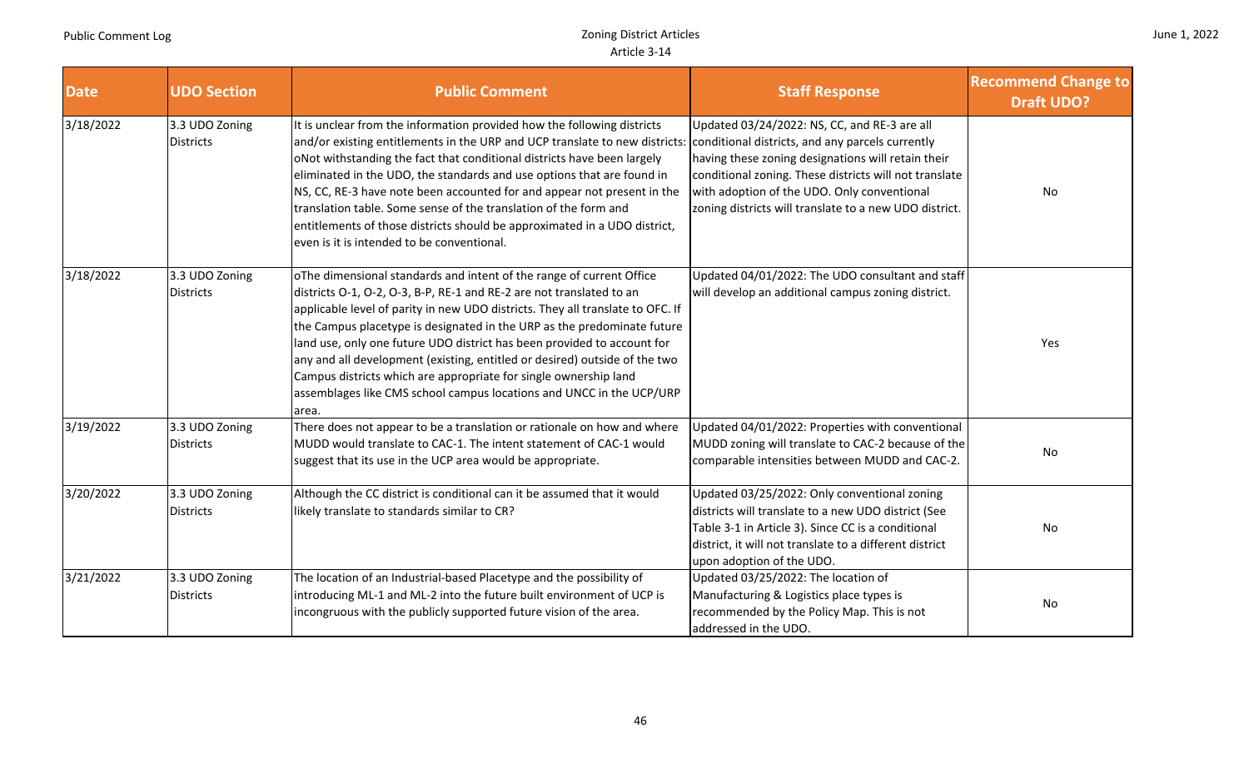| June 1, 2022 |  |  |
|--------------|--|--|
|--------------|--|--|

| <b>Date</b> | <b>UDO Section</b>                 | <b>Public Comment</b>                                                                                                                                                                                                                                                                                                                                                                                                                                                                                                                                                                                                   | <b>Staff Response</b>                                                                                                                                                                                                                                                                                                     | <b>Recommend Change to</b><br><b>Draft UDO?</b> |
|-------------|------------------------------------|-------------------------------------------------------------------------------------------------------------------------------------------------------------------------------------------------------------------------------------------------------------------------------------------------------------------------------------------------------------------------------------------------------------------------------------------------------------------------------------------------------------------------------------------------------------------------------------------------------------------------|---------------------------------------------------------------------------------------------------------------------------------------------------------------------------------------------------------------------------------------------------------------------------------------------------------------------------|-------------------------------------------------|
| 3/18/2022   | 3.3 UDO Zoning<br><b>Districts</b> | It is unclear from the information provided how the following districts<br>and/or existing entitlements in the URP and UCP translate to new districts:<br>oNot withstanding the fact that conditional districts have been largely<br>eliminated in the UDO, the standards and use options that are found in<br>NS, CC, RE-3 have note been accounted for and appear not present in the<br>translation table. Some sense of the translation of the form and<br>entitlements of those districts should be approximated in a UDO district,<br>even is it is intended to be conventional.                                   | Updated 03/24/2022: NS, CC, and RE-3 are all<br>conditional districts, and any parcels currently<br>having these zoning designations will retain their<br>conditional zoning. These districts will not translate<br>with adoption of the UDO. Only conventional<br>zoning districts will translate to a new UDO district. | No                                              |
| 3/18/2022   | 3.3 UDO Zoning<br><b>Districts</b> | oThe dimensional standards and intent of the range of current Office<br>districts O-1, O-2, O-3, B-P, RE-1 and RE-2 are not translated to an<br>applicable level of parity in new UDO districts. They all translate to OFC. If<br>the Campus placetype is designated in the URP as the predominate future<br>land use, only one future UDO district has been provided to account for<br>any and all development (existing, entitled or desired) outside of the two<br>Campus districts which are appropriate for single ownership land<br>assemblages like CMS school campus locations and UNCC in the UCP/URP<br>area. | Updated 04/01/2022: The UDO consultant and staff<br>will develop an additional campus zoning district.                                                                                                                                                                                                                    | Yes                                             |
| 3/19/2022   | 3.3 UDO Zoning<br><b>Districts</b> | There does not appear to be a translation or rationale on how and where<br>MUDD would translate to CAC-1. The intent statement of CAC-1 would<br>suggest that its use in the UCP area would be appropriate.                                                                                                                                                                                                                                                                                                                                                                                                             | Updated 04/01/2022: Properties with conventional<br>MUDD zoning will translate to CAC-2 because of the<br>comparable intensities between MUDD and CAC-2.                                                                                                                                                                  | No                                              |
| 3/20/2022   | 3.3 UDO Zoning<br><b>Districts</b> | Although the CC district is conditional can it be assumed that it would<br>likely translate to standards similar to CR?                                                                                                                                                                                                                                                                                                                                                                                                                                                                                                 | Updated 03/25/2022: Only conventional zoning<br>districts will translate to a new UDO district (See<br>Table 3-1 in Article 3). Since CC is a conditional<br>district, it will not translate to a different district<br>upon adoption of the UDO.                                                                         | No                                              |
| 3/21/2022   | 3.3 UDO Zoning<br><b>Districts</b> | The location of an Industrial-based Placetype and the possibility of<br>introducing ML-1 and ML-2 into the future built environment of UCP is<br>incongruous with the publicly supported future vision of the area.                                                                                                                                                                                                                                                                                                                                                                                                     | Updated 03/25/2022: The location of<br>Manufacturing & Logistics place types is<br>recommended by the Policy Map. This is not<br>addressed in the UDO.                                                                                                                                                                    | No                                              |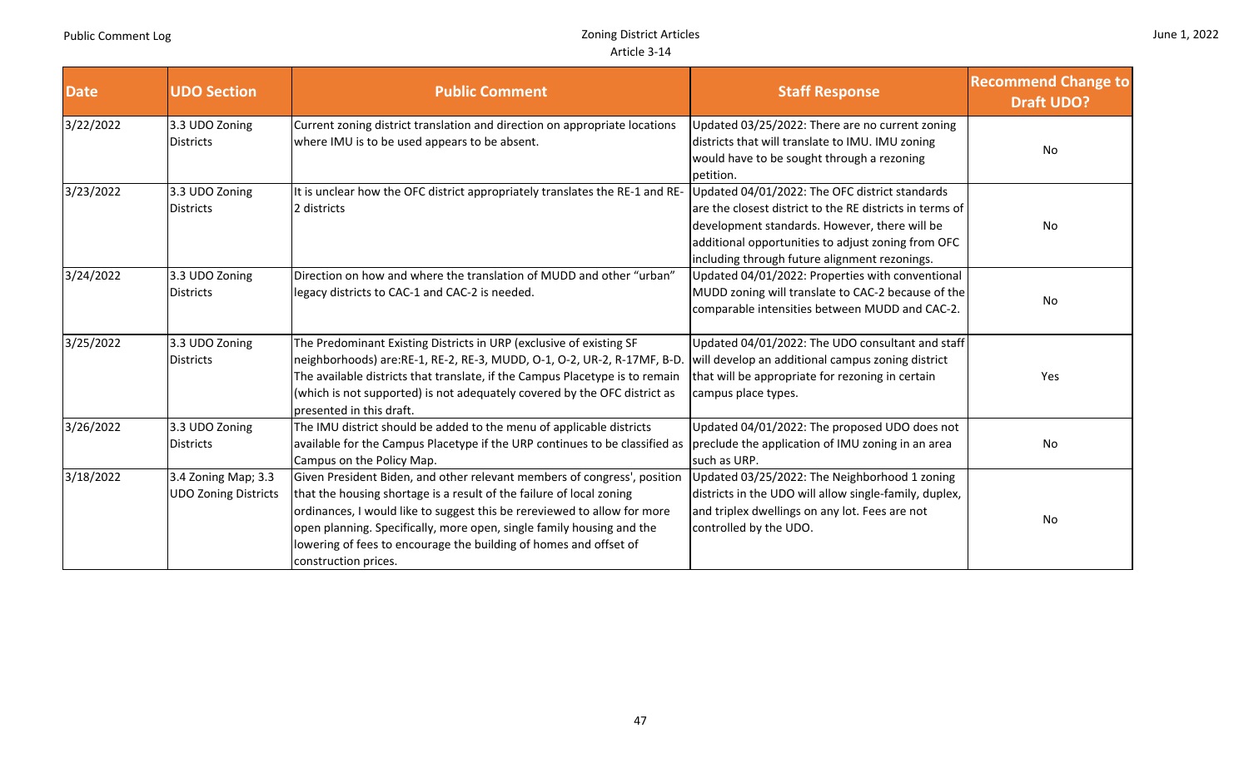|  |  | June 1, 2022 |
|--|--|--------------|
|--|--|--------------|

| <b>Date</b> | <b>UDO Section</b>                                 | <b>Public Comment</b>                                                                                                                                                                                                                                                                                                                                                                              | <b>Staff Response</b>                                                                                                                                                                                            | <b>Recommend Change to</b><br><b>Draft UDO?</b> |
|-------------|----------------------------------------------------|----------------------------------------------------------------------------------------------------------------------------------------------------------------------------------------------------------------------------------------------------------------------------------------------------------------------------------------------------------------------------------------------------|------------------------------------------------------------------------------------------------------------------------------------------------------------------------------------------------------------------|-------------------------------------------------|
| 3/22/2022   | 3.3 UDO Zoning<br><b>Districts</b>                 | Current zoning district translation and direction on appropriate locations<br>where IMU is to be used appears to be absent.                                                                                                                                                                                                                                                                        | Updated 03/25/2022: There are no current zoning<br>districts that will translate to IMU. IMU zoning<br>would have to be sought through a rezoning<br>petition.                                                   | No                                              |
| 3/23/2022   | 3.3 UDO Zoning<br><b>Districts</b>                 | It is unclear how the OFC district appropriately translates the RE-1 and RE- Updated 04/01/2022: The OFC district standards<br>2 districts                                                                                                                                                                                                                                                         | are the closest district to the RE districts in terms of<br>development standards. However, there will be<br>additional opportunities to adjust zoning from OFC<br>including through future alignment rezonings. | No                                              |
| 3/24/2022   | 3.3 UDO Zoning<br><b>Districts</b>                 | Direction on how and where the translation of MUDD and other "urban"<br>legacy districts to CAC-1 and CAC-2 is needed.                                                                                                                                                                                                                                                                             | Updated 04/01/2022: Properties with conventional<br>MUDD zoning will translate to CAC-2 because of the<br>comparable intensities between MUDD and CAC-2.                                                         | No                                              |
| 3/25/2022   | 3.3 UDO Zoning<br><b>Districts</b>                 | The Predominant Existing Districts in URP (exclusive of existing SF<br>neighborhoods) are:RE-1, RE-2, RE-3, MUDD, O-1, O-2, UR-2, R-17MF, B-D. will develop an additional campus zoning district<br>The available districts that translate, if the Campus Placetype is to remain<br>(which is not supported) is not adequately covered by the OFC district as<br>presented in this draft.          | Updated 04/01/2022: The UDO consultant and staff<br>that will be appropriate for rezoning in certain<br>campus place types.                                                                                      | Yes                                             |
| 3/26/2022   | 3.3 UDO Zoning<br><b>Districts</b>                 | The IMU district should be added to the menu of applicable districts<br>available for the Campus Placetype if the URP continues to be classified as preclude the application of IMU zoning in an area<br>Campus on the Policy Map.                                                                                                                                                                 | Updated 04/01/2022: The proposed UDO does not<br>such as URP.                                                                                                                                                    | No                                              |
| 3/18/2022   | 3.4 Zoning Map; 3.3<br><b>UDO Zoning Districts</b> | Given President Biden, and other relevant members of congress', position<br>that the housing shortage is a result of the failure of local zoning<br>ordinances, I would like to suggest this be rereviewed to allow for more<br>open planning. Specifically, more open, single family housing and the<br>lowering of fees to encourage the building of homes and offset of<br>construction prices. | Updated 03/25/2022: The Neighborhood 1 zoning<br>districts in the UDO will allow single-family, duplex,<br>and triplex dwellings on any lot. Fees are not<br>controlled by the UDO.                              | No                                              |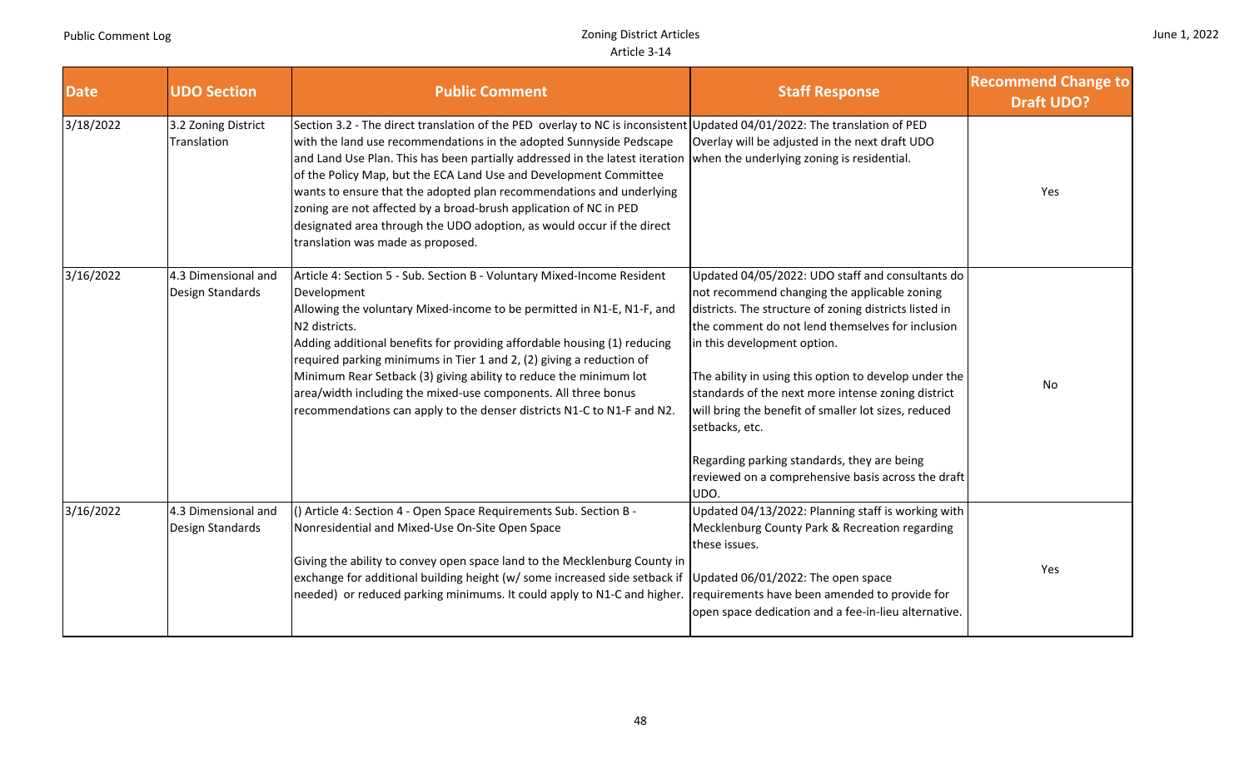T

|  |  | June 1, 2022 |
|--|--|--------------|
|--|--|--------------|

| <b>Date</b> | <b>UDO Section</b>                      | <b>Public Comment</b>                                                                                                                                                                                                                                                                                                                                                                                                                                                                                                                                                                                            | <b>Staff Response</b>                                                                                                                                                                                                                                                                                                                                                                                                                                                                                                                               | <b>Recommend Change to</b><br><b>Draft UDO?</b> |
|-------------|-----------------------------------------|------------------------------------------------------------------------------------------------------------------------------------------------------------------------------------------------------------------------------------------------------------------------------------------------------------------------------------------------------------------------------------------------------------------------------------------------------------------------------------------------------------------------------------------------------------------------------------------------------------------|-----------------------------------------------------------------------------------------------------------------------------------------------------------------------------------------------------------------------------------------------------------------------------------------------------------------------------------------------------------------------------------------------------------------------------------------------------------------------------------------------------------------------------------------------------|-------------------------------------------------|
| 3/18/2022   | 3.2 Zoning District<br>Translation      | Section 3.2 - The direct translation of the PED overlay to NC is inconsistent Updated 04/01/2022: The translation of PED<br>with the land use recommendations in the adopted Sunnyside Pedscape<br>and Land Use Plan. This has been partially addressed in the latest iteration<br>of the Policy Map, but the ECA Land Use and Development Committee<br>wants to ensure that the adopted plan recommendations and underlying<br>zoning are not affected by a broad-brush application of NC in PED<br>designated area through the UDO adoption, as would occur if the direct<br>translation was made as proposed. | Overlay will be adjusted in the next draft UDO<br>when the underlying zoning is residential.                                                                                                                                                                                                                                                                                                                                                                                                                                                        | Yes                                             |
| 3/16/2022   | 4.3 Dimensional and<br>Design Standards | Article 4: Section 5 - Sub. Section B - Voluntary Mixed-Income Resident<br>Development<br>Allowing the voluntary Mixed-income to be permitted in N1-E, N1-F, and<br>N2 districts.<br>Adding additional benefits for providing affordable housing (1) reducing<br>required parking minimums in Tier 1 and 2, (2) giving a reduction of<br>Minimum Rear Setback (3) giving ability to reduce the minimum lot<br>area/width including the mixed-use components. All three bonus<br>recommendations can apply to the denser districts N1-C to N1-F and N2.                                                           | Updated 04/05/2022: UDO staff and consultants do<br>not recommend changing the applicable zoning<br>districts. The structure of zoning districts listed in<br>the comment do not lend themselves for inclusion<br>in this development option.<br>The ability in using this option to develop under the<br>standards of the next more intense zoning district<br>will bring the benefit of smaller lot sizes, reduced<br>setbacks, etc.<br>Regarding parking standards, they are being<br>reviewed on a comprehensive basis across the draft<br>UDO. | No                                              |
| 3/16/2022   | 4.3 Dimensional and<br>Design Standards | () Article 4: Section 4 - Open Space Requirements Sub. Section B -<br>Nonresidential and Mixed-Use On-Site Open Space<br>Giving the ability to convey open space land to the Mecklenburg County in<br>exchange for additional building height (w/ some increased side setback if Updated 06/01/2022: The open space<br>needed) or reduced parking minimums. It could apply to N1-C and higher.                                                                                                                                                                                                                   | Updated 04/13/2022: Planning staff is working with<br>Mecklenburg County Park & Recreation regarding<br>these issues.<br>requirements have been amended to provide for<br>open space dedication and a fee-in-lieu alternative.                                                                                                                                                                                                                                                                                                                      | Yes                                             |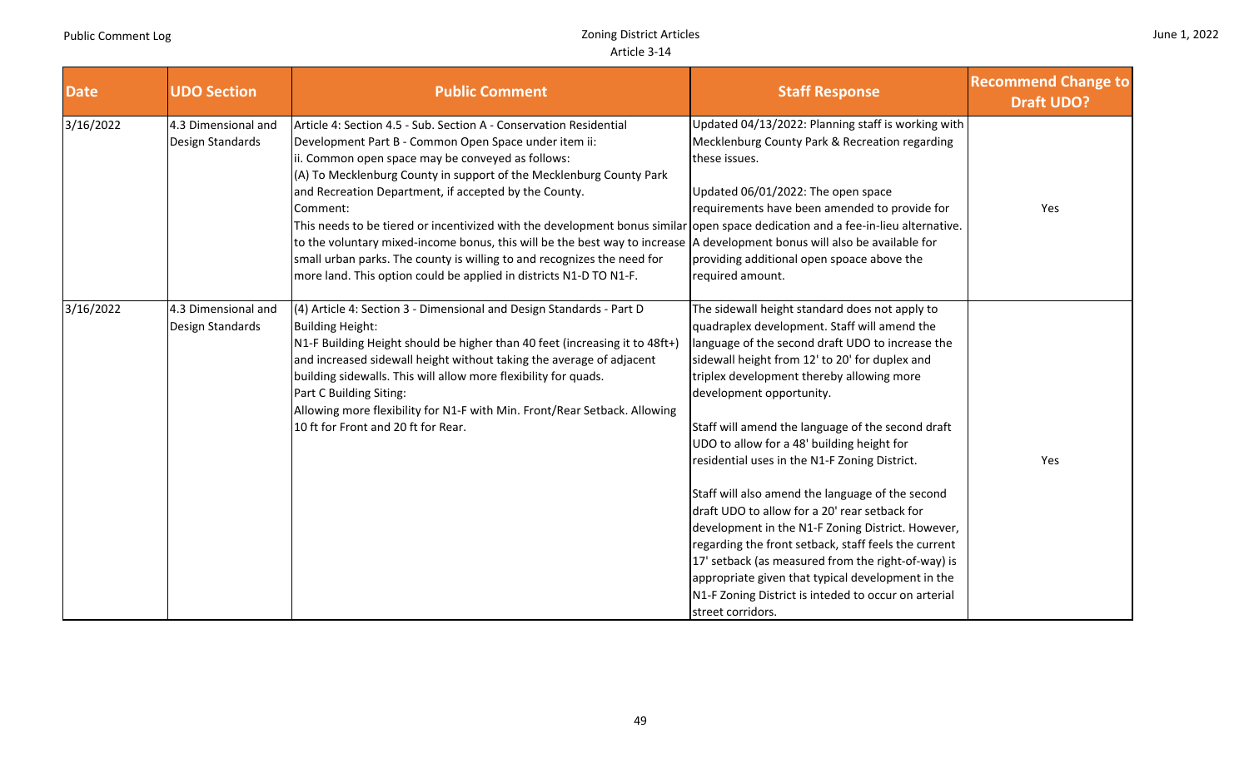|  | June 1, 2022 |
|--|--------------|
|  |              |

| <b>Date</b> | <b>UDO Section</b>                      | <b>Public Comment</b>                                                                                                                                                                                                                                                                                                                                                                                                                                                                                                                                                                                                                                                                                                                          | <b>Staff Response</b>                                                                                                                                                                                                                                                                                                                                                                                                                                                                                                                                                                                                                                                                                                                                                                                                                       | <b>Recommend Change to</b><br><b>Draft UDO?</b> |
|-------------|-----------------------------------------|------------------------------------------------------------------------------------------------------------------------------------------------------------------------------------------------------------------------------------------------------------------------------------------------------------------------------------------------------------------------------------------------------------------------------------------------------------------------------------------------------------------------------------------------------------------------------------------------------------------------------------------------------------------------------------------------------------------------------------------------|---------------------------------------------------------------------------------------------------------------------------------------------------------------------------------------------------------------------------------------------------------------------------------------------------------------------------------------------------------------------------------------------------------------------------------------------------------------------------------------------------------------------------------------------------------------------------------------------------------------------------------------------------------------------------------------------------------------------------------------------------------------------------------------------------------------------------------------------|-------------------------------------------------|
| 3/16/2022   | 4.3 Dimensional and<br>Design Standards | Article 4: Section 4.5 - Sub. Section A - Conservation Residential<br>Development Part B - Common Open Space under item ii:<br>ii. Common open space may be conveyed as follows:<br>(A) To Mecklenburg County in support of the Mecklenburg County Park<br>and Recreation Department, if accepted by the County.<br>Comment:<br>This needs to be tiered or incentivized with the development bonus similar open space dedication and a fee-in-lieu alternative.<br>to the voluntary mixed-income bonus, this will be the best way to increase  A development bonus will also be available for<br>small urban parks. The county is willing to and recognizes the need for<br>more land. This option could be applied in districts N1-D TO N1-F. | Updated 04/13/2022: Planning staff is working with<br>Mecklenburg County Park & Recreation regarding<br>these issues.<br>Updated 06/01/2022: The open space<br>requirements have been amended to provide for<br>providing additional open spoace above the<br>required amount.                                                                                                                                                                                                                                                                                                                                                                                                                                                                                                                                                              | Yes                                             |
| 3/16/2022   | 4.3 Dimensional and<br>Design Standards | (4) Article 4: Section 3 - Dimensional and Design Standards - Part D<br><b>Building Height:</b><br>N1-F Building Height should be higher than 40 feet (increasing it to 48ft+)<br>and increased sidewall height without taking the average of adjacent<br>building sidewalls. This will allow more flexibility for quads.<br>Part C Building Siting:<br>Allowing more flexibility for N1-F with Min. Front/Rear Setback. Allowing<br>10 ft for Front and 20 ft for Rear.                                                                                                                                                                                                                                                                       | The sidewall height standard does not apply to<br>quadraplex development. Staff will amend the<br>language of the second draft UDO to increase the<br>sidewall height from 12' to 20' for duplex and<br>triplex development thereby allowing more<br>development opportunity.<br>Staff will amend the language of the second draft<br>UDO to allow for a 48' building height for<br>residential uses in the N1-F Zoning District.<br>Staff will also amend the language of the second<br>draft UDO to allow for a 20' rear setback for<br>development in the N1-F Zoning District. However,<br>regarding the front setback, staff feels the current<br>17' setback (as measured from the right-of-way) is<br>appropriate given that typical development in the<br>N1-F Zoning District is inteded to occur on arterial<br>street corridors. | Yes                                             |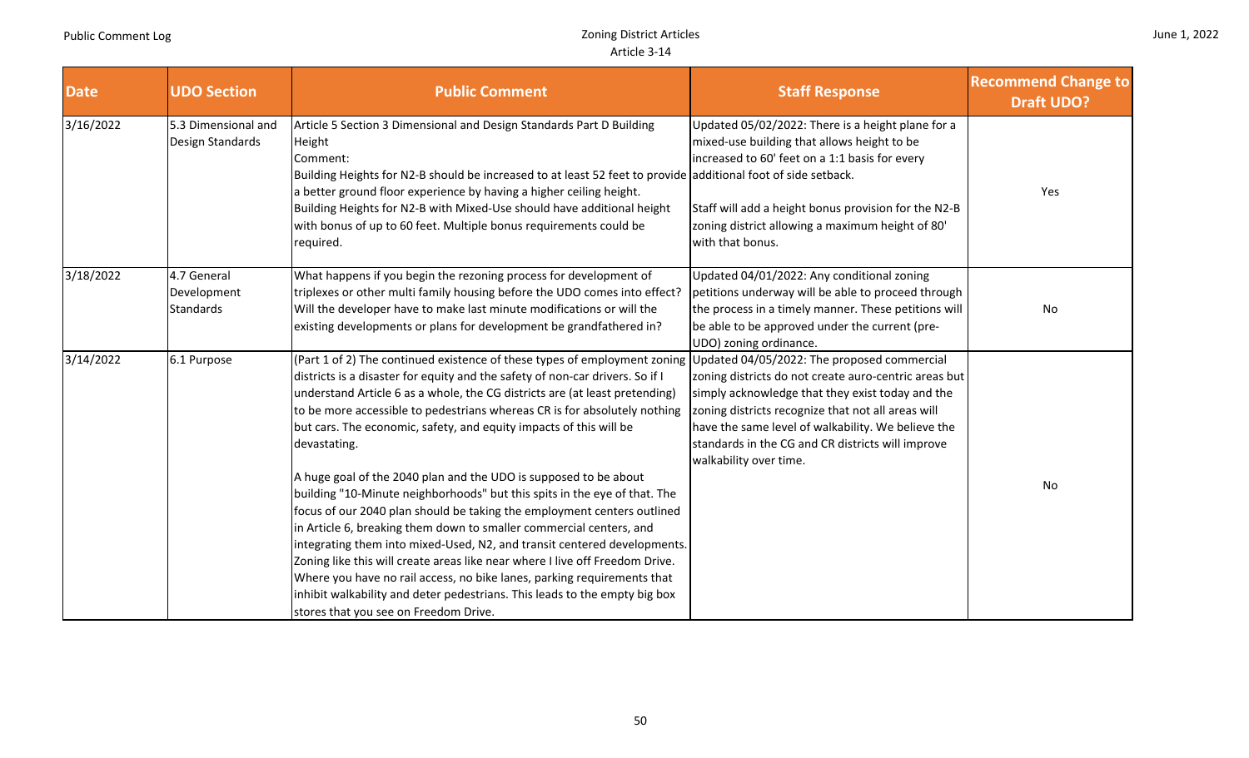a sa B

|  | June 1, 2022 |
|--|--------------|
|--|--------------|

. .

| <b>Date</b> | <b>UDO Section</b>                             | <b>Public Comment</b>                                                                                                                                                                                                                                                                                                                                                                                                                                                                                                                                                                                                                                                                                                                                                                                                                                                                                                                                                                                                                                                         | <b>Staff Response</b>                                                                                                                                                                                                                                                                                                                               | <b>Recommend Change to</b><br><b>Draft UDO?</b> |
|-------------|------------------------------------------------|-------------------------------------------------------------------------------------------------------------------------------------------------------------------------------------------------------------------------------------------------------------------------------------------------------------------------------------------------------------------------------------------------------------------------------------------------------------------------------------------------------------------------------------------------------------------------------------------------------------------------------------------------------------------------------------------------------------------------------------------------------------------------------------------------------------------------------------------------------------------------------------------------------------------------------------------------------------------------------------------------------------------------------------------------------------------------------|-----------------------------------------------------------------------------------------------------------------------------------------------------------------------------------------------------------------------------------------------------------------------------------------------------------------------------------------------------|-------------------------------------------------|
| 3/16/2022   | 5.3 Dimensional and<br>Design Standards        | Article 5 Section 3 Dimensional and Design Standards Part D Building<br>Height<br>Comment:<br>Building Heights for N2-B should be increased to at least 52 feet to provide additional foot of side setback.<br>a better ground floor experience by having a higher ceiling height.<br>Building Heights for N2-B with Mixed-Use should have additional height<br>with bonus of up to 60 feet. Multiple bonus requirements could be<br>required.                                                                                                                                                                                                                                                                                                                                                                                                                                                                                                                                                                                                                                | Updated 05/02/2022: There is a height plane for a<br>mixed-use building that allows height to be<br>increased to 60' feet on a 1:1 basis for every<br>Staff will add a height bonus provision for the N2-B<br>zoning district allowing a maximum height of 80'<br>with that bonus.                                                                  | Yes                                             |
| 3/18/2022   | 4.7 General<br>Development<br><b>Standards</b> | What happens if you begin the rezoning process for development of<br>triplexes or other multi family housing before the UDO comes into effect?<br>Will the developer have to make last minute modifications or will the<br>existing developments or plans for development be grandfathered in?                                                                                                                                                                                                                                                                                                                                                                                                                                                                                                                                                                                                                                                                                                                                                                                | Updated 04/01/2022: Any conditional zoning<br>petitions underway will be able to proceed through<br>the process in a timely manner. These petitions will<br>be able to be approved under the current (pre-<br>UDO) zoning ordinance.                                                                                                                | No                                              |
| 3/14/2022   | 6.1 Purpose                                    | (Part 1 of 2) The continued existence of these types of employment zoning<br>districts is a disaster for equity and the safety of non-car drivers. So if I<br>understand Article 6 as a whole, the CG districts are (at least pretending)<br>to be more accessible to pedestrians whereas CR is for absolutely nothing<br>but cars. The economic, safety, and equity impacts of this will be<br>devastating.<br>A huge goal of the 2040 plan and the UDO is supposed to be about<br>building "10-Minute neighborhoods" but this spits in the eye of that. The<br>focus of our 2040 plan should be taking the employment centers outlined<br>in Article 6, breaking them down to smaller commercial centers, and<br>integrating them into mixed-Used, N2, and transit centered developments.<br>Zoning like this will create areas like near where I live off Freedom Drive.<br>Where you have no rail access, no bike lanes, parking requirements that<br>inhibit walkability and deter pedestrians. This leads to the empty big box<br>stores that you see on Freedom Drive. | Updated 04/05/2022: The proposed commercial<br>zoning districts do not create auro-centric areas but<br>simply acknowledge that they exist today and the<br>zoning districts recognize that not all areas will<br>have the same level of walkability. We believe the<br>standards in the CG and CR districts will improve<br>walkability over time. | No                                              |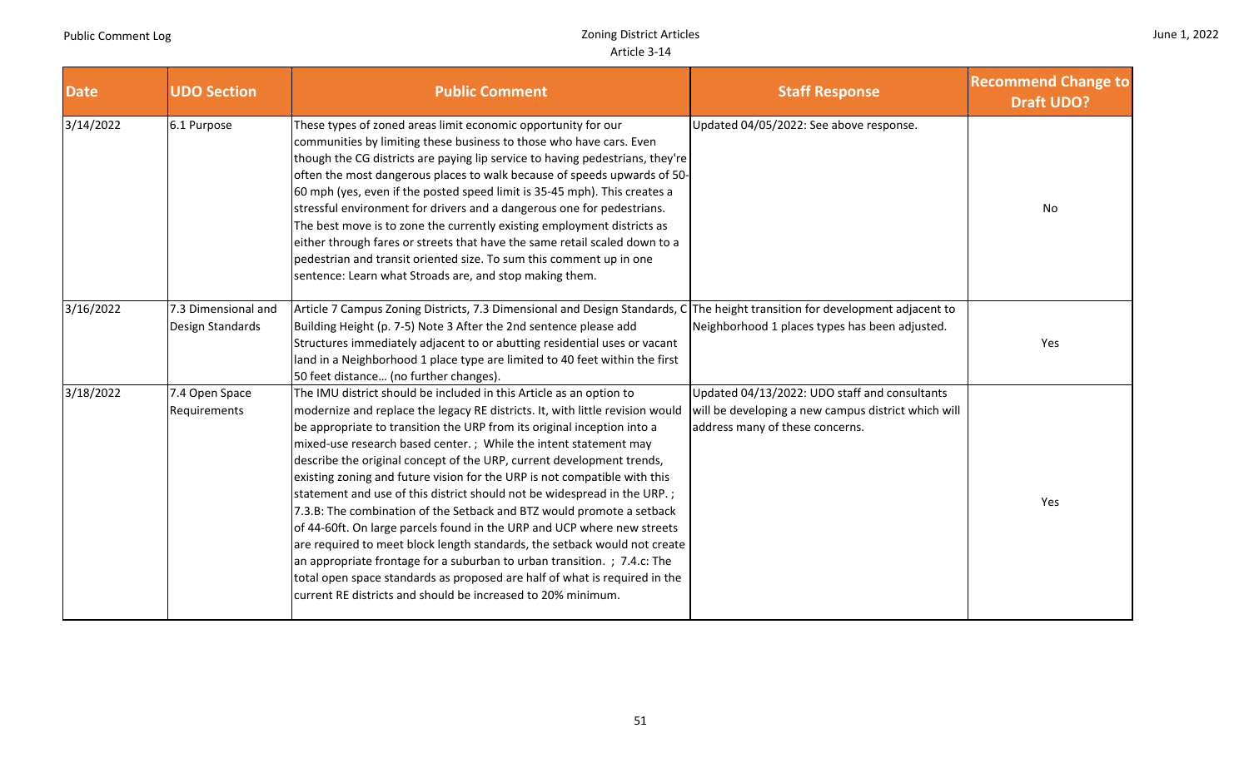|  |  | June 1, 2022 |
|--|--|--------------|
|--|--|--------------|

| <b>Date</b> | <b>UDO Section</b>                      | <b>Public Comment</b>                                                                                                                                                                                                                                                                                                                                                                                                                                                                                                                                                                                                                                                                                                                                                                                                                                                                                                                                                                            | <b>Staff Response</b>                                                                                                                   | <b>Recommend Change to</b><br><b>Draft UDO?</b> |
|-------------|-----------------------------------------|--------------------------------------------------------------------------------------------------------------------------------------------------------------------------------------------------------------------------------------------------------------------------------------------------------------------------------------------------------------------------------------------------------------------------------------------------------------------------------------------------------------------------------------------------------------------------------------------------------------------------------------------------------------------------------------------------------------------------------------------------------------------------------------------------------------------------------------------------------------------------------------------------------------------------------------------------------------------------------------------------|-----------------------------------------------------------------------------------------------------------------------------------------|-------------------------------------------------|
| 3/14/2022   | 6.1 Purpose                             | These types of zoned areas limit economic opportunity for our<br>communities by limiting these business to those who have cars. Even<br>though the CG districts are paying lip service to having pedestrians, they're<br>often the most dangerous places to walk because of speeds upwards of 50-<br>60 mph (yes, even if the posted speed limit is 35-45 mph). This creates a<br>stressful environment for drivers and a dangerous one for pedestrians.<br>The best move is to zone the currently existing employment districts as<br>either through fares or streets that have the same retail scaled down to a<br>pedestrian and transit oriented size. To sum this comment up in one<br>sentence: Learn what Stroads are, and stop making them.                                                                                                                                                                                                                                              | Updated 04/05/2022: See above response.                                                                                                 | No                                              |
| 3/16/2022   | 7.3 Dimensional and<br>Design Standards | Article 7 Campus Zoning Districts, 7.3 Dimensional and Design Standards, C The height transition for development adjacent to<br>Building Height (p. 7-5) Note 3 After the 2nd sentence please add<br>Structures immediately adjacent to or abutting residential uses or vacant<br>land in a Neighborhood 1 place type are limited to 40 feet within the first<br>50 feet distance (no further changes).                                                                                                                                                                                                                                                                                                                                                                                                                                                                                                                                                                                          | Neighborhood 1 places types has been adjusted.                                                                                          | Yes                                             |
| 3/18/2022   | 7.4 Open Space<br>Requirements          | The IMU district should be included in this Article as an option to<br>modernize and replace the legacy RE districts. It, with little revision would<br>be appropriate to transition the URP from its original inception into a<br>mixed-use research based center.; While the intent statement may<br>describe the original concept of the URP, current development trends,<br>existing zoning and future vision for the URP is not compatible with this<br>statement and use of this district should not be widespread in the URP.;<br>7.3.B: The combination of the Setback and BTZ would promote a setback<br>of 44-60ft. On large parcels found in the URP and UCP where new streets<br>are required to meet block length standards, the setback would not create<br>an appropriate frontage for a suburban to urban transition. ; 7.4.c: The<br>total open space standards as proposed are half of what is required in the<br>current RE districts and should be increased to 20% minimum. | Updated 04/13/2022: UDO staff and consultants<br>will be developing a new campus district which will<br>address many of these concerns. | Yes                                             |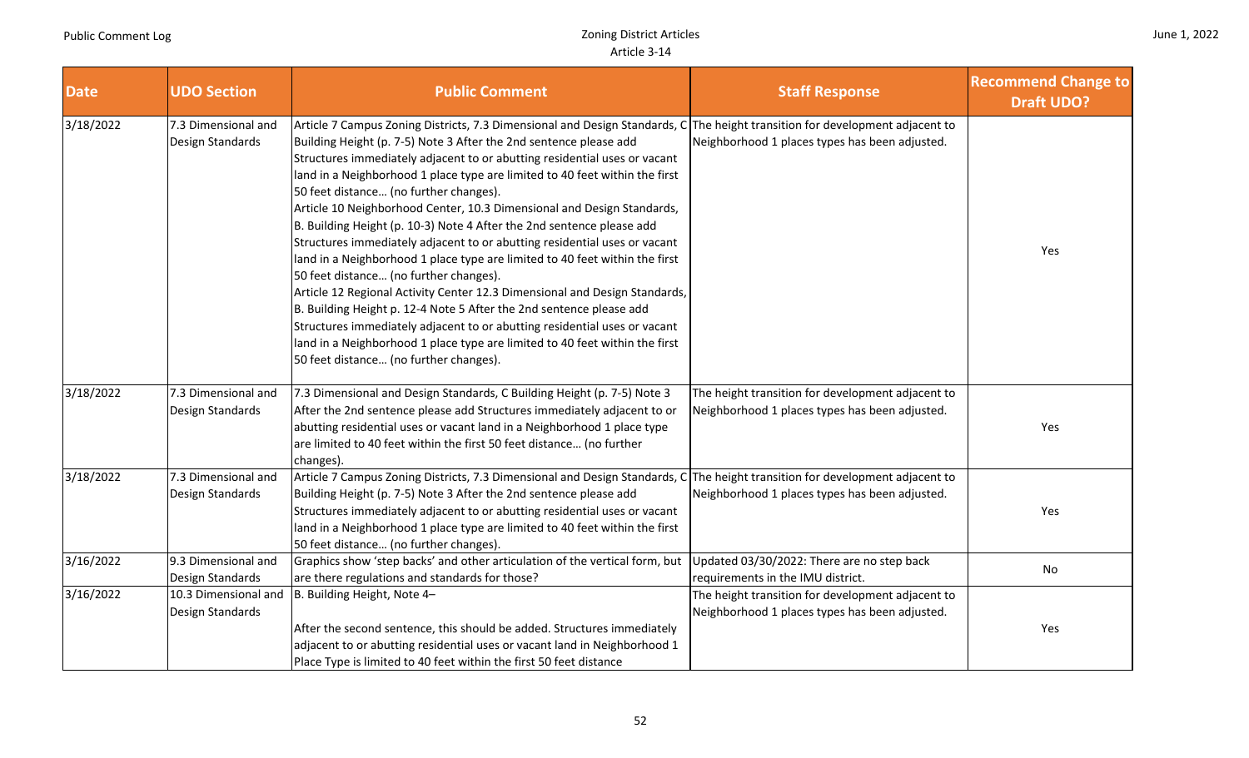|  |  |  | June 1, 2022 |
|--|--|--|--------------|
|--|--|--|--------------|

| <b>Date</b> | <b>UDO Section</b>                       | <b>Public Comment</b>                                                                                                                                                                                                                                                                                                                                                                                                                                                                                                                                                                                                                                                                                                                                                                                                                                                                                                                                                                                                                                                     | <b>Staff Response</b>                                                                               | <b>Recommend Change to</b><br><b>Draft UDO?</b> |
|-------------|------------------------------------------|---------------------------------------------------------------------------------------------------------------------------------------------------------------------------------------------------------------------------------------------------------------------------------------------------------------------------------------------------------------------------------------------------------------------------------------------------------------------------------------------------------------------------------------------------------------------------------------------------------------------------------------------------------------------------------------------------------------------------------------------------------------------------------------------------------------------------------------------------------------------------------------------------------------------------------------------------------------------------------------------------------------------------------------------------------------------------|-----------------------------------------------------------------------------------------------------|-------------------------------------------------|
| 3/18/2022   | 7.3 Dimensional and<br>Design Standards  | Article 7 Campus Zoning Districts, 7.3 Dimensional and Design Standards, C<br>Building Height (p. 7-5) Note 3 After the 2nd sentence please add<br>Structures immediately adjacent to or abutting residential uses or vacant<br>land in a Neighborhood 1 place type are limited to 40 feet within the first<br>50 feet distance (no further changes).<br>Article 10 Neighborhood Center, 10.3 Dimensional and Design Standards,<br>B. Building Height (p. 10-3) Note 4 After the 2nd sentence please add<br>Structures immediately adjacent to or abutting residential uses or vacant<br>land in a Neighborhood 1 place type are limited to 40 feet within the first<br>50 feet distance (no further changes).<br>Article 12 Regional Activity Center 12.3 Dimensional and Design Standards,<br>B. Building Height p. 12-4 Note 5 After the 2nd sentence please add<br>Structures immediately adjacent to or abutting residential uses or vacant<br>land in a Neighborhood 1 place type are limited to 40 feet within the first<br>50 feet distance (no further changes). | The height transition for development adjacent to<br>Neighborhood 1 places types has been adjusted. | Yes                                             |
| 3/18/2022   | 7.3 Dimensional and<br>Design Standards  | 7.3 Dimensional and Design Standards, C Building Height (p. 7-5) Note 3<br>After the 2nd sentence please add Structures immediately adjacent to or<br>abutting residential uses or vacant land in a Neighborhood 1 place type<br>are limited to 40 feet within the first 50 feet distance (no further<br>changes).                                                                                                                                                                                                                                                                                                                                                                                                                                                                                                                                                                                                                                                                                                                                                        | The height transition for development adjacent to<br>Neighborhood 1 places types has been adjusted. | Yes                                             |
| 3/18/2022   | 7.3 Dimensional and<br>Design Standards  | Article 7 Campus Zoning Districts, 7.3 Dimensional and Design Standards, C The height transition for development adjacent to<br>Building Height (p. 7-5) Note 3 After the 2nd sentence please add<br>Structures immediately adjacent to or abutting residential uses or vacant<br>land in a Neighborhood 1 place type are limited to 40 feet within the first<br>50 feet distance (no further changes).                                                                                                                                                                                                                                                                                                                                                                                                                                                                                                                                                                                                                                                                   | Neighborhood 1 places types has been adjusted.                                                      | Yes                                             |
| 3/16/2022   | 9.3 Dimensional and<br>Design Standards  | Graphics show 'step backs' and other articulation of the vertical form, but<br>are there regulations and standards for those?                                                                                                                                                                                                                                                                                                                                                                                                                                                                                                                                                                                                                                                                                                                                                                                                                                                                                                                                             | Updated 03/30/2022: There are no step back<br>requirements in the IMU district.                     | No                                              |
| 3/16/2022   | 10.3 Dimensional and<br>Design Standards | B. Building Height, Note 4-<br>After the second sentence, this should be added. Structures immediately<br>adjacent to or abutting residential uses or vacant land in Neighborhood 1<br>Place Type is limited to 40 feet within the first 50 feet distance                                                                                                                                                                                                                                                                                                                                                                                                                                                                                                                                                                                                                                                                                                                                                                                                                 | The height transition for development adjacent to<br>Neighborhood 1 places types has been adjusted. | Yes                                             |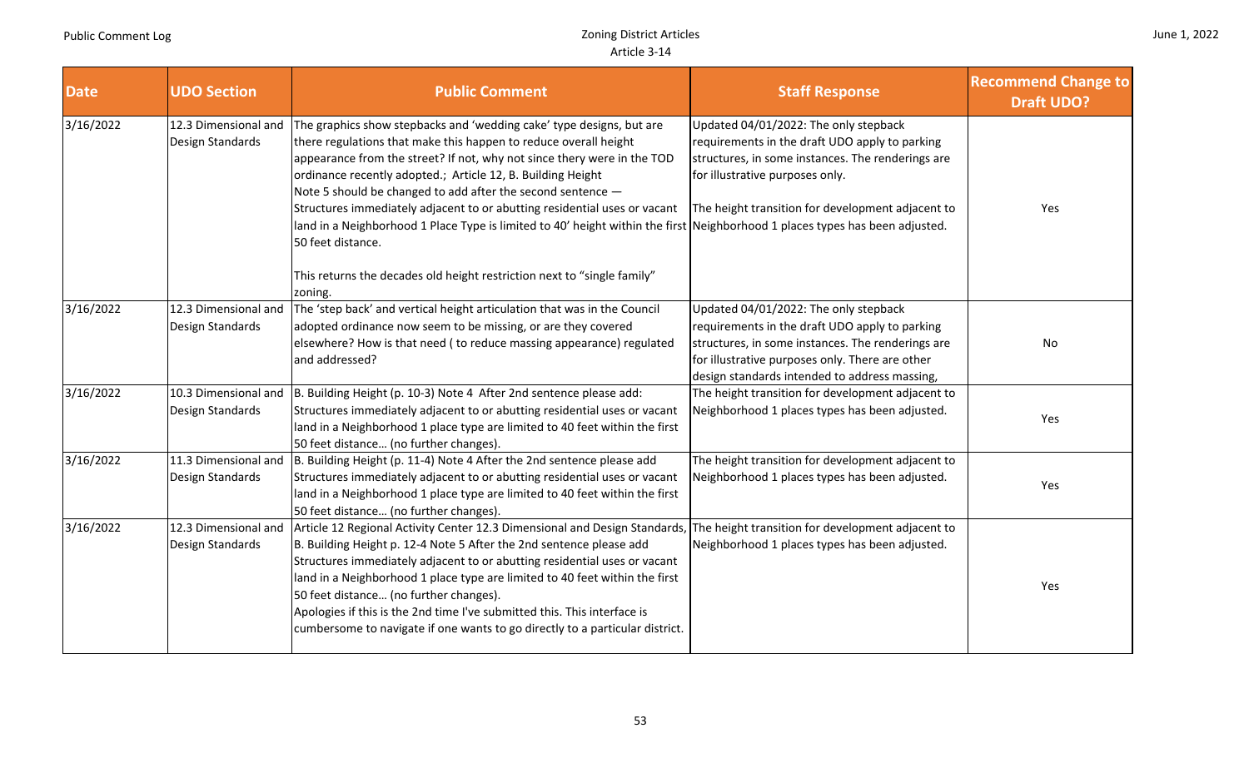| June 1, 2022 |  |  |
|--------------|--|--|
|--------------|--|--|

| <b>Date</b> | <b>UDO Section</b>                       | <b>Public Comment</b>                                                                                                                                                                                                                                                                                                                                                                                                                                                                                                                                                 | <b>Staff Response</b>                                                                                                                                                                                                                            | <b>Recommend Change to</b><br><b>Draft UDO?</b> |
|-------------|------------------------------------------|-----------------------------------------------------------------------------------------------------------------------------------------------------------------------------------------------------------------------------------------------------------------------------------------------------------------------------------------------------------------------------------------------------------------------------------------------------------------------------------------------------------------------------------------------------------------------|--------------------------------------------------------------------------------------------------------------------------------------------------------------------------------------------------------------------------------------------------|-------------------------------------------------|
| 3/16/2022   | 12.3 Dimensional and<br>Design Standards | The graphics show stepbacks and 'wedding cake' type designs, but are<br>there regulations that make this happen to reduce overall height<br>appearance from the street? If not, why not since thery were in the TOD<br>ordinance recently adopted.; Article 12, B. Building Height<br>Note 5 should be changed to add after the second sentence $-$<br>Structures immediately adjacent to or abutting residential uses or vacant                                                                                                                                      | Updated 04/01/2022: The only stepback<br>requirements in the draft UDO apply to parking<br>structures, in some instances. The renderings are<br>for illustrative purposes only.<br>The height transition for development adjacent to             | Yes                                             |
|             |                                          | land in a Neighborhood 1 Place Type is limited to 40' height within the first Neighborhood 1 places types has been adjusted.<br>50 feet distance.<br>This returns the decades old height restriction next to "single family"<br>zoning.                                                                                                                                                                                                                                                                                                                               |                                                                                                                                                                                                                                                  |                                                 |
| 3/16/2022   | 12.3 Dimensional and<br>Design Standards | The 'step back' and vertical height articulation that was in the Council<br>adopted ordinance now seem to be missing, or are they covered<br>elsewhere? How is that need (to reduce massing appearance) regulated<br>and addressed?                                                                                                                                                                                                                                                                                                                                   | Updated 04/01/2022: The only stepback<br>requirements in the draft UDO apply to parking<br>structures, in some instances. The renderings are<br>for illustrative purposes only. There are other<br>design standards intended to address massing, | No                                              |
| 3/16/2022   | 10.3 Dimensional and<br>Design Standards | B. Building Height (p. 10-3) Note 4 After 2nd sentence please add:<br>Structures immediately adjacent to or abutting residential uses or vacant<br>land in a Neighborhood 1 place type are limited to 40 feet within the first<br>50 feet distance (no further changes).                                                                                                                                                                                                                                                                                              | The height transition for development adjacent to<br>Neighborhood 1 places types has been adjusted.                                                                                                                                              | Yes                                             |
| 3/16/2022   | 11.3 Dimensional and<br>Design Standards | B. Building Height (p. 11-4) Note 4 After the 2nd sentence please add<br>Structures immediately adjacent to or abutting residential uses or vacant<br>land in a Neighborhood 1 place type are limited to 40 feet within the first<br>50 feet distance (no further changes).                                                                                                                                                                                                                                                                                           | The height transition for development adjacent to<br>Neighborhood 1 places types has been adjusted.                                                                                                                                              | Yes                                             |
| 3/16/2022   | 12.3 Dimensional and<br>Design Standards | Article 12 Regional Activity Center 12.3 Dimensional and Design Standards, The height transition for development adjacent to<br>B. Building Height p. 12-4 Note 5 After the 2nd sentence please add<br>Structures immediately adjacent to or abutting residential uses or vacant<br>land in a Neighborhood 1 place type are limited to 40 feet within the first<br>50 feet distance (no further changes).<br>Apologies if this is the 2nd time I've submitted this. This interface is<br>cumbersome to navigate if one wants to go directly to a particular district. | Neighborhood 1 places types has been adjusted.                                                                                                                                                                                                   | Yes                                             |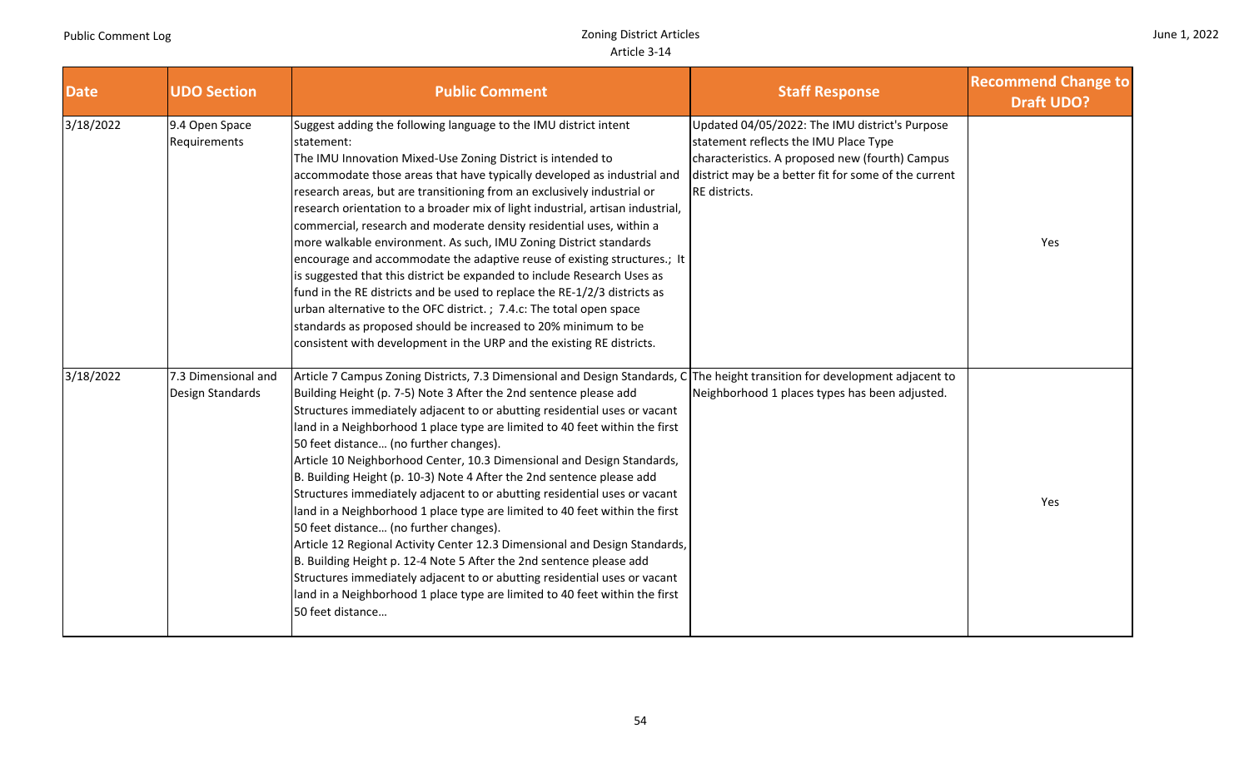and the control

| June 1, 2022 |  |  |
|--------------|--|--|
|--------------|--|--|

and the company

| <b>Date</b> | <b>UDO Section</b>                      | <b>Public Comment</b>                                                                                                                                                                                                                                                                                                                                                                                                                                                                                                                                                                                                                                                                                                                                                                                                                                                                                                                                                                                                                                                                                 | <b>Staff Response</b>                                                                                                                                                                                               | <b>Recommend Change to</b><br><b>Draft UDO?</b> |
|-------------|-----------------------------------------|-------------------------------------------------------------------------------------------------------------------------------------------------------------------------------------------------------------------------------------------------------------------------------------------------------------------------------------------------------------------------------------------------------------------------------------------------------------------------------------------------------------------------------------------------------------------------------------------------------------------------------------------------------------------------------------------------------------------------------------------------------------------------------------------------------------------------------------------------------------------------------------------------------------------------------------------------------------------------------------------------------------------------------------------------------------------------------------------------------|---------------------------------------------------------------------------------------------------------------------------------------------------------------------------------------------------------------------|-------------------------------------------------|
| 3/18/2022   | 9.4 Open Space<br>Requirements          | Suggest adding the following language to the IMU district intent<br>statement:<br>The IMU Innovation Mixed-Use Zoning District is intended to<br>accommodate those areas that have typically developed as industrial and<br>research areas, but are transitioning from an exclusively industrial or<br>research orientation to a broader mix of light industrial, artisan industrial,<br>commercial, research and moderate density residential uses, within a<br>more walkable environment. As such, IMU Zoning District standards<br>encourage and accommodate the adaptive reuse of existing structures.; It<br>is suggested that this district be expanded to include Research Uses as<br>fund in the RE districts and be used to replace the RE-1/2/3 districts as<br>urban alternative to the OFC district.; 7.4.c: The total open space<br>standards as proposed should be increased to 20% minimum to be<br>consistent with development in the URP and the existing RE districts.                                                                                                              | Updated 04/05/2022: The IMU district's Purpose<br>statement reflects the IMU Place Type<br>characteristics. A proposed new (fourth) Campus<br>district may be a better fit for some of the current<br>RE districts. | Yes                                             |
| 3/18/2022   | 7.3 Dimensional and<br>Design Standards | Article 7 Campus Zoning Districts, 7.3 Dimensional and Design Standards, C The height transition for development adjacent to<br>Building Height (p. 7-5) Note 3 After the 2nd sentence please add<br>Structures immediately adjacent to or abutting residential uses or vacant<br>land in a Neighborhood 1 place type are limited to 40 feet within the first<br>50 feet distance (no further changes).<br>Article 10 Neighborhood Center, 10.3 Dimensional and Design Standards,<br>B. Building Height (p. 10-3) Note 4 After the 2nd sentence please add<br>Structures immediately adjacent to or abutting residential uses or vacant<br>land in a Neighborhood 1 place type are limited to 40 feet within the first<br>50 feet distance (no further changes).<br>Article 12 Regional Activity Center 12.3 Dimensional and Design Standards,<br>B. Building Height p. 12-4 Note 5 After the 2nd sentence please add<br>Structures immediately adjacent to or abutting residential uses or vacant<br>land in a Neighborhood 1 place type are limited to 40 feet within the first<br>50 feet distance | Neighborhood 1 places types has been adjusted.                                                                                                                                                                      | Yes                                             |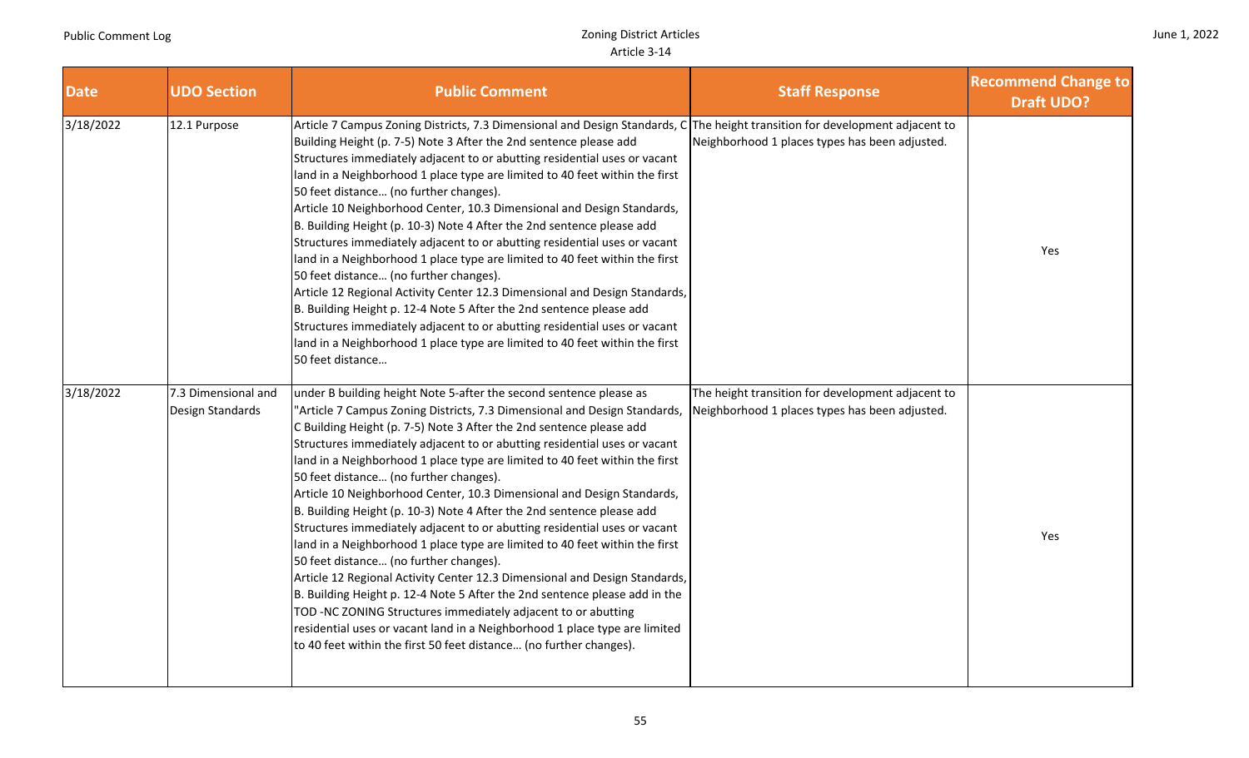| June 1, 2022 |  |  |
|--------------|--|--|
|--------------|--|--|

| <b>Date</b> | <b>UDO Section</b>                      | <b>Public Comment</b>                                                                                                                                                                                                                                                                                                                                                                                                                                                                                                                                                                                                                                                                                                                                                                                                                                                                                                                                                                                                                                                                                                                                                  | <b>Staff Response</b>                                                                               | <b>Recommend Change to</b><br><b>Draft UDO?</b> |
|-------------|-----------------------------------------|------------------------------------------------------------------------------------------------------------------------------------------------------------------------------------------------------------------------------------------------------------------------------------------------------------------------------------------------------------------------------------------------------------------------------------------------------------------------------------------------------------------------------------------------------------------------------------------------------------------------------------------------------------------------------------------------------------------------------------------------------------------------------------------------------------------------------------------------------------------------------------------------------------------------------------------------------------------------------------------------------------------------------------------------------------------------------------------------------------------------------------------------------------------------|-----------------------------------------------------------------------------------------------------|-------------------------------------------------|
| 3/18/2022   | 12.1 Purpose                            | Article 7 Campus Zoning Districts, 7.3 Dimensional and Design Standards, C The height transition for development adjacent to<br>Building Height (p. 7-5) Note 3 After the 2nd sentence please add<br>Structures immediately adjacent to or abutting residential uses or vacant<br>land in a Neighborhood 1 place type are limited to 40 feet within the first<br>50 feet distance (no further changes).<br>Article 10 Neighborhood Center, 10.3 Dimensional and Design Standards,<br>B. Building Height (p. 10-3) Note 4 After the 2nd sentence please add<br>Structures immediately adjacent to or abutting residential uses or vacant<br>land in a Neighborhood 1 place type are limited to 40 feet within the first<br>50 feet distance (no further changes).<br>Article 12 Regional Activity Center 12.3 Dimensional and Design Standards,<br>B. Building Height p. 12-4 Note 5 After the 2nd sentence please add<br>Structures immediately adjacent to or abutting residential uses or vacant<br>land in a Neighborhood 1 place type are limited to 40 feet within the first<br>50 feet distance                                                                  | Neighborhood 1 places types has been adjusted.                                                      | Yes                                             |
| 3/18/2022   | 7.3 Dimensional and<br>Design Standards | under B building height Note 5-after the second sentence please as<br>"Article 7 Campus Zoning Districts, 7.3 Dimensional and Design Standards,<br>C Building Height (p. 7-5) Note 3 After the 2nd sentence please add<br>Structures immediately adjacent to or abutting residential uses or vacant<br>land in a Neighborhood 1 place type are limited to 40 feet within the first<br>50 feet distance (no further changes).<br>Article 10 Neighborhood Center, 10.3 Dimensional and Design Standards,<br>B. Building Height (p. 10-3) Note 4 After the 2nd sentence please add<br>Structures immediately adjacent to or abutting residential uses or vacant<br>land in a Neighborhood 1 place type are limited to 40 feet within the first<br>50 feet distance (no further changes).<br>Article 12 Regional Activity Center 12.3 Dimensional and Design Standards,<br>B. Building Height p. 12-4 Note 5 After the 2nd sentence please add in the<br>TOD -NC ZONING Structures immediately adjacent to or abutting<br>residential uses or vacant land in a Neighborhood 1 place type are limited<br>to 40 feet within the first 50 feet distance (no further changes). | The height transition for development adjacent to<br>Neighborhood 1 places types has been adjusted. | Yes                                             |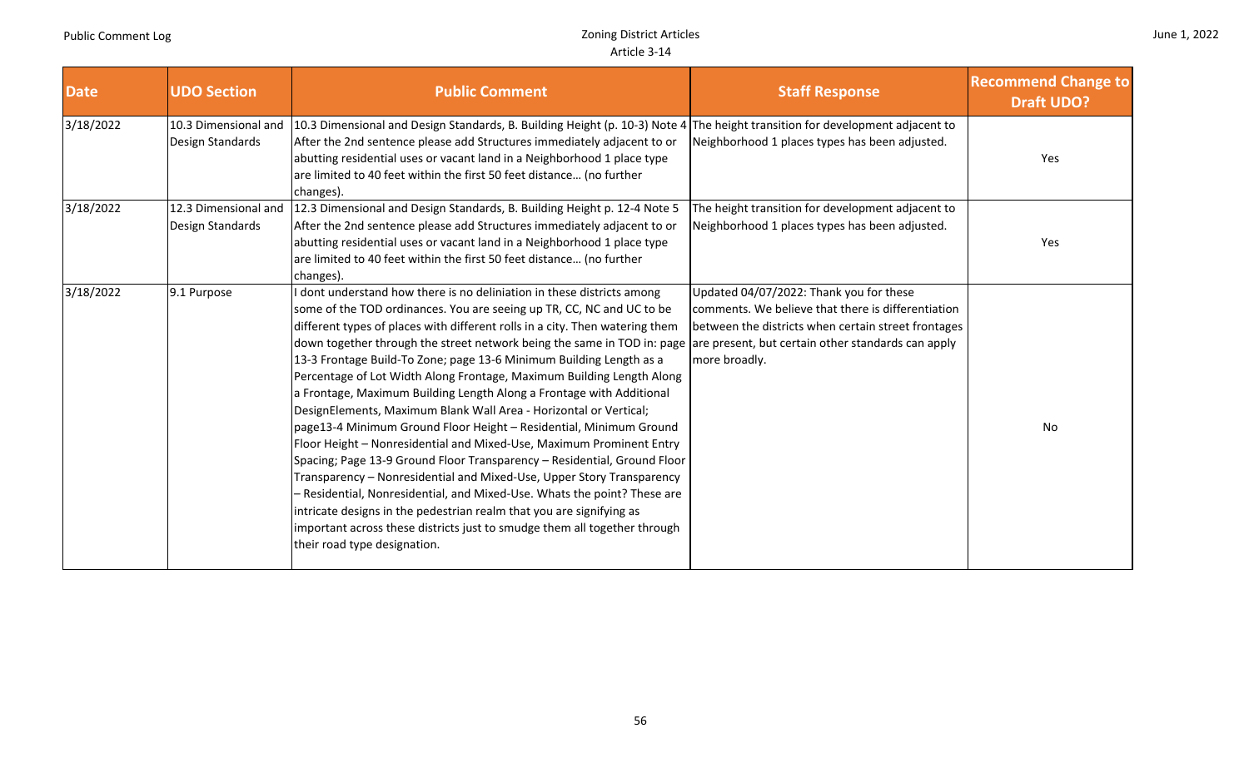┱

|  |  | June 1, 2022 |
|--|--|--------------|
|--|--|--------------|

| <b>Date</b> | <b>UDO Section</b>                       | <b>Public Comment</b>                                                                                                                                                                                                                                                                                                                                                                                                                                                                                                                                                                                                                                                                                                                                                                                                                                                                                                                                                                                                                                                                                                                                                                                                           | <b>Staff Response</b>                                                                                                                                                 | <b>Recommend Change to</b><br><b>Draft UDO?</b> |
|-------------|------------------------------------------|---------------------------------------------------------------------------------------------------------------------------------------------------------------------------------------------------------------------------------------------------------------------------------------------------------------------------------------------------------------------------------------------------------------------------------------------------------------------------------------------------------------------------------------------------------------------------------------------------------------------------------------------------------------------------------------------------------------------------------------------------------------------------------------------------------------------------------------------------------------------------------------------------------------------------------------------------------------------------------------------------------------------------------------------------------------------------------------------------------------------------------------------------------------------------------------------------------------------------------|-----------------------------------------------------------------------------------------------------------------------------------------------------------------------|-------------------------------------------------|
| 3/18/2022   | 10.3 Dimensional and<br>Design Standards | 10.3 Dimensional and Design Standards, B. Building Height (p. 10-3) Note 4 The height transition for development adjacent to<br>After the 2nd sentence please add Structures immediately adjacent to or<br>abutting residential uses or vacant land in a Neighborhood 1 place type<br>are limited to 40 feet within the first 50 feet distance (no further<br>changes).                                                                                                                                                                                                                                                                                                                                                                                                                                                                                                                                                                                                                                                                                                                                                                                                                                                         | Neighborhood 1 places types has been adjusted.                                                                                                                        | Yes                                             |
| 3/18/2022   | 12.3 Dimensional and<br>Design Standards | 12.3 Dimensional and Design Standards, B. Building Height p. 12-4 Note 5<br>After the 2nd sentence please add Structures immediately adjacent to or<br>abutting residential uses or vacant land in a Neighborhood 1 place type<br>are limited to 40 feet within the first 50 feet distance (no further<br>changes).                                                                                                                                                                                                                                                                                                                                                                                                                                                                                                                                                                                                                                                                                                                                                                                                                                                                                                             | The height transition for development adjacent to<br>Neighborhood 1 places types has been adjusted.                                                                   | Yes                                             |
| 3/18/2022   | 9.1 Purpose                              | I dont understand how there is no deliniation in these districts among<br>some of the TOD ordinances. You are seeing up TR, CC, NC and UC to be<br>different types of places with different rolls in a city. Then watering them<br>down together through the street network being the same in TOD in: page lare present, but certain other standards can apply<br>13-3 Frontage Build-To Zone; page 13-6 Minimum Building Length as a<br>Percentage of Lot Width Along Frontage, Maximum Building Length Along<br>a Frontage, Maximum Building Length Along a Frontage with Additional<br>DesignElements, Maximum Blank Wall Area - Horizontal or Vertical;<br>page13-4 Minimum Ground Floor Height - Residential, Minimum Ground<br>Floor Height - Nonresidential and Mixed-Use, Maximum Prominent Entry<br>Spacing; Page 13-9 Ground Floor Transparency - Residential, Ground Floor<br>Transparency - Nonresidential and Mixed-Use, Upper Story Transparency<br>- Residential, Nonresidential, and Mixed-Use. Whats the point? These are<br>intricate designs in the pedestrian realm that you are signifying as<br>important across these districts just to smudge them all together through<br>their road type designation. | Updated 04/07/2022: Thank you for these<br>comments. We believe that there is differentiation<br>between the districts when certain street frontages<br>more broadly. | No                                              |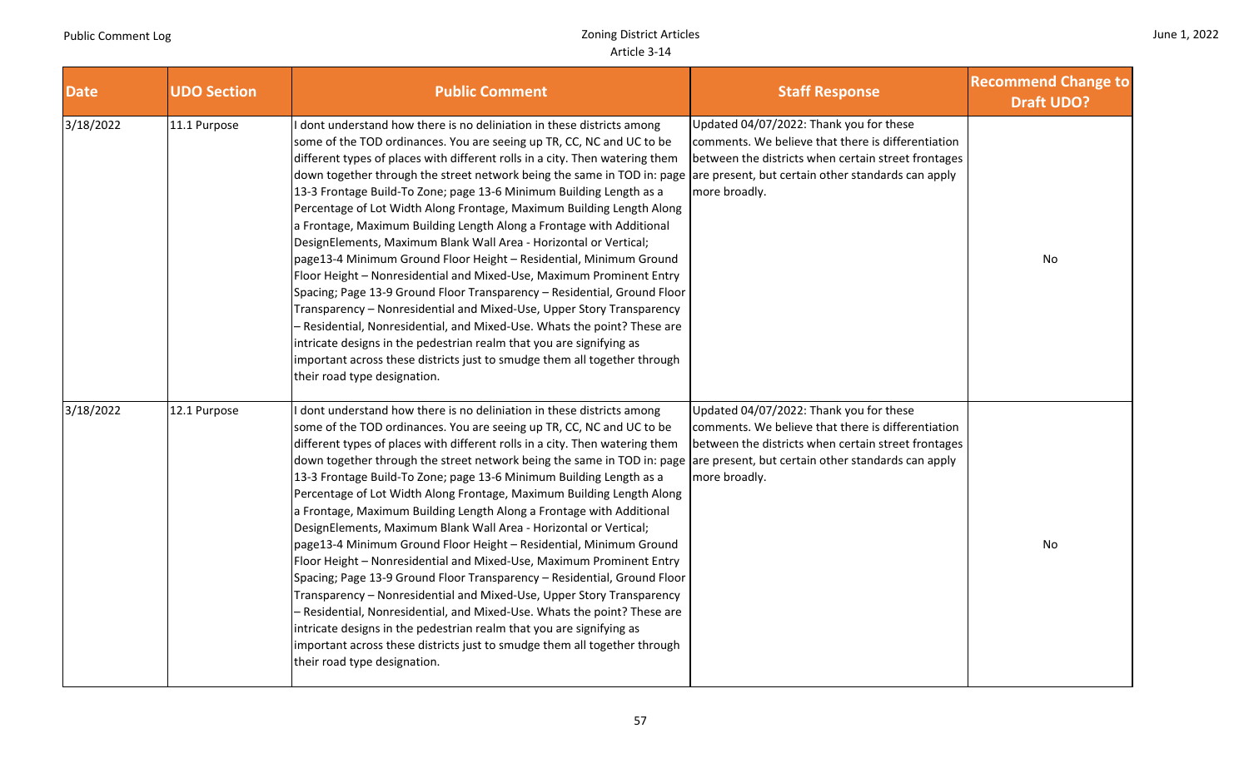|  |  | June 1, 2022 |
|--|--|--------------|
|--|--|--------------|

| <b>Date</b> | <b>UDO Section</b> | <b>Public Comment</b>                                                                                                                                                                                                                                                                                                                                                                                                                                                                                                                                                                                                                                                                                                                                                                                                                                                                                                                                                                                                                                                                                                                                                                                                          | <b>Staff Response</b>                                                                                                                                                                                                       | <b>Recommend Change to</b><br><b>Draft UDO?</b> |
|-------------|--------------------|--------------------------------------------------------------------------------------------------------------------------------------------------------------------------------------------------------------------------------------------------------------------------------------------------------------------------------------------------------------------------------------------------------------------------------------------------------------------------------------------------------------------------------------------------------------------------------------------------------------------------------------------------------------------------------------------------------------------------------------------------------------------------------------------------------------------------------------------------------------------------------------------------------------------------------------------------------------------------------------------------------------------------------------------------------------------------------------------------------------------------------------------------------------------------------------------------------------------------------|-----------------------------------------------------------------------------------------------------------------------------------------------------------------------------------------------------------------------------|-------------------------------------------------|
| 3/18/2022   | 11.1 Purpose       | I dont understand how there is no deliniation in these districts among<br>some of the TOD ordinances. You are seeing up TR, CC, NC and UC to be<br>different types of places with different rolls in a city. Then watering them<br>down together through the street network being the same in TOD in: page are present, but certain other standards can apply<br>13-3 Frontage Build-To Zone; page 13-6 Minimum Building Length as a<br>Percentage of Lot Width Along Frontage, Maximum Building Length Along<br>a Frontage, Maximum Building Length Along a Frontage with Additional<br>DesignElements, Maximum Blank Wall Area - Horizontal or Vertical;<br>page13-4 Minimum Ground Floor Height - Residential, Minimum Ground<br>Floor Height - Nonresidential and Mixed-Use, Maximum Prominent Entry<br>Spacing; Page 13-9 Ground Floor Transparency - Residential, Ground Floor<br>Transparency - Nonresidential and Mixed-Use, Upper Story Transparency<br>- Residential, Nonresidential, and Mixed-Use. Whats the point? These are<br>intricate designs in the pedestrian realm that you are signifying as<br>important across these districts just to smudge them all together through<br>their road type designation. | Updated 04/07/2022: Thank you for these<br>comments. We believe that there is differentiation<br>between the districts when certain street frontages<br>more broadly.                                                       | No                                              |
| 3/18/2022   | 12.1 Purpose       | dont understand how there is no deliniation in these districts among<br>some of the TOD ordinances. You are seeing up TR, CC, NC and UC to be<br>different types of places with different rolls in a city. Then watering them<br>down together through the street network being the same in TOD in: page<br>13-3 Frontage Build-To Zone; page 13-6 Minimum Building Length as a<br>Percentage of Lot Width Along Frontage, Maximum Building Length Along<br>a Frontage, Maximum Building Length Along a Frontage with Additional<br>DesignElements, Maximum Blank Wall Area - Horizontal or Vertical;<br>page13-4 Minimum Ground Floor Height - Residential, Minimum Ground<br>Floor Height - Nonresidential and Mixed-Use, Maximum Prominent Entry<br>Spacing; Page 13-9 Ground Floor Transparency - Residential, Ground Floor<br>Transparency - Nonresidential and Mixed-Use, Upper Story Transparency<br>- Residential, Nonresidential, and Mixed-Use. Whats the point? These are<br>intricate designs in the pedestrian realm that you are signifying as<br>important across these districts just to smudge them all together through<br>their road type designation.                                                      | Updated 04/07/2022: Thank you for these<br>comments. We believe that there is differentiation<br>between the districts when certain street frontages<br>are present, but certain other standards can apply<br>more broadly. | No                                              |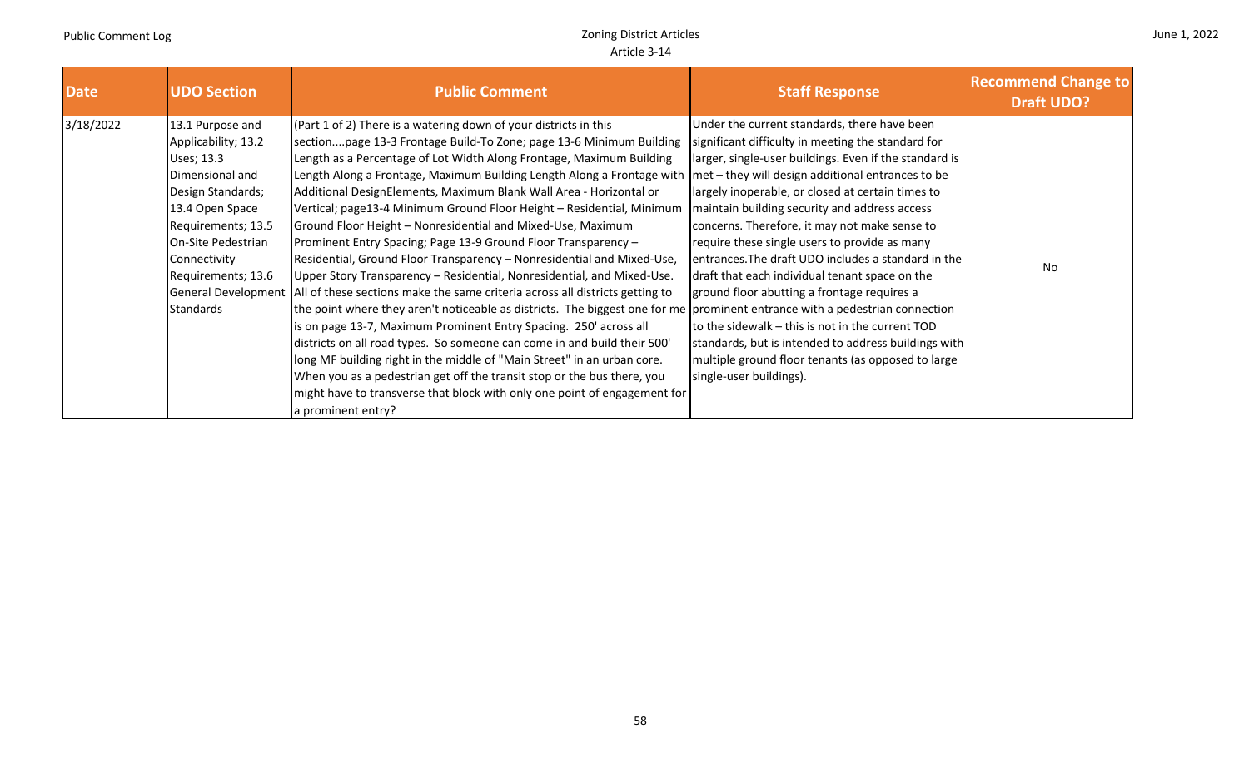and the control

| June 1, 2022 |  |  |
|--------------|--|--|
|--------------|--|--|

and the company

| <b>Date</b> | <b>UDO Section</b>                                                                                                                                                                                              | <b>Public Comment</b>                                                                                                                                                                                                                                                                                                                                                                                                                                                                                                                                                                                                                                                                                                                                                                                                                                                                                                                                                                                                                                                                                                                                                                                                                                                                                                                                                                                                           | <b>Staff Response</b>                                                                                                                                                                                                                                                                                                                                                                                                                                                                                                                                                                                                                                                                                                     | <b>Recommend Change to</b><br><b>Draft UDO?</b> |
|-------------|-----------------------------------------------------------------------------------------------------------------------------------------------------------------------------------------------------------------|---------------------------------------------------------------------------------------------------------------------------------------------------------------------------------------------------------------------------------------------------------------------------------------------------------------------------------------------------------------------------------------------------------------------------------------------------------------------------------------------------------------------------------------------------------------------------------------------------------------------------------------------------------------------------------------------------------------------------------------------------------------------------------------------------------------------------------------------------------------------------------------------------------------------------------------------------------------------------------------------------------------------------------------------------------------------------------------------------------------------------------------------------------------------------------------------------------------------------------------------------------------------------------------------------------------------------------------------------------------------------------------------------------------------------------|---------------------------------------------------------------------------------------------------------------------------------------------------------------------------------------------------------------------------------------------------------------------------------------------------------------------------------------------------------------------------------------------------------------------------------------------------------------------------------------------------------------------------------------------------------------------------------------------------------------------------------------------------------------------------------------------------------------------------|-------------------------------------------------|
| 3/18/2022   | 13.1 Purpose and<br>Applicability; 13.2<br>Uses; 13.3<br>Dimensional and<br>Design Standards;<br>13.4 Open Space<br>Requirements; 13.5<br>On-Site Pedestrian<br>Connectivity<br>Requirements; 13.6<br>Standards | (Part 1 of 2) There is a watering down of your districts in this<br>sectionpage 13-3 Frontage Build-To Zone; page 13-6 Minimum Building<br>Length as a Percentage of Lot Width Along Frontage, Maximum Building<br>Length Along a Frontage, Maximum Building Length Along a Frontage with  met - they will design additional entrances to be<br>Additional DesignElements, Maximum Blank Wall Area - Horizontal or<br>Vertical; page13-4 Minimum Ground Floor Height - Residential, Minimum<br>Ground Floor Height - Nonresidential and Mixed-Use, Maximum<br>Prominent Entry Spacing; Page 13-9 Ground Floor Transparency -<br>Residential, Ground Floor Transparency - Nonresidential and Mixed-Use,<br>Upper Story Transparency - Residential, Nonresidential, and Mixed-Use.<br>General Development   All of these sections make the same criteria across all districts getting to<br>the point where they aren't noticeable as districts. The biggest one for me prominent entrance with a pedestrian connection<br>is on page 13-7, Maximum Prominent Entry Spacing. 250' across all<br>districts on all road types. So someone can come in and build their 500'<br>long MF building right in the middle of "Main Street" in an urban core.<br>When you as a pedestrian get off the transit stop or the bus there, you<br>might have to transverse that block with only one point of engagement for<br>a prominent entry? | Under the current standards, there have been<br>significant difficulty in meeting the standard for<br>larger, single-user buildings. Even if the standard is<br>largely inoperable, or closed at certain times to<br>maintain building security and address access<br>concerns. Therefore, it may not make sense to<br>require these single users to provide as many<br>entrances. The draft UDO includes a standard in the<br>draft that each individual tenant space on the<br>ground floor abutting a frontage requires a<br>to the sidewalk - this is not in the current TOD<br>standards, but is intended to address buildings with<br>multiple ground floor tenants (as opposed to large<br>single-user buildings). | No.                                             |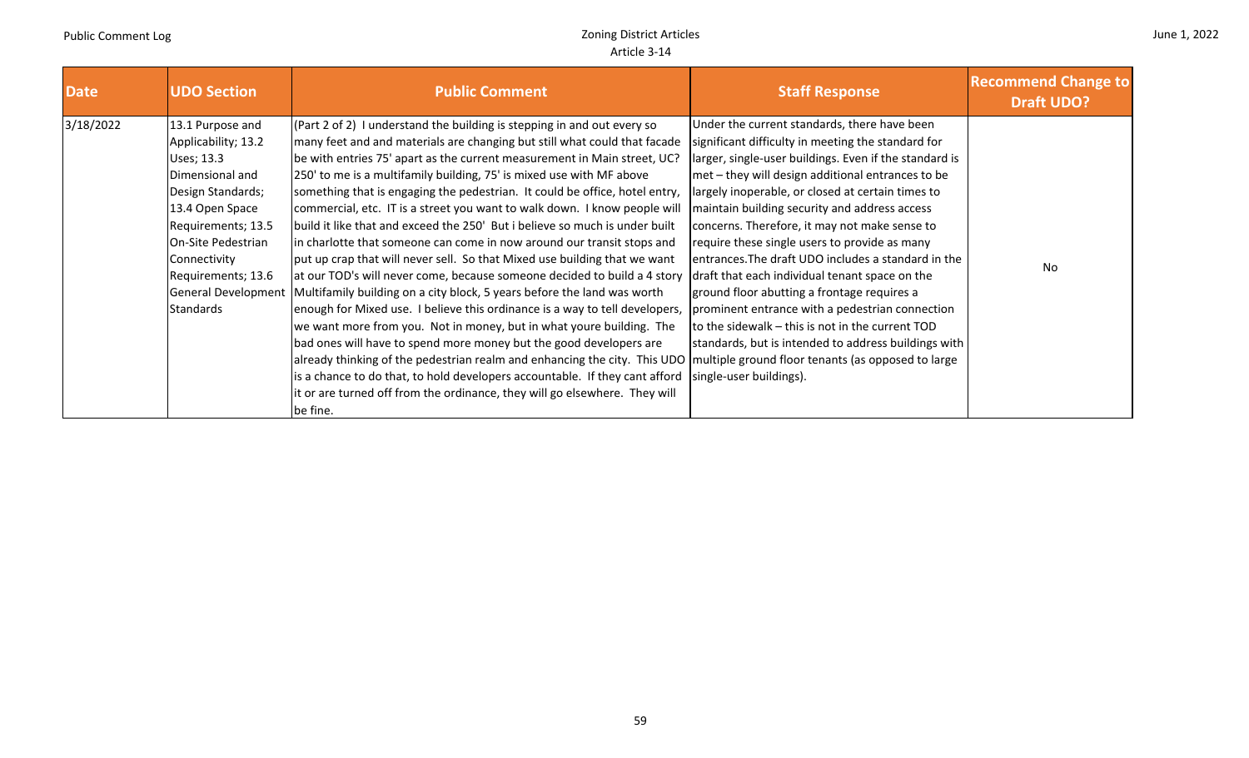| June 1, 2022 |  |  |
|--------------|--|--|
|--------------|--|--|

| <b>Date</b> | <b>UDO Section</b>                                                                                                                                                                                                                                   | <b>Public Comment</b>                                                                                                                                                                                                                                                                                                                                                                                                                                                                                                                                                                                                                                                                                                                                                                                                                                                                                                                                                                                                                                                                                                                                                                                                                                                                                                                                                                                   | <b>Staff Response</b>                                                                                                                                                                                                                                                                                                                                                                                                                                                                                                                                                                                                                                                                                                                                                       | <b>Recommend Change to</b><br><b>Draft UDO?</b> |
|-------------|------------------------------------------------------------------------------------------------------------------------------------------------------------------------------------------------------------------------------------------------------|---------------------------------------------------------------------------------------------------------------------------------------------------------------------------------------------------------------------------------------------------------------------------------------------------------------------------------------------------------------------------------------------------------------------------------------------------------------------------------------------------------------------------------------------------------------------------------------------------------------------------------------------------------------------------------------------------------------------------------------------------------------------------------------------------------------------------------------------------------------------------------------------------------------------------------------------------------------------------------------------------------------------------------------------------------------------------------------------------------------------------------------------------------------------------------------------------------------------------------------------------------------------------------------------------------------------------------------------------------------------------------------------------------|-----------------------------------------------------------------------------------------------------------------------------------------------------------------------------------------------------------------------------------------------------------------------------------------------------------------------------------------------------------------------------------------------------------------------------------------------------------------------------------------------------------------------------------------------------------------------------------------------------------------------------------------------------------------------------------------------------------------------------------------------------------------------------|-------------------------------------------------|
| 3/18/2022   | 13.1 Purpose and<br>Applicability; 13.2<br>Uses; 13.3<br>Dimensional and<br>Design Standards;<br>13.4 Open Space<br>Requirements; 13.5<br>On-Site Pedestrian<br>Connectivity<br>Requirements; 13.6<br><b>General Development</b><br><b>Standards</b> | (Part 2 of 2) I understand the building is stepping in and out every so<br>many feet and and materials are changing but still what could that facade<br>be with entries 75' apart as the current measurement in Main street, UC?<br>250' to me is a multifamily building, 75' is mixed use with MF above<br>something that is engaging the pedestrian. It could be office, hotel entry,<br>commercial, etc. IT is a street you want to walk down. I know people will<br>build it like that and exceed the 250' But i believe so much is under built<br>in charlotte that someone can come in now around our transit stops and<br>put up crap that will never sell. So that Mixed use building that we want<br>at our TOD's will never come, because someone decided to build a 4 story<br>Multifamily building on a city block, 5 years before the land was worth<br>enough for Mixed use. I believe this ordinance is a way to tell developers,<br>we want more from you. Not in money, but in what youre building. The<br>bad ones will have to spend more money but the good developers are<br>already thinking of the pedestrian realm and enhancing the city. This UDO multiple ground floor tenants (as opposed to large<br>is a chance to do that, to hold developers accountable. If they cant afford<br>it or are turned off from the ordinance, they will go elsewhere. They will<br>be fine. | Under the current standards, there have been<br>significant difficulty in meeting the standard for<br>larger, single-user buildings. Even if the standard is<br>met - they will design additional entrances to be<br>largely inoperable, or closed at certain times to<br>maintain building security and address access<br>concerns. Therefore, it may not make sense to<br>require these single users to provide as many<br>entrances. The draft UDO includes a standard in the<br>draft that each individual tenant space on the<br>ground floor abutting a frontage requires a<br>prominent entrance with a pedestrian connection<br>to the sidewalk - this is not in the current TOD<br>standards, but is intended to address buildings with<br>single-user buildings). | <b>No</b>                                       |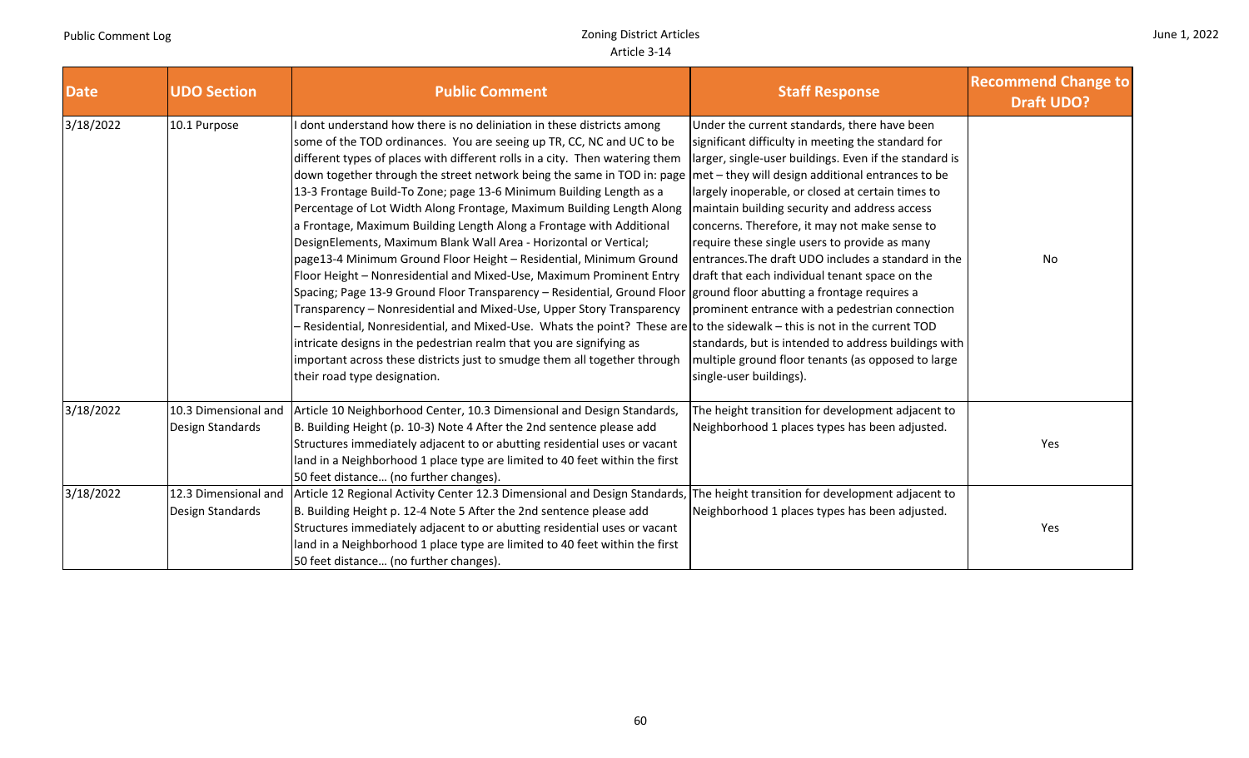$\overline{\phantom{a}}$ 

|  |  | June 1, 2022 |
|--|--|--------------|
|--|--|--------------|

and the company of the company of

| <b>Date</b> | <b>UDO Section</b>                       | <b>Public Comment</b>                                                                                                                                                                                                                                                                                                                                                                                                                                                                                                                                                                                                                                                                                                                                                                                                                                                                                                                                                                                                                                                                                                                                                                                                                                                  | <b>Staff Response</b>                                                                                                                                                                                                                                                                                                                                                                                                                                                                                                                                                                                                                                                                                                          | <b>Recommend Change to</b><br><b>Draft UDO?</b> |
|-------------|------------------------------------------|------------------------------------------------------------------------------------------------------------------------------------------------------------------------------------------------------------------------------------------------------------------------------------------------------------------------------------------------------------------------------------------------------------------------------------------------------------------------------------------------------------------------------------------------------------------------------------------------------------------------------------------------------------------------------------------------------------------------------------------------------------------------------------------------------------------------------------------------------------------------------------------------------------------------------------------------------------------------------------------------------------------------------------------------------------------------------------------------------------------------------------------------------------------------------------------------------------------------------------------------------------------------|--------------------------------------------------------------------------------------------------------------------------------------------------------------------------------------------------------------------------------------------------------------------------------------------------------------------------------------------------------------------------------------------------------------------------------------------------------------------------------------------------------------------------------------------------------------------------------------------------------------------------------------------------------------------------------------------------------------------------------|-------------------------------------------------|
| 3/18/2022   | 10.1 Purpose                             | dont understand how there is no deliniation in these districts among<br>some of the TOD ordinances. You are seeing up TR, CC, NC and UC to be<br>different types of places with different rolls in a city. Then watering them<br>down together through the street network being the same in TOD in: page<br>13-3 Frontage Build-To Zone; page 13-6 Minimum Building Length as a<br>Percentage of Lot Width Along Frontage, Maximum Building Length Along<br>a Frontage, Maximum Building Length Along a Frontage with Additional<br>DesignElements, Maximum Blank Wall Area - Horizontal or Vertical;<br>page13-4 Minimum Ground Floor Height - Residential, Minimum Ground<br>Floor Height - Nonresidential and Mixed-Use, Maximum Prominent Entry<br>Spacing; Page 13-9 Ground Floor Transparency – Residential, Ground Floor ground floor abutting a frontage requires a<br>Transparency – Nonresidential and Mixed-Use, Upper Story Transparency<br>- Residential, Nonresidential, and Mixed-Use. Whats the point? These are to the sidewalk – this is not in the current TOD<br>intricate designs in the pedestrian realm that you are signifying as<br>important across these districts just to smudge them all together through<br>their road type designation. | Under the current standards, there have been<br>significant difficulty in meeting the standard for<br>larger, single-user buildings. Even if the standard is<br>met - they will design additional entrances to be<br>largely inoperable, or closed at certain times to<br>maintain building security and address access<br>concerns. Therefore, it may not make sense to<br>require these single users to provide as many<br>entrances. The draft UDO includes a standard in the<br>draft that each individual tenant space on the<br>prominent entrance with a pedestrian connection<br>standards, but is intended to address buildings with<br>multiple ground floor tenants (as opposed to large<br>single-user buildings). | No                                              |
| 3/18/2022   | 10.3 Dimensional and<br>Design Standards | Article 10 Neighborhood Center, 10.3 Dimensional and Design Standards,<br>B. Building Height (p. 10-3) Note 4 After the 2nd sentence please add<br>Structures immediately adjacent to or abutting residential uses or vacant<br>land in a Neighborhood 1 place type are limited to 40 feet within the first<br>50 feet distance (no further changes).                                                                                                                                                                                                                                                                                                                                                                                                                                                                                                                                                                                                                                                                                                                                                                                                                                                                                                                  | The height transition for development adjacent to<br>Neighborhood 1 places types has been adjusted.                                                                                                                                                                                                                                                                                                                                                                                                                                                                                                                                                                                                                            | Yes                                             |
| 3/18/2022   | 12.3 Dimensional and<br>Design Standards | Article 12 Regional Activity Center 12.3 Dimensional and Design Standards, The height transition for development adjacent to<br>B. Building Height p. 12-4 Note 5 After the 2nd sentence please add<br>Structures immediately adjacent to or abutting residential uses or vacant<br>land in a Neighborhood 1 place type are limited to 40 feet within the first<br>50 feet distance (no further changes).                                                                                                                                                                                                                                                                                                                                                                                                                                                                                                                                                                                                                                                                                                                                                                                                                                                              | Neighborhood 1 places types has been adjusted.                                                                                                                                                                                                                                                                                                                                                                                                                                                                                                                                                                                                                                                                                 | Yes                                             |